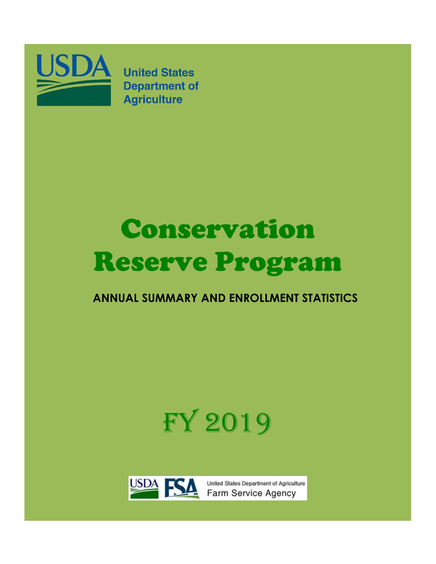

**United States Department of Agriculture** 

# Conservation Reserve Program

### **ANNUAL SUMMARY AND ENROLLMENT STATISTICS**

# FY 2019



United States Department of Agriculture Farm Service Agency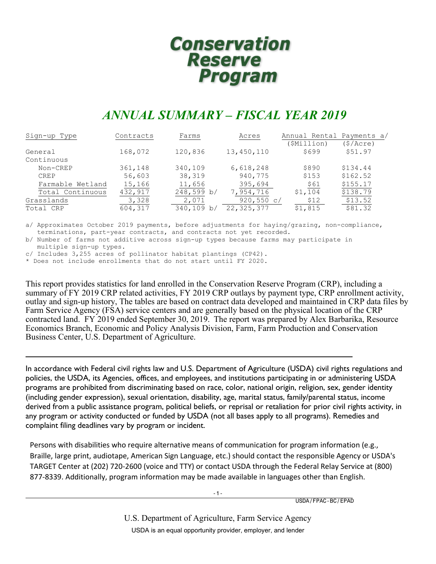## **Conservation** Reserve<br>Program

### *ANNUAL SUMMARY – FISCAL YEAR 2019*

| Contracts | Farms      | Acres        | Annual Rental Payments a/ |            |
|-----------|------------|--------------|---------------------------|------------|
|           |            |              | (\$Million)               | (\$/Acre)  |
| 168,072   | 120,836    | 13,450,110   | \$699                     | \$51.97    |
|           |            |              |                           |            |
| 361,148   | 340,109    | 6,618,248    | \$890                     | \$134.44   |
| 56,603    | 38,319     | 940,775      | \$153                     | \$162.52   |
| 15,166    | 11,656     | 395,694      | \$61                      | \$155.17   |
| 432,917   | 248,599 b/ | 7,954,716    | \$1,104                   | \$138.79   |
| 3,328     | 2,071      |              | \$12                      | \$13.52    |
| 604,317   | 340,109 b/ | 22, 325, 377 | \$1,815                   | \$81.32    |
|           |            |              |                           | 920,550 c/ |

a/ Approximates October 2019 payments, before adjustments for haying/grazing, non-compliance, terminations, part-year contracts, and contracts not yet recorded.

b/ Number of farms not additive across sign-up types because farms may participate in multiple sign-up types.

c/ Includes 3,255 acres of pollinator habitat plantings (CP42).

\* Does not include enrollments that do not start until FY 2020.

This report provides statistics for land enrolled in the Conservation Reserve Program (CRP), including a summary of FY 2019 CRP related activities, FY 2019 CRP outlays by payment type, CRP enrollment activity, outlay and sign-up history, The tables are based on contract data developed and maintained in CRP data files by Farm Service Agency (FSA) service centers and are generally based on the physical location of the CRP contracted land. FY 2019 ended September 30, 2019. The report was prepared by Alex Barbarika, Resource Economics Branch, Economic and Policy Analysis Division, Farm, Farm Production and Conservation Business Center, U.S. Department of Agriculture.

In accordance with Federal civil rights law and U.S. Department of Agriculture (USDA) civil rights regulations and policies, the USDA, its Agencies, offices, and employees, and institutions participating in or administering USDA programs are prohibited from discriminating based on race, color, national origin, religion, sex, gender identity (including gender expression), sexual orientation, disability, age, marital status, family/parental status, income derived from a public assistance program, political beliefs, or reprisal or retaliation for prior civil rights activity, in any program or activity conducted or funded by USDA (not all bases apply to all programs). Remedies and complaint filing deadlines vary by program or incident.

Persons with disabilities who require alternative means of communication for program information (e.g., Braille, large print, audiotape, American Sign Language, etc.) should contact the responsible Agency or USDA's TARGET Center at (202) 720-2600 (voice and TTY) or contact USDA through the Federal Relay Service at (800) 877-8339. Additionally, program information may be made available in languages other than English.

-1-

USDA/FPAC-BC/EPAD

U.S. Department of Agriculture, Farm Service Agency USDA is an equal opportunity provider, employer, and lender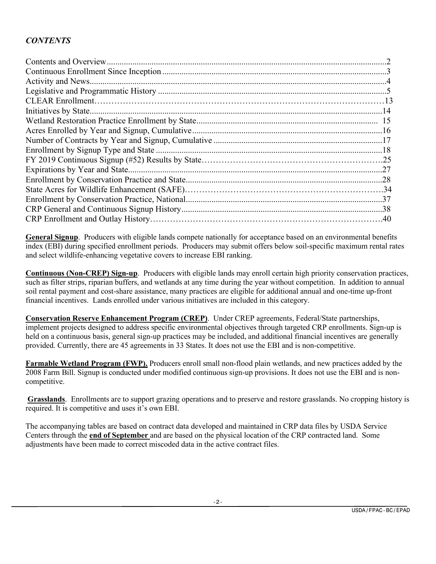#### *CONTENTS*

**General Signup**. Producers with eligible lands compete nationally for acceptance based on an environmental benefits index (EBI) during specified enrollment periods. Producers may submit offers below soil-specific maximum rental rates and select wildlife-enhancing vegetative covers to increase EBI ranking.

**Continuous (Non-CREP) Sign-up**. Producers with eligible lands may enroll certain high priority conservation practices, such as filter strips, riparian buffers, and wetlands at any time during the year without competition. In addition to annual soil rental payment and cost-share assistance, many practices are eligible for additional annual and one-time up-front financial incentives. Lands enrolled under various initiatives are included in this category.

**Conservation Reserve Enhancement Program (CREP)**. Under CREP agreements, Federal/State partnerships, implement projects designed to address specific environmental objectives through targeted CRP enrollments. Sign-up is held on a continuous basis, general sign-up practices may be included, and additional financial incentives are generally provided. Currently, there are 45 agreements in 33 States. It does not use the EBI and is non-competitive.

**Farmable Wetland Program (FWP).** Producers enroll small non-flood plain wetlands, and new practices added by the 2008 Farm Bill. Signup is conducted under modified continuous sign-up provisions. It does not use the EBI and is noncompetitive.

**Grasslands**. Enrollments are to support grazing operations and to preserve and restore grasslands. No cropping history is required. It is competitive and uses it's own EBI.

The accompanying tables are based on contract data developed and maintained in CRP data files by USDA Service Centers through the **end of September** and are based on the physical location of the CRP contracted land. Some adjustments have been made to correct miscoded data in the active contract files.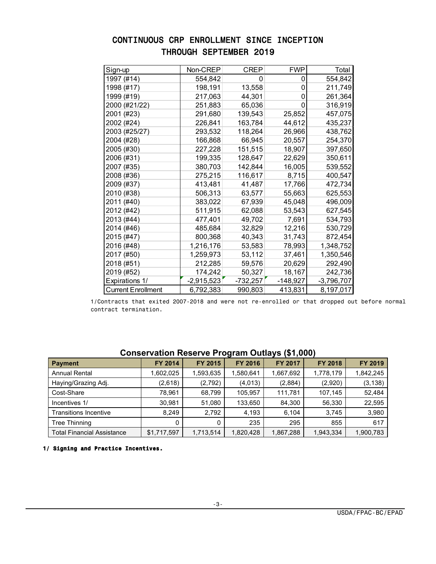| Sign-up                   | Non-CREP     | <b>CREP</b> | <b>FWP</b> | Total        |
|---------------------------|--------------|-------------|------------|--------------|
| 1997 (#14)                | 554,842      | 0           | 0          | 554,842      |
| 1998 (#17)                | 198,191      | 13,558      | 0          | 211,749      |
| 1999 (#19)                | 217,063      | 44,301      | 0          | 261,364      |
| 2000 (#21/22)             | 251,883      | 65,036      | 0          | 316,919      |
| 2001 (#23)                | 291,680      | 139,543     | 25,852     | 457,075      |
| 2002 (#24)                | 226,841      | 163,784     | 44,612     | 435,237      |
| 2003 (#25/27)             | 293,532      | 118,264     | 26,966     | 438,762      |
| 2004 (#28)                | 166,868      | 66,945      | 20,557     | 254,370      |
| 2005 (#30)                | 227,228      | 151,515     | 18,907     | 397,650      |
| 2006 (#31)                | 199,335      | 128,647     | 22,629     | 350,611      |
| 2007 (#35)                | 380,703      | 142,844     | 16,005     | 539,552      |
| 2008 (#36)                | 275,215      | 116,617     | 8,715      | 400,547      |
| 2009 (#37)                | 413,481      | 41,487      | 17,766     | 472,734      |
| 2010 (#38)                | 506,313      | 63,577      | 55,663     | 625,553      |
| 2011 (#40)                | 383,022      | 67,939      | 45,048     | 496,009      |
| 2012 (#42)                | 511,915      | 62,088      | 53,543     | 627,545      |
| 2013 (#44)                | 477,401      | 49,702      | 7,691      | 534,793      |
| 2014 (#46)                | 485,684      | 32,829      | 12,216     | 530,729      |
| 2015 (#47)                | 800,368      | 40,343      | 31,743     | 872,454      |
| 2016 (#48)                | 1,216,176    | 53,583      | 78,993     | 1,348,752    |
| 2017 (#50)                | 1,259,973    | 53,112      | 37,461     | 1,350,546    |
| 2018 (#51)                | 212,285      | 59,576      | 20,629     | 292,490      |
| 2019 (#52)                | 174,242      | 50,327      | 18,167     | 242,736      |
| <b>Expirations 1/</b>     | $-2,915,523$ | $-732,257$  | $-148,927$ | $-3,796,707$ |
| <b>Current Enrollment</b> | 6,792,383    | 990,803     | 413,831    | 8,197,017    |

#### CONTINUOUS CRP ENROLLMENT SINCE INCEPTION THROUGH SEPTEMBER 2019

 1/Contracts that exited 2007-2018 and were not re-enrolled or that dropped out before normal contract termination.

|                                   |             |                |                | .              |                |           |
|-----------------------------------|-------------|----------------|----------------|----------------|----------------|-----------|
| <b>Payment</b>                    | FY 2014     | <b>FY 2015</b> | <b>FY 2016</b> | <b>FY 2017</b> | <b>FY 2018</b> | FY 2019   |
| <b>Annual Rental</b>              | 1,602,025   | 1,593,635      | 1,580,641      | 1,667,692      | 1,778,179      | 1,842,245 |
| Haying/Grazing Adj.               | (2,618)     | (2,792)        | (4,013)        | (2,884)        | (2,920)        | (3, 138)  |
| Cost-Share                        | 78.961      | 68,799         | 105.957        | 111.781        | 107.145        | 52,484    |
| Incentives 1/                     | 30,981      | 51,080         | 133,650        | 84.300         | 56,330         | 22,595    |
| <b>Transitions Incentive</b>      | 8.249       | 2,792          | 4.193          | 6.104          | 3.745          | 3,980     |
| <b>Tree Thinning</b>              | 0           |                | 235            | 295            | 855            | 617       |
| <b>Total Financial Assistance</b> | \$1,717,597 | 1,713,514      | 1,820,428      | 1,867,288      | 1,943,334      | 1,900,783 |

#### **Conservation Reserve Program Outlays (\$1,000)**

 **1/ Signing and Practice Incentives.**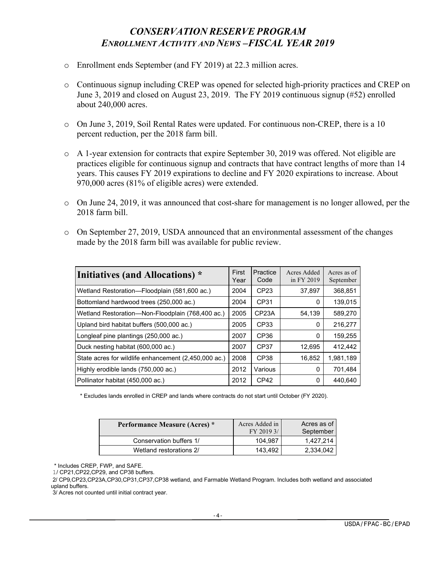#### *CONSERVATION RESERVE PROGRAM ENROLLMENT ACTIVITY AND NEWS –FISCAL YEAR 2019*

- o Enrollment ends September (and FY 2019) at 22.3 million acres.
- o Continuous signup including CREP was opened for selected high-priority practices and CREP on June 3, 2019 and closed on August 23, 2019. The FY 2019 continuous signup (#52) enrolled about 240,000 acres.
- o On June 3, 2019, Soil Rental Rates were updated. For continuous non-CREP, there is a 10 percent reduction, per the 2018 farm bill.
- $\circ$  A 1-year extension for contracts that expire September 30, 2019 was offered. Not eligible are practices eligible for continuous signup and contracts that have contract lengths of more than 14 years. This causes FY 2019 expirations to decline and FY 2020 expirations to increase. About 970,000 acres (81% of eligible acres) were extended.
- o On June 24, 2019, it was announced that cost-share for management is no longer allowed, per the 2018 farm bill.
- $\circ$  On September 27, 2019, USDA announced that an environmental assessment of the changes made by the 2018 farm bill was available for public review.

| Initiatives (and Allocations) *                      | First<br>Year | Practice<br>Code   | Acres Added<br>in FY 2019 | Acres as of<br>September |
|------------------------------------------------------|---------------|--------------------|---------------------------|--------------------------|
| Wetland Restoration-Floodplain (581,600 ac.)         | 2004          | CP23               | 37,897                    | 368,851                  |
| Bottomland hardwood trees (250,000 ac.)              | 2004          | CP31               | 0                         | 139,015                  |
| Wetland Restoration-Non-Floodplain (768,400 ac.)     | 2005          | CP <sub>23</sub> A | 54,139                    | 589,270                  |
| Upland bird habitat buffers (500,000 ac.)            | 2005          | CP33               | $\Omega$                  | 216,277                  |
| Longleaf pine plantings (250,000 ac.)                | 2007          | CP <sub>36</sub>   | 0                         | 159,255                  |
| Duck nesting habitat (600,000 ac.)                   | 2007          | CP <sub>37</sub>   | 12,695                    | 412,442                  |
| State acres for wildlife enhancement (2,450,000 ac.) | 2008          | CP38               | 16,852                    | 1,981,189                |
| Highly erodible lands (750,000 ac.)                  | 2012          | Various            | $\Omega$                  | 701,484                  |
| Pollinator habitat (450,000 ac.)                     | 2012          | CP <sub>42</sub>   | 0                         | 440.640                  |

\* Excludes lands enrolled in CREP and lands where contracts do not start until October (FY 2020).

| Performance Measure (Acres) * | Acres Added in<br>FY 2019 3/ | Acres as of<br>September |
|-------------------------------|------------------------------|--------------------------|
| Conservation buffers 1/       | 104.987                      | 1.427.214                |
| Wetland restorations 2/       | 143.492                      | 2,334,042                |

\* Includes CREP, FWP, and SAFE.

1/ CP21,CP22,CP29, and CP38 buffers.

 2/ CP9,CP23,CP23A,CP30,CP31,CP37,CP38 wetland, and Farmable Wetland Program. Includes both wetland and associated upland buffers.

3/ Acres not counted until initial contract year.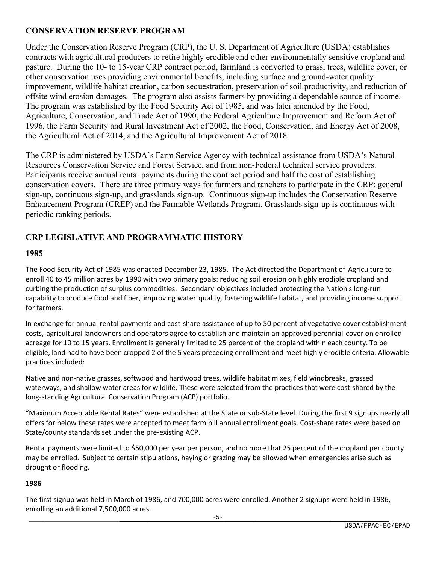#### **CONSERVATION RESERVE PROGRAM**

Under the Conservation Reserve Program (CRP), the U. S. Department of Agriculture (USDA) establishes contracts with agricultural producers to retire highly erodible and other environmentally sensitive cropland and pasture. During the 10- to 15-year CRP contract period, farmland is converted to grass, trees, wildlife cover, or other conservation uses providing environmental benefits, including surface and ground-water quality improvement, wildlife habitat creation, carbon sequestration, preservation of soil productivity, and reduction of offsite wind erosion damages. The program also assists farmers by providing a dependable source of income. The program was established by the Food Security Act of 1985, and was later amended by the Food, Agriculture, Conservation, and Trade Act of 1990, the Federal Agriculture Improvement and Reform Act of 1996, the Farm Security and Rural Investment Act of 2002, the Food, Conservation, and Energy Act of 2008, the Agricultural Act of 2014, and the Agricultural Improvement Act of 2018.

The CRP is administered by USDA's Farm Service Agency with technical assistance from USDA's Natural Resources Conservation Service and Forest Service, and from non-Federal technical service providers. Participants receive annual rental payments during the contract period and half the cost of establishing conservation covers. There are three primary ways for farmers and ranchers to participate in the CRP: general sign-up, continuous sign-up, and grasslands sign-up. Continuous sign-up includes the Conservation Reserve Enhancement Program (CREP) and the Farmable Wetlands Program. Grasslands sign-up is continuous with periodic ranking periods.

#### **CRP LEGISLATIVE AND PROGRAMMATIC HISTORY**

#### **1985**

The Food Security Act of 1985 was enacted December 23, 1985. The Act directed the Department of Agriculture to enroll 40 to 45 million acres by 1990 with two primary goals: reducing soil erosion on highly erodible cropland and curbing the production of surplus commodities. Secondary objectives included protecting the Nation's long-run capability to produce food and fiber, improving water quality, fostering wildlife habitat, and providing income support for farmers.

In exchange for annual rental payments and cost-share assistance of up to 50 percent of vegetative cover establishment costs, agricultural landowners and operators agree to establish and maintain an approved perennial cover on enrolled acreage for 10 to 15 years. Enrollment is generally limited to 25 percent of the cropland within each county. To be eligible, land had to have been cropped 2 of the 5 years preceding enrollment and meet highly erodible criteria. Allowable practices included:

Native and non-native grasses, softwood and hardwood trees, wildlife habitat mixes, field windbreaks, grassed waterways, and shallow water areas for wildlife. These were selected from the practices that were cost-shared by the long-standing Agricultural Conservation Program (ACP) portfolio.

"Maximum Acceptable Rental Rates" were established at the State or sub-State level. During the first 9 signups nearly all offers for below these rates were accepted to meet farm bill annual enrollment goals. Cost-share rates were based on State/county standards set under the pre-existing ACP.

Rental payments were limited to \$50,000 per year per person, and no more that 25 percent of the cropland per county may be enrolled. Subject to certain stipulations, haying or grazing may be allowed when emergencies arise such as drought or flooding.

#### **1986**

The first signup was held in March of 1986, and 700,000 acres were enrolled. Another 2 signups were held in 1986, enrolling an additional 7,500,000 acres.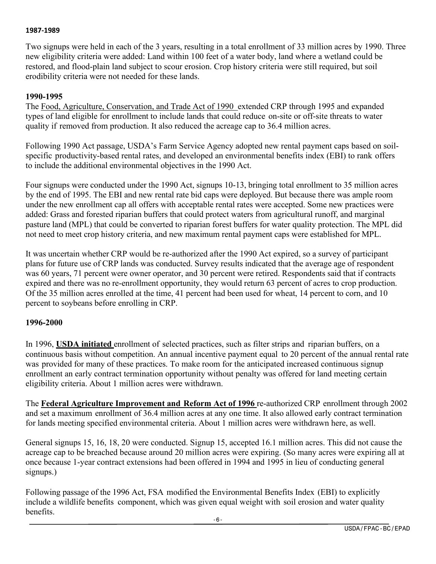#### **1987-1989**

Two signups were held in each of the 3 years, resulting in a total enrollment of 33 million acres by 1990. Three new eligibility criteria were added: Land within 100 feet of a water body, land where a wetland could be restored, and flood-plain land subject to scour erosion. Crop history criteria were still required, but soil erodibility criteria were not needed for these lands.

#### **1990-1995**

The Food, Agriculture, Conservation, and Trade Act of 1990 extended CRP through 1995 and expanded types of land eligible for enrollment to include lands that could reduce on-site or off-site threats to water quality if removed from production. It also reduced the acreage cap to 36.4 million acres.

Following 1990 Act passage, USDA's Farm Service Agency adopted new rental payment caps based on soilspecific productivity-based rental rates, and developed an environmental benefits index (EBI) to rank offers to include the additional environmental objectives in the 1990 Act.

Four signups were conducted under the 1990 Act, signups 10-13, bringing total enrollment to 35 million acres by the end of 1995. The EBI and new rental rate bid caps were deployed. But because there was ample room under the new enrollment cap all offers with acceptable rental rates were accepted. Some new practices were added: Grass and forested riparian buffers that could protect waters from agricultural runoff, and marginal pasture land (MPL) that could be converted to riparian forest buffers for water quality protection. The MPL did not need to meet crop history criteria, and new maximum rental payment caps were established for MPL.

It was uncertain whether CRP would be re-authorized after the 1990 Act expired, so a survey of participant plans for future use of CRP lands was conducted. Survey results indicated that the average age of respondent was 60 years, 71 percent were owner operator, and 30 percent were retired. Respondents said that if contracts expired and there was no re-enrollment opportunity, they would return 63 percent of acres to crop production. Of the 35 million acres enrolled at the time, 41 percent had been used for wheat, 14 percent to corn, and 10 percent to soybeans before enrolling in CRP.

#### **1996-2000**

In 1996, **USDA initiated** enrollment of selected practices, such as filter strips and riparian buffers, on a continuous basis without competition. An annual incentive payment equal to 20 percent of the annual rental rate was provided for many of these practices. To make room for the anticipated increased continuous signup enrollment an early contract termination opportunity without penalty was offered for land meeting certain eligibility criteria. About 1 million acres were withdrawn.

The **Federal Agriculture Improvement and Reform Act of 1996** re-authorized CRP enrollment through 2002 and set a maximum enrollment of 36.4 million acres at any one time. It also allowed early contract termination for lands meeting specified environmental criteria. About 1 million acres were withdrawn here, as well.

General signups 15, 16, 18, 20 were conducted. Signup 15, accepted 16.1 million acres. This did not cause the acreage cap to be breached because around 20 million acres were expiring. (So many acres were expiring all at once because 1-year contract extensions had been offered in 1994 and 1995 in lieu of conducting general signups.)

Following passage of the 1996 Act, FSA modified the Environmental Benefits Index (EBI) to explicitly include a wildlife benefits component, which was given equal weight with soil erosion and water quality benefits.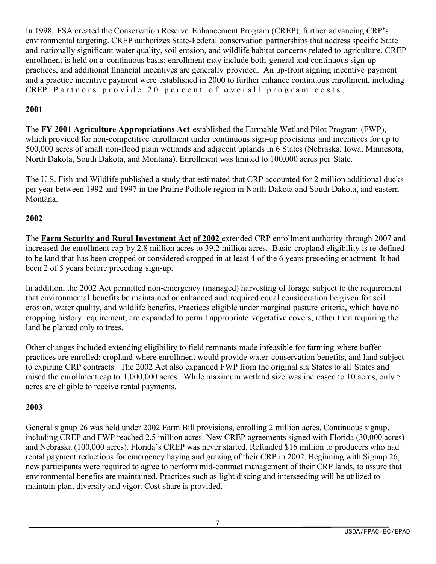In 1998, FSA created the Conservation Reserve Enhancement Program (CREP), further advancing CRP's environmental targeting. CREP authorizes State-Federal conservation partnerships that address specific State and nationally significant water quality, soil erosion, and wildlife habitat concerns related to agriculture. CREP enrollment is held on a continuous basis; enrollment may include both general and continuous sign-up practices, and additional financial incentives are generally provided. An up-front signing incentive payment and a practice incentive payment were established in 2000 to further enhance continuous enrollment, including CREP. Partners provide 20 percent of overall program costs.

#### **2001**

The **FY 2001 Agriculture Appropriations Act** established the Farmable Wetland Pilot Program (FWP), which provided for non-competitive enrollment under continuous sign-up provisions and incentives for up to 500,000 acres of small non-flood plain wetlands and adjacent uplands in 6 States (Nebraska, Iowa, Minnesota, North Dakota, South Dakota, and Montana). Enrollment was limited to 100,000 acres per State.

The U.S. Fish and Wildlife published a study that estimated that CRP accounted for 2 million additional ducks per year between 1992 and 1997 in the Prairie Pothole region in North Dakota and South Dakota, and eastern Montana.

#### **2002**

The **Farm Security and Rural Investment Act of 2002** extended CRP enrollment authority through 2007 and increased the enrollment cap by 2.8 million acres to 39.2 million acres. Basic cropland eligibility is re-defined to be land that has been cropped or considered cropped in at least 4 of the 6 years preceding enactment. It had been 2 of 5 years before preceding sign-up.

In addition, the 2002 Act permitted non-emergency (managed) harvesting of forage subject to the requirement that environmental benefits be maintained or enhanced and required equal consideration be given for soil erosion, water quality, and wildlife benefits. Practices eligible under marginal pasture criteria, which have no cropping history requirement, are expanded to permit appropriate vegetative covers, rather than requiring the land be planted only to trees.

Other changes included extending eligibility to field remnants made infeasible for farming where buffer practices are enrolled; cropland where enrollment would provide water conservation benefits; and land subject to expiring CRP contracts. The 2002 Act also expanded FWP from the original six States to all States and raised the enrollment cap to 1,000,000 acres. While maximum wetland size was increased to 10 acres, only 5 acres are eligible to receive rental payments.

#### **2003**

General signup 26 was held under 2002 Farm Bill provisions, enrolling 2 million acres. Continuous signup, including CREP and FWP reached 2.5 million acres. New CREP agreements signed with Florida (30,000 acres) and Nebraska (100,000 acres). Florida's CREP was never started. Refunded \$16 million to producers who had rental payment reductions for emergency haying and grazing of their CRP in 2002. Beginning with Signup 26, new participants were required to agree to perform mid-contract management of their CRP lands, to assure that environmental benefits are maintained. Practices such as light discing and interseeding will be utilized to maintain plant diversity and vigor. Cost-share is provided.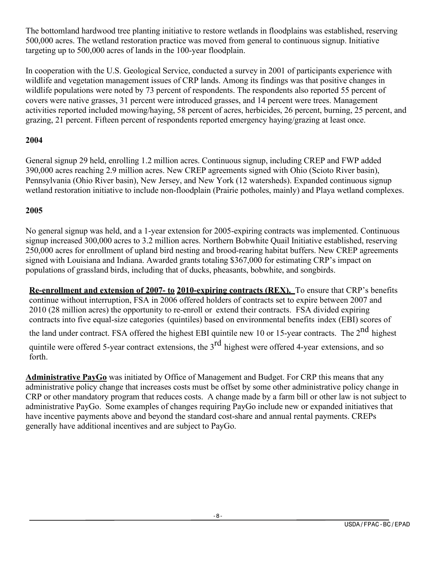The bottomland hardwood tree planting initiative to restore wetlands in floodplains was established, reserving 500,000 acres. The wetland restoration practice was moved from general to continuous signup. Initiative targeting up to 500,000 acres of lands in the 100-year floodplain.

In cooperation with the U.S. Geological Service, conducted a survey in 2001 of participants experience with wildlife and vegetation management issues of CRP lands. Among its findings was that positive changes in wildlife populations were noted by 73 percent of respondents. The respondents also reported 55 percent of covers were native grasses, 31 percent were introduced grasses, and 14 percent were trees. Management activities reported included mowing/haying, 58 percent of acres, herbicides, 26 percent, burning, 25 percent, and grazing, 21 percent. Fifteen percent of respondents reported emergency haying/grazing at least once.

#### **2004**

General signup 29 held, enrolling 1.2 million acres. Continuous signup, including CREP and FWP added 390,000 acres reaching 2.9 million acres. New CREP agreements signed with Ohio (Scioto River basin), Pennsylvania (Ohio River basin), New Jersey, and New York (12 watersheds). Expanded continuous signup wetland restoration initiative to include non-floodplain (Prairie potholes, mainly) and Playa wetland complexes.

#### **2005**

No general signup was held, and a 1-year extension for 2005-expiring contracts was implemented. Continuous signup increased 300,000 acres to 3.2 million acres. Northern Bobwhite Quail Initiative established, reserving 250,000 acres for enrollment of upland bird nesting and brood-rearing habitat buffers. New CREP agreements signed with Louisiana and Indiana. Awarded grants totaling \$367,000 for estimating CRP's impact on populations of grassland birds, including that of ducks, pheasants, bobwhite, and songbirds.

**Re-enrollment and extension of 2007- to 2010-expiring contracts (REX).** To ensure that CRP's benefits continue without interruption, FSA in 2006 offered holders of contracts set to expire between 2007 and 2010 (28 million acres) the opportunity to re-enroll or extend their contracts. FSA divided expiring contracts into five equal-size categories (quintiles) based on environmental benefits index (EBI) scores of the land under contract. FSA offered the highest EBI quintile new 10 or 15-year contracts. The  $2^{nd}$  highest quintile were offered 5-year contract extensions, the  $3<sup>rd</sup>$  highest were offered 4-year extensions, and so forth.

**Administrative PayGo** was initiated by Office of Management and Budget. For CRP this means that any administrative policy change that increases costs must be offset by some other administrative policy change in CRP or other mandatory program that reduces costs. A change made by a farm bill or other law is not subject to administrative PayGo. Some examples of changes requiring PayGo include new or expanded initiatives that have incentive payments above and beyond the standard cost-share and annual rental payments. CREPs generally have additional incentives and are subject to PayGo.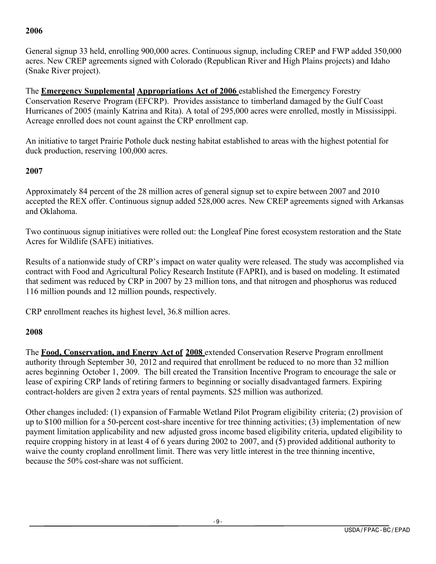#### **2006**

General signup 33 held, enrolling 900,000 acres. Continuous signup, including CREP and FWP added 350,000 acres. New CREP agreements signed with Colorado (Republican River and High Plains projects) and Idaho (Snake River project).

The **Emergency Supplemental Appropriations Act of 2006** established the Emergency Forestry Conservation Reserve Program (EFCRP). Provides assistance to timberland damaged by the Gulf Coast Hurricanes of 2005 (mainly Katrina and Rita). A total of 295,000 acres were enrolled, mostly in Mississippi. Acreage enrolled does not count against the CRP enrollment cap.

An initiative to target Prairie Pothole duck nesting habitat established to areas with the highest potential for duck production, reserving 100,000 acres.

#### **2007**

Approximately 84 percent of the 28 million acres of general signup set to expire between 2007 and 2010 accepted the REX offer. Continuous signup added 528,000 acres. New CREP agreements signed with Arkansas and Oklahoma.

Two continuous signup initiatives were rolled out: the Longleaf Pine forest ecosystem restoration and the State Acres for Wildlife (SAFE) initiatives.

Results of a nationwide study of CRP's impact on water quality were released. The study was accomplished via contract with Food and Agricultural Policy Research Institute (FAPRI), and is based on modeling. It estimated that sediment was reduced by CRP in 2007 by 23 million tons, and that nitrogen and phosphorus was reduced 116 million pounds and 12 million pounds, respectively.

CRP enrollment reaches its highest level, 36.8 million acres.

#### **2008**

The **Food, Conservation, and Energy Act of 2008** extended Conservation Reserve Program enrollment authority through September 30, 2012 and required that enrollment be reduced to no more than 32 million acres beginning October 1, 2009. The bill created the Transition Incentive Program to encourage the sale or lease of expiring CRP lands of retiring farmers to beginning or socially disadvantaged farmers. Expiring contract-holders are given 2 extra years of rental payments. \$25 million was authorized.

Other changes included: (1) expansion of Farmable Wetland Pilot Program eligibility criteria; (2) provision of up to \$100 million for a 50-percent cost-share incentive for tree thinning activities; (3) implementation of new payment limitation applicability and new adjusted gross income based eligibility criteria, updated eligibility to require cropping history in at least 4 of 6 years during 2002 to 2007, and (5) provided additional authority to waive the county cropland enrollment limit. There was very little interest in the tree thinning incentive, because the 50% cost-share was not sufficient.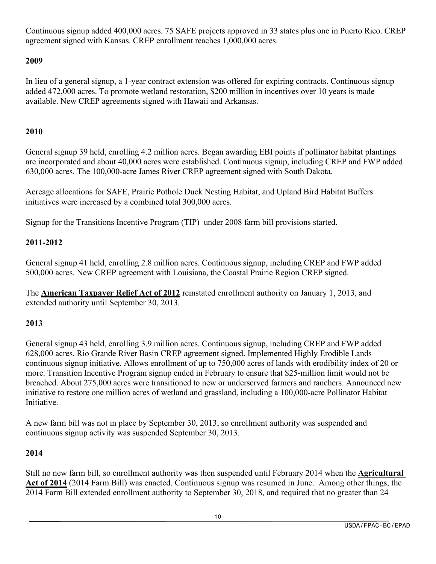Continuous signup added 400,000 acres. 75 SAFE projects approved in 33 states plus one in Puerto Rico. CREP agreement signed with Kansas. CREP enrollment reaches 1,000,000 acres.

#### **2009**

In lieu of a general signup, a 1-year contract extension was offered for expiring contracts. Continuous signup added 472,000 acres. To promote wetland restoration, \$200 million in incentives over 10 years is made available. New CREP agreements signed with Hawaii and Arkansas.

#### **2010**

General signup 39 held, enrolling 4.2 million acres. Began awarding EBI points if pollinator habitat plantings are incorporated and about 40,000 acres were established. Continuous signup, including CREP and FWP added 630,000 acres. The 100,000-acre James River CREP agreement signed with South Dakota.

Acreage allocations for SAFE, Prairie Pothole Duck Nesting Habitat, and Upland Bird Habitat Buffers initiatives were increased by a combined total 300,000 acres.

Signup for the Transitions Incentive Program (TIP) under 2008 farm bill provisions started.

#### **2011-2012**

General signup 41 held, enrolling 2.8 million acres. Continuous signup, including CREP and FWP added 500,000 acres. New CREP agreement with Louisiana, the Coastal Prairie Region CREP signed.

The **American Taxpayer Relief Act of 2012** reinstated enrollment authority on January 1, 2013, and extended authority until September 30, 2013.

#### **2013**

General signup 43 held, enrolling 3.9 million acres. Continuous signup, including CREP and FWP added 628,000 acres. Rio Grande River Basin CREP agreement signed. Implemented Highly Erodible Lands continuous signup initiative. Allows enrollment of up to 750,000 acres of lands with erodibility index of 20 or more. Transition Incentive Program signup ended in February to ensure that \$25-million limit would not be breached. About 275,000 acres were transitioned to new or underserved farmers and ranchers. Announced new initiative to restore one million acres of wetland and grassland, including a 100,000-acre Pollinator Habitat Initiative.

A new farm bill was not in place by September 30, 2013, so enrollment authority was suspended and continuous signup activity was suspended September 30, 2013.

#### **2014**

Still no new farm bill, so enrollment authority was then suspended until February 2014 when the **Agricultural Act of 2014** (2014 Farm Bill) was enacted. Continuous signup was resumed in June. Among other things, the 2014 Farm Bill extended enrollment authority to September 30, 2018, and required that no greater than 24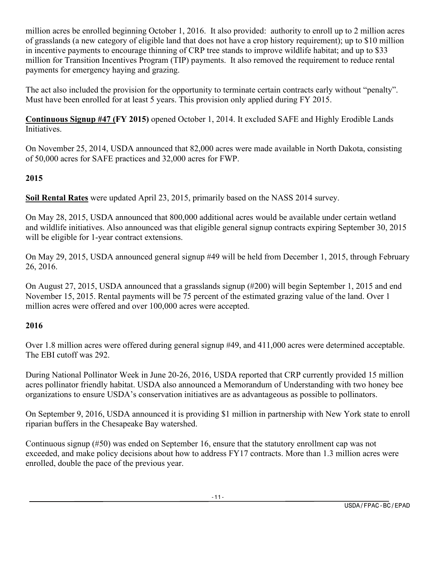million acres be enrolled beginning October 1, 2016. It also provided: authority to enroll up to 2 million acres of grasslands (a new category of eligible land that does not have a crop history requirement); up to \$10 million in incentive payments to encourage thinning of CRP tree stands to improve wildlife habitat; and up to \$33 million for Transition Incentives Program (TIP) payments. It also removed the requirement to reduce rental payments for emergency haying and grazing.

The act also included the provision for the opportunity to terminate certain contracts early without "penalty". Must have been enrolled for at least 5 years. This provision only applied during FY 2015.

**Continuous Signup #47 (FY 2015)** opened October 1, 2014. It excluded SAFE and Highly Erodible Lands Initiatives.

On November 25, 2014, USDA announced that 82,000 acres were made available in North Dakota, consisting of 50,000 acres for SAFE practices and 32,000 acres for FWP.

#### **2015**

**Soil Rental Rates** were updated April 23, 2015, primarily based on the NASS 2014 survey.

On May 28, 2015, USDA announced that 800,000 additional acres would be available under certain wetland and wildlife initiatives. Also announced was that eligible general signup contracts expiring September 30, 2015 will be eligible for 1-year contract extensions.

On May 29, 2015, USDA announced general signup #49 will be held from December 1, 2015, through February 26, 2016.

On August 27, 2015, USDA announced that a grasslands signup (#200) will begin September 1, 2015 and end November 15, 2015. Rental payments will be 75 percent of the estimated grazing value of the land. Over 1 million acres were offered and over 100,000 acres were accepted.

#### **2016**

Over 1.8 million acres were offered during general signup #49, and 411,000 acres were determined acceptable. The EBI cutoff was 292.

During National Pollinator Week in June 20-26, 2016, USDA reported that CRP currently provided 15 million acres pollinator friendly habitat. USDA also announced a Memorandum of Understanding with two honey bee organizations to ensure USDA's conservation initiatives are as advantageous as possible to pollinators.

On September 9, 2016, USDA announced it is providing \$1 million in partnership with New York state to enroll riparian buffers in the Chesapeake Bay watershed.

Continuous signup (#50) was ended on September 16, ensure that the statutory enrollment cap was not exceeded, and make policy decisions about how to address FY17 contracts. More than 1.3 million acres were enrolled, double the pace of the previous year.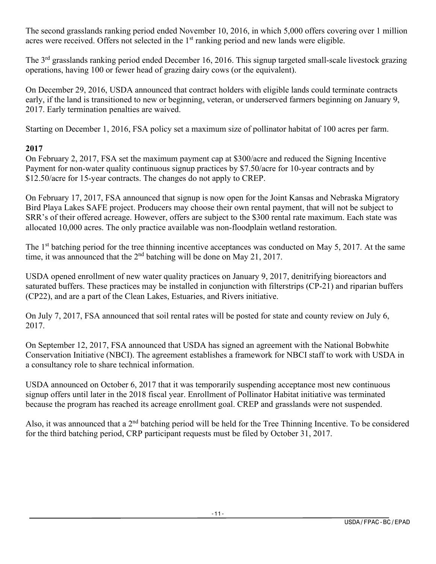The second grasslands ranking period ended November 10, 2016, in which 5,000 offers covering over 1 million acres were received. Offers not selected in the 1<sup>st</sup> ranking period and new lands were eligible.

The 3<sup>rd</sup> grasslands ranking period ended December 16, 2016. This signup targeted small-scale livestock grazing operations, having 100 or fewer head of grazing dairy cows (or the equivalent).

On December 29, 2016, USDA announced that contract holders with eligible lands could terminate contracts early, if the land is transitioned to new or beginning, veteran, or underserved farmers beginning on January 9, 2017. Early termination penalties are waived.

Starting on December 1, 2016, FSA policy set a maximum size of pollinator habitat of 100 acres per farm.

#### **2017**

On February 2, 2017, FSA set the maximum payment cap at \$300/acre and reduced the Signing Incentive Payment for non-water quality continuous signup practices by \$7.50/acre for 10-year contracts and by \$12.50/acre for 15-year contracts. The changes do not apply to CREP.

On February 17, 2017, FSA announced that signup is now open for the Joint Kansas and Nebraska Migratory Bird Playa Lakes SAFE project. Producers may choose their own rental payment, that will not be subject to SRR's of their offered acreage. However, offers are subject to the \$300 rental rate maximum. Each state was allocated 10,000 acres. The only practice available was non-floodplain wetland restoration.

The 1<sup>st</sup> batching period for the tree thinning incentive acceptances was conducted on May 5, 2017. At the same time, it was announced that the  $2<sup>nd</sup>$  batching will be done on May 21, 2017.

USDA opened enrollment of new water quality practices on January 9, 2017, denitrifying bioreactors and saturated buffers. These practices may be installed in conjunction with filterstrips (CP-21) and riparian buffers (CP22), and are a part of the Clean Lakes, Estuaries, and Rivers initiative.

On July 7, 2017, FSA announced that soil rental rates will be posted for state and county review on July 6, 2017.

On September 12, 2017, FSA announced that USDA has signed an agreement with the National Bobwhite Conservation Initiative (NBCI). The agreement establishes a framework for NBCI staff to work with USDA in a consultancy role to share technical information.

USDA announced on October 6, 2017 that it was temporarily suspending acceptance most new continuous signup offers until later in the 2018 fiscal year. Enrollment of Pollinator Habitat initiative was terminated because the program has reached its acreage enrollment goal. CREP and grasslands were not suspended.

Also, it was announced that a  $2<sup>nd</sup>$  batching period will be held for the Tree Thinning Incentive. To be considered for the third batching period, CRP participant requests must be filed by October 31, 2017.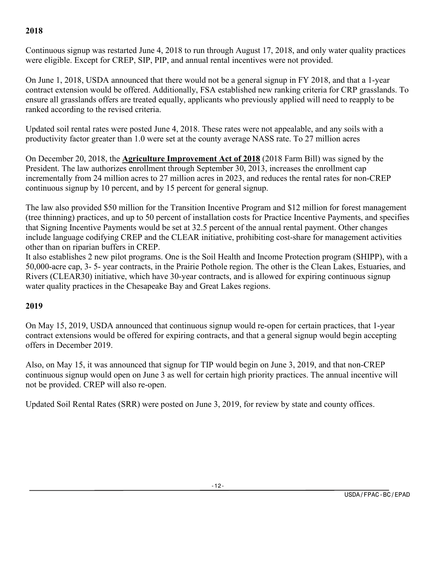#### **2018**

Continuous signup was restarted June 4, 2018 to run through August 17, 2018, and only water quality practices were eligible. Except for CREP, SIP, PIP, and annual rental incentives were not provided.

On June 1, 2018, USDA announced that there would not be a general signup in FY 2018, and that a 1-year contract extension would be offered. Additionally, FSA established new ranking criteria for CRP grasslands. To ensure all grasslands offers are treated equally, applicants who previously applied will need to reapply to be ranked according to the revised criteria.

Updated soil rental rates were posted June 4, 2018. These rates were not appealable, and any soils with a productivity factor greater than 1.0 were set at the county average NASS rate. To 27 million acres

On December 20, 2018, the **Agriculture Improvement Act of 2018** (2018 Farm Bill) was signed by the President. The law authorizes enrollment through September 30, 2013, increases the enrollment cap incrementally from 24 million acres to 27 million acres in 2023, and reduces the rental rates for non-CREP continuous signup by 10 percent, and by 15 percent for general signup.

The law also provided \$50 million for the Transition Incentive Program and \$12 million for forest management (tree thinning) practices, and up to 50 percent of installation costs for Practice Incentive Payments, and specifies that Signing Incentive Payments would be set at 32.5 percent of the annual rental payment. Other changes include language codifying CREP and the CLEAR initiative, prohibiting cost-share for management activities other than on riparian buffers in CREP.

It also establishes 2 new pilot programs. One is the Soil Health and Income Protection program (SHIPP), with a 50,000-acre cap, 3- 5- year contracts, in the Prairie Pothole region. The other is the Clean Lakes, Estuaries, and Rivers (CLEAR30) initiative, which have 30-year contracts, and is allowed for expiring continuous signup water quality practices in the Chesapeake Bay and Great Lakes regions.

#### **2019**

On May 15, 2019, USDA announced that continuous signup would re-open for certain practices, that 1-year contract extensions would be offered for expiring contracts, and that a general signup would begin accepting offers in December 2019.

Also, on May 15, it was announced that signup for TIP would begin on June 3, 2019, and that non-CREP continuous signup would open on June 3 as well for certain high priority practices. The annual incentive will not be provided. CREP will also re-open.

Updated Soil Rental Rates (SRR) were posted on June 3, 2019, for review by state and county offices.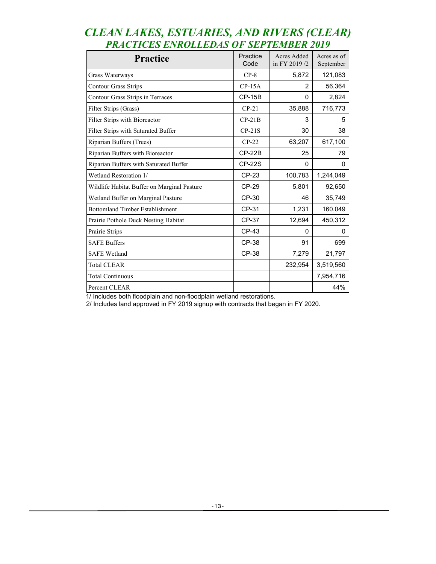| <b>Practice</b>                             | Practice<br>Code | Acres Added<br>in FY 2019/2 | Acres as of<br>September |
|---------------------------------------------|------------------|-----------------------------|--------------------------|
| Grass Waterways                             | $CP-8$           | 5,872                       | 121,083                  |
| <b>Contour Grass Strips</b>                 | $CP-15A$         | $\mathfrak{p}$              | 56,364                   |
| Contour Grass Strips in Terraces            | <b>CP-15B</b>    | $\Omega$                    | 2,824                    |
| Filter Strips (Grass)                       | $CP-21$          | 35,888                      | 716,773                  |
| Filter Strips with Bioreactor               | $CP-21B$         | 3                           | 5                        |
| Filter Strips with Saturated Buffer         | $CP-21S$         | 30                          | 38                       |
| Riparian Buffers (Trees)                    | $CP-22$          | 63,207                      | 617,100                  |
| Riparian Buffers with Bioreactor            | $CP-22B$         | 25                          | 79                       |
| Riparian Buffers with Saturated Buffer      | <b>CP-22S</b>    | 0                           | 0                        |
| Wetland Restoration 1/                      | <b>CP-23</b>     | 100,783                     | 1,244,049                |
| Wildlife Habitat Buffer on Marginal Pasture | <b>CP-29</b>     | 5,801                       | 92,650                   |
| Wetland Buffer on Marginal Pasture          | CP-30            | 46                          | 35,749                   |
| <b>Bottomland Timber Establishment</b>      | CP-31            | 1,231                       | 160,049                  |
| Prairie Pothole Duck Nesting Habitat        | <b>CP-37</b>     | 12,694                      | 450,312                  |
| Prairie Strips                              | CP-43            | $\mathbf{0}$                | 0                        |
| <b>SAFE Buffers</b>                         | <b>CP-38</b>     | 91                          | 699                      |
| <b>SAFE Wetland</b>                         | CP-38            | 7,279                       | 21,797                   |
| <b>Total CLEAR</b>                          |                  | 232,954                     | 3,519,560                |
| <b>Total Continuous</b>                     |                  |                             | 7,954,716                |
| Percent CLEAR                               |                  |                             | 44%                      |

#### *CLEAN LAKES, ESTUARIES, AND RIVERS (CLEAR) PRACTICES ENROLLEDAS OF SEPTEMBER 2019*

1/ Includes both floodplain and non-floodplain wetland restorations.

2/ Includes land approved in FY 2019 signup with contracts that began in FY 2020.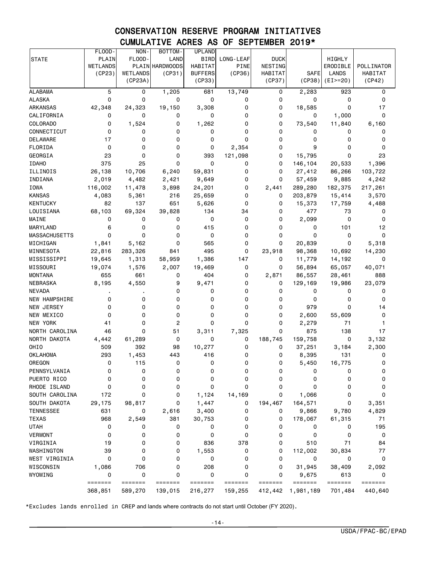#### CONSERVATION RESERVE PROGRAM INITIATIVES CUMULATIVE ACRES AS OF SEPTEMBER 2019\*

|                      | FLOOD-             | NON-                | BOTTOM-                            | <b>UPLAND</b>            |                    |                    |                                                                               |                            |                    |
|----------------------|--------------------|---------------------|------------------------------------|--------------------------|--------------------|--------------------|-------------------------------------------------------------------------------|----------------------------|--------------------|
| <b>STATE</b>         | PLAIN              | FLOOD-              | LAND                               | <b>BIRD</b>              | LONG-LEAF          | <b>DUCK</b>        |                                                                               | HIGHLY                     |                    |
|                      | WETLANDS           |                     | PLAIN HARDWOODS                    | <b>HABITAT</b>           | PINE               | NESTING            |                                                                               | ERODIBLE                   | POLLINATOR         |
|                      | (CP23)             | WETLANDS<br>(CP23A) | (CP31)                             | <b>BUFFERS</b><br>(CP33) | (CP36)             | HABITAT<br>(CP37)  | <b>SAFE</b><br>(CP38)                                                         | <b>LANDS</b><br>$(EI>=20)$ | HABITAT<br>(CP42)  |
|                      |                    |                     |                                    |                          |                    |                    |                                                                               |                            |                    |
| <b>ALABAMA</b>       | 5                  | 0                   | 1,205                              | 681                      | 13,749             | 0                  | 2,283                                                                         | 923                        | 0                  |
| <b>ALASKA</b>        | 0                  | 0                   | 0                                  | 0                        | 0                  | 0                  | 0                                                                             | 0                          | 0                  |
| <b>ARKANSAS</b>      | 42,348             | 24,323              | 19,150                             | 3,308                    | 0                  | 0                  | 18,585                                                                        | 0                          | 17                 |
| CALIFORNIA           | 0                  | 0                   | 0                                  | 0                        | 0                  | 0                  | 0                                                                             | 1,000                      | 0                  |
| COLORADO             | 0                  | 1,524               | 0                                  | 1,262                    | 0                  | 0                  | 73,540                                                                        | 11,840                     | 6,160              |
| CONNECTICUT          | 0                  | 0                   | 0                                  | 0                        | 0                  | 0                  | 0                                                                             | 0                          | 0                  |
| DELAWARE             | 17                 | 0                   | 0                                  | 0                        | 0                  | 0                  | 0                                                                             | 0                          | 0                  |
| FLORIDA              | 0                  | 0                   | 0                                  | 0                        | 2,354              | 0                  | 9                                                                             | 0                          | 0                  |
| GEORGIA              | 23                 | 0                   | 0                                  | 393                      | 121,098            | 0                  | 15,795                                                                        | 0                          | 23                 |
| <b>IDAHO</b>         | 375                | 25                  | 0                                  | 0                        | 0                  | 0                  | 146,104                                                                       | 20,533                     | 1,396              |
| ILLINOIS             | 26,138             | 10,706              | 6,240                              | 59,831                   | 0                  | 0                  | 27,412                                                                        | 86,266                     | 103,722            |
| INDIANA              | 2,019              | 4,482               | 2,421                              | 9,649                    | 0                  | 0                  | 57,459                                                                        | 9,885                      | 4,242              |
| <b>IOWA</b>          | 116,002            | 11,478              | 3,898                              | 24,201                   | 0                  | 2,441              | 289,280                                                                       | 182,375                    | 217,261            |
| <b>KANSAS</b>        | 4,083              | 5,361               | 216                                | 25,659                   | 0                  | 0                  | 203,879                                                                       | 15,414                     | 3,570              |
| <b>KENTUCKY</b>      | 82                 | 137                 | 651                                | 5,626                    | 0                  | 0                  | 15,373                                                                        | 17,759                     | 4,488              |
| LOUISIANA            | 68,103             | 69,324              | 39,828                             | 134                      | 34                 | 0                  | 477                                                                           | 73                         | 0                  |
| MAINE                | 0                  | 0                   | 0                                  | 0                        | 0                  | 0                  | 2,099                                                                         | 0                          | 0                  |
| <b>MARYLAND</b>      | 6                  | 0                   | 0                                  | 415                      | 0                  | 0                  | 0                                                                             | 101                        | 12                 |
| <b>MASSACHUSETTS</b> | 0                  | 0                   | 0                                  | 0                        | 0                  | 0                  | 0                                                                             | 0                          | 0                  |
| MICHIGAN             | 1,841              | 5,162               | 0                                  | 565                      | 0                  | 0                  | 20,839                                                                        | 0                          | 5,318              |
| MINNESOTA            | 22,816             | 283,326             | 841                                | 495                      | 0                  | 23,918             | 98,368                                                                        | 10,692                     | 14,230             |
| MISSISSIPPI          | 19,645             | 1,313               | 58,959                             | 1,386                    | 147                | 0                  | 11,779                                                                        | 14,192                     | 0                  |
| MISSOURI             | 19,074             | 1,576               | 2,007                              | 19,469                   | 0                  | 0                  | 56,894                                                                        | 65,057                     | 40,071             |
| <b>MONTANA</b>       | 655                | 661                 | 0                                  | 404                      | 0                  | 2,871              | 86,557                                                                        | 28,461                     | 888                |
| NEBRASKA             | 8,195              | 4,550               | 9                                  | 9,471                    | 0                  | 0                  | 129,169                                                                       | 19,986                     | 23,079             |
| <b>NEVADA</b>        |                    |                     | 0                                  | 0                        | 0                  | 0                  | 0                                                                             | 0                          | 0                  |
| NEW HAMPSHIRE        | 0                  | 0                   | 0                                  | 0                        | 0                  | 0                  | 0                                                                             | 0                          | 0                  |
| NEW JERSEY           | 0                  | 0                   | 0                                  | 0                        | 0                  | 0                  | 979                                                                           | 0                          | 14                 |
| NEW MEXICO           | 0                  | 0                   | 0                                  | 0                        | $\mathbf 0$        | 0                  | 2,600                                                                         | 55,609                     | 0                  |
| NEW YORK             | 41                 | 0                   | 2                                  | 0                        | 0                  | 0                  | 2,279                                                                         | 71                         | 1                  |
| NORTH CAROLINA       | 46                 | 0                   | 51                                 | 3,311                    | 7,325              | 0                  | 875                                                                           | 138                        | 17                 |
| NORTH DAKOTA         | 4,442              | 61,289              | 0                                  | 0                        | 0                  | 188,745            | 159,758                                                                       | 0                          | 3,132              |
| OHIO                 | 509                | 392                 | 98                                 | 10,277                   | 0                  | 0                  | 37,251                                                                        | 3,184                      | 2,300              |
| <b>OKLAHOMA</b>      | 293                | 1,453               | 443                                | 416                      | 0                  | 0                  | 8,395                                                                         | 131                        | 0                  |
| OREGON               | 0                  | 115                 | 0                                  | 0                        | 0                  | 0                  | 5,450                                                                         | 16,775                     | 0                  |
| PENNSYLVANIA         | 0                  | 0                   | 0                                  | 0                        | 0                  | 0                  | 0                                                                             | 0                          | 0                  |
| PUERTO RICO          | 0                  | 0                   | 0                                  | 0                        | 0                  | 0                  | 0                                                                             | 0                          | 0                  |
| RHODE ISLAND         | 0                  | 0                   | 0                                  | 0                        | 0                  | 0                  | 0                                                                             | 0                          | 0                  |
| SOUTH CAROLINA       | 172                | 0                   | 0                                  | 1,124                    | 14,169             | 0                  | 1,066                                                                         | 0                          | 0                  |
| SOUTH DAKOTA         | 29,175             | 98,817              | 0                                  | 1,447                    | 0                  | 194,467            | 164,571                                                                       | 0                          | 3,351              |
| <b>TENNESSEE</b>     | 631                | 0                   | 2,616                              | 3,400                    | 0                  | 0                  | 9,866                                                                         | 9,780                      | 4,829              |
| <b>TEXAS</b>         | 968                | 2,549               | 381                                | 30,753                   | 0                  | 0                  | 178,067                                                                       | 61,315                     | 71                 |
| <b>UTAH</b>          | 0                  | 0                   | 0                                  | 0                        | 0                  | 0                  | 0                                                                             | 0                          | 195                |
| <b>VERMONT</b>       | $\mathbf 0$        | 0                   | 0                                  | 0                        | 0                  | 0                  | 0                                                                             | 0                          | 0                  |
| VIRGINIA             | 19                 | 0                   | 0                                  | 836                      | 378                | 0                  | 510                                                                           | 71                         | 84                 |
| WASHINGTON           | 39                 | 0                   | 0                                  | 1,553                    | 0                  | 0                  | 112,002                                                                       | 30,834                     | 77                 |
| WEST VIRGINIA        | 0                  | 0                   | 0                                  | 0                        | 0                  | 0                  | 0                                                                             | 0                          | 0                  |
| WISCONSIN            | 1,086              | 706                 | 0                                  | 208                      | 0                  | 0                  | 31,945                                                                        | 38,409                     | 2,092              |
| WYOMING              | 0                  | 0                   | 0                                  | 0                        | $\mathbf 0$        | 0                  | 9,675                                                                         | 613                        | 0                  |
|                      | =======<br>368,851 | =======<br>589,270  | $=$ $=$ $=$ $=$ $=$ $=$<br>139,015 | =======<br>216,277       | =======<br>159,255 | =======<br>412,442 | $\qquad \qquad \equiv \equiv \equiv \equiv \equiv \equiv \equiv$<br>1,981,189 | =======<br>701,484         | =======<br>440,640 |
|                      |                    |                     |                                    |                          |                    |                    |                                                                               |                            |                    |

\*Excludes lands enrolled in CREP and lands where contracts do not start until October (FY 2020).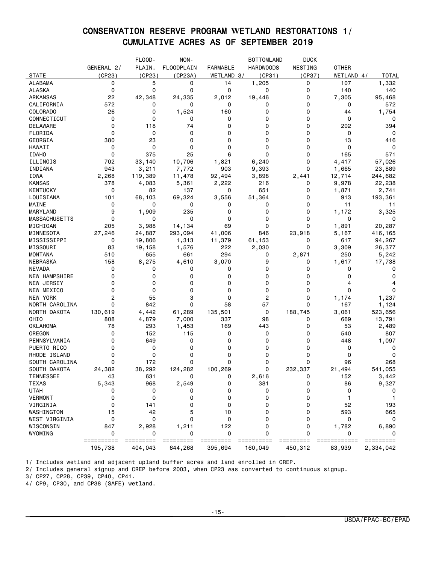#### CONSERVATION RESERVE PROGRAM **W**ETLAND RESTORATIONS 1/ CUMULATIVE ACRES AS OF SEPTEMBER 2019

|                      |            | FLOOD-    | NON-              |                 | <b>BOTTOMLAND</b> | <b>DUCK</b> |              |              |
|----------------------|------------|-----------|-------------------|-----------------|-------------------|-------------|--------------|--------------|
|                      | GENERAL 2/ | PLAIN.    | <b>FLOODPLAIN</b> | <b>FARMABLE</b> | <b>HARDWOODS</b>  | NESTING     | <b>OTHER</b> |              |
| <b>STATE</b>         | (CP23)     | (CP23)    | (CP23A)           | WETLAND 3/      | (CP31)            | (CP37)      | WETLAND 4/   | <b>TOTAL</b> |
| <b>ALABAMA</b>       | 0          | 5         | 0                 | 14              | 1,205             | 0           | 107          | 1,332        |
| <b>ALASKA</b>        | 0          | 0         | 0                 | 0               | 0                 | 0           | 140          | 140          |
| ARKANSAS             | 22         | 42,348    | 24,335            | 2,012           | 19,446            | 0           | 7,305        | 95,468       |
| CALIFORNIA           | 572        | 0         | 0                 | 0               | 0                 | 0           | 0            | 572          |
| <b>COLORADO</b>      | 26         | 0         | 1,524             | 160             | 0                 | 0           | 44           | 1,754        |
| CONNECTICUT          | 0          | 0         | 0                 | 0               | 0                 | 0           | 0            | 0            |
| DELAWARE             | 0          | 118       | 74                | 0               | 0                 | 0           | 202          | 394          |
| FLORIDA              | 0          | 0         | 0                 | 0               | 0                 | 0           | 0            | 0            |
| GEORGIA              | 380        | 23        | 0                 | 0               | 0                 | 0           | 13           | 416          |
| HAWAII               | 0          | 0         | 0                 | 0               | 0                 | 0           | 0            | 0            |
| <b>IDAHO</b>         | 0          | 375       | 25                | 6               | 0                 | 0           | 165          | 571          |
| ILLINOIS             | 702        | 33,140    | 10,706            | 1,821           | 6,240             | 0           | 4,417        | 57,026       |
| INDIANA              | 943        | 3,211     | 7,772             | 903             | 9,393             | 0           | 1,665        | 23,889       |
| IOWA                 | 2,268      | 119,389   | 11,478            | 92,494          | 3,898             | 2,441       | 12,714       | 244,682      |
| <b>KANSAS</b>        | 378        | 4,083     | 5,361             | 2,222           | 216               | 0           | 9,978        | 22,238       |
| <b>KENTUCKY</b>      | 0          | 82        | 137               | 0               | 651               | 0           | 1,871        | 2,741        |
| LOUISIANA            | 101        | 68,103    | 69,324            | 3,556           | 51,364            | 0           | 913          | 193,361      |
| MAINE                | 0          | 0         | 0                 | 0               | 0                 | 0           | 11           | 11           |
| MARYLAND             | 9          | 1,909     | 235               | 0               | 0                 | 0           | 1,172        | 3,325        |
| <b>MASSACHUSETTS</b> | 0          | 0         | 0                 | 0               | 0                 | 0           | 0            | 0            |
| MICHIGAN             | 205        | 3,988     | 14,134            | 69              | 0                 | $\Omega$    | 1,891        | 20,287       |
| MINNESOTA            | 27,246     | 24,887    | 293,094           | 41,006          | 846               | 23,918      | 5,167        | 416,165      |
| MISSISSIPPI          | 0          | 19,806    | 1,313             | 11,379          | 61,153            | 0           | 617          | 94,267       |
| MISSOURI             | 83         | 19,158    | 1,576             | 222             | 2,030             | 0           | 3,309        | 26,377       |
| <b>MONTANA</b>       | 510        | 655       | 661               | 294             | 0                 | 2,871       | 250          | 5,242        |
| <b>NEBRASKA</b>      | 158        | 8,275     | 4,610             | 3,070           | 9                 | 0           | 1,617        | 17,738       |
| <b>NEVADA</b>        | 0          | 0         | 0                 | 0               | 0                 | 0           | 0            | 0            |
| <b>NEW HAMPSHIRE</b> | 0          | 0         | 0                 | 0               | 0                 | 0           | 0            | 0            |
| NEW JERSEY           | 0          | 0         | 0                 | 0               | 0                 | 0           | 4            |              |
| NEW MEXICO           | 0          | 0         | 0                 | 0               | 0                 | 0           | 0            | 0            |
| <b>NEW YORK</b>      | 2          | 55        | 3                 | 0               | 2                 | 0           | 1,174        | 1,237        |
| NORTH CAROLINA       | 0          | 842       | 0                 | 58              | 57                | 0           | 167          | 1,124        |
| NORTH DAKOTA         | 130,619    | 4,442     | 61,289            | 135,501         | 0                 | 188,745     | 3,061        | 523,656      |
| OHIO                 | 808        | 4,879     | 7,000             | 337             | 98                | 0           | 669          | 13,791       |
| <b>OKLAHOMA</b>      | 78         | 293       | 1,453             | 169             | 443               | 0           | 53           | 2,489        |
| OREGON               | 0          | 152       | 115               | 0               | 0                 | 0           | 540          | 807          |
| PENNSYLVANIA         | 0          | 649       | 0                 | 0               | 0                 | 0           | 448          | 1,097        |
| PUERTO RICO          | 0          | 0         | 0                 | 0               | 0                 | 0           | 0            | 0            |
| RHODE ISLAND         | 0          | 0         | 0                 | 0               | 0                 | 0           | 0            | 0            |
| SOUTH CAROLINA       | 0          | 172       | 0                 | 0               | 0                 | 0           | 96           | 268          |
| SOUTH DAKOTA         | 24,382     | 38,292    | 124,282           | 100,269         | 0                 | 232,337     | 21,494       | 541,055      |
| <b>TENNESSEE</b>     | 43         | 631       | 0                 | 0               | 2,616             | 0           | 152          | 3,442        |
| <b>TEXAS</b>         | 5,343      | 968       | 2,549             | 0               | 381               | 0           | 86           | 9,327        |
| <b>UTAH</b>          | 0          | 0         | 0                 | 0               | 0                 | 0           | 0            | 0            |
| <b>VERMONT</b>       | 0          | 0         | 0                 | 0               | 0                 | 0           |              |              |
| VIRGINIA             | 0          | 141       | 0                 | 0               | 0                 | 0           | 52           | 193          |
| WASHINGTON           | 15         | 42        | 5                 | 10              | 0                 | 0           | 593          | 665          |
| WEST VIRGINIA        | 0          | 0         | 0                 | 0               | 0                 | 0           | 0            |              |
| WISCONSIN            | 847        | 2,928     | 1,211             | 122             | 0                 | 0           | 1,782        | 6,890        |
| WYOMING              | 0          | 0         | 0                 | 0               | 0                 | 0           | 0            | 0            |
|                      | ========== | ========= | =========         | =========       |                   |             | ============ | =========    |
|                      | 195,738    | 404,043   | 644,268           | 395,694         | 160,049           | 450,312     | 83,939       | 2,334,042    |

1/ Includes wetland and adjacent upland buffer acres and land enrolled in CREP.

2/ Includes general signup and CREP before 2003, when CP23 was converted to continuous signup.

3/ CP27, CP28, CP39, CP40, CP41.

4/ CP9, CP30, and CP38 (SAFE) wetland.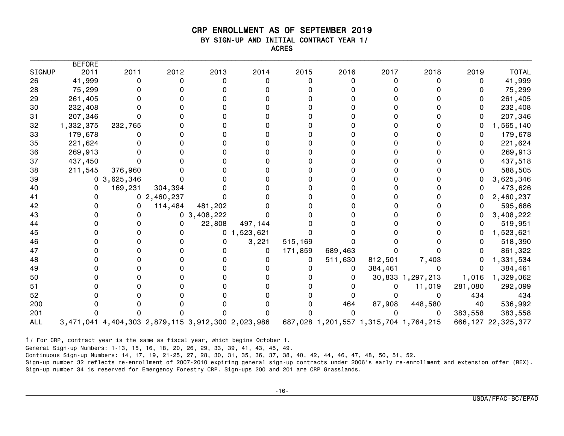#### CRP ENROLLMENT AS OF SEPTEMBER 2019 BY SIGN-UP AND INITIAL CONTRACT YEAR 1/ ACRES

|            | <b>BEFORE</b> |                                                   |            |                |                |          |                                       |          |                  |         |                       |
|------------|---------------|---------------------------------------------------|------------|----------------|----------------|----------|---------------------------------------|----------|------------------|---------|-----------------------|
| SIGNUP     | 2011          | 2011                                              | 2012       | 2013           | 2014           | 2015     | 2016                                  | 2017     | 2018             | 2019    | <b>TOTAL</b>          |
| 26         | 41,999        | 0                                                 | 0          | 0              | $\Omega$       | $\Omega$ | 0                                     | $\Omega$ | 0                | 0       | 41,999                |
| 28         | 75,299        |                                                   |            |                |                |          |                                       |          |                  | 0       | 75,299                |
| 29         | 261,405       |                                                   |            |                |                |          |                                       |          |                  | 0       | 261,405               |
| 30         | 232,408       |                                                   |            |                |                |          |                                       |          |                  | 0       | 232,408               |
| 31         | 207,346       |                                                   |            |                |                |          |                                       |          |                  | 0       | 207,346               |
| 32         | 1,332,375     | 232,765                                           |            |                |                |          |                                       |          |                  | 0       | 1,565,140             |
| 33         | 179,678       |                                                   |            |                |                |          |                                       |          |                  | 0       | 179,678               |
| 35         | 221,624       |                                                   |            |                |                |          |                                       |          |                  |         | 221,624               |
| 36         | 269,913       |                                                   |            |                |                |          |                                       |          |                  |         | 269,913               |
| 37         | 437,450       | 0                                                 |            |                |                |          |                                       |          |                  | 0       | 437,518               |
| 38         | 211,545       | 376,960                                           |            |                |                |          |                                       |          |                  |         | 588,505               |
| 39         |               | 0, 3, 625, 346                                    |            |                |                |          |                                       |          |                  |         | 3,625,346             |
| 40         | 0             | 169,231                                           | 304,394    |                |                |          |                                       |          |                  |         | 473,626               |
| 41         |               |                                                   | 02,460,237 |                |                |          |                                       |          |                  |         | 2,460,237             |
| 42         |               | 0                                                 | 114,484    | 481,202        |                |          |                                       |          |                  | 0       | 595,686               |
| 43         |               |                                                   |            | 0, 3, 408, 222 |                |          |                                       |          |                  |         | 3,408,222             |
| 44         |               |                                                   | 0          | 22,808         | 497,144        |          |                                       |          |                  | 0       | 519,951               |
| 45         |               |                                                   |            |                | 0, 1, 523, 621 |          |                                       |          |                  |         | 1,523,621             |
| 46         |               |                                                   |            | 0              | 3,221          | 515,169  |                                       |          |                  | O       | 518,390               |
| 47         |               |                                                   |            |                | 0              | 171,859  | 689,463                               |          |                  |         | 861,322               |
| 48         |               |                                                   |            |                |                | 0        | 511,630                               | 812,501  | 7,403            | 0       | 1,331,534             |
| 49         |               |                                                   |            |                |                |          | 0                                     | 384,461  | 0                | 0       | 384,461               |
| 50         |               |                                                   |            |                |                |          | $^{(1)}$                              |          | 30,833 1,297,213 | 1,016   | 1,329,062             |
| 51         |               |                                                   |            |                |                |          |                                       | 0        | 11,019           | 281,080 | 292,099               |
| 52         |               |                                                   |            |                |                |          |                                       | 0        | 0                | 434     | 434                   |
| 200        |               |                                                   |            |                |                |          | 464                                   | 87,908   | 448,580          | 40      | 536,992               |
| 201        |               |                                                   |            |                | O              |          |                                       | U        | 0                | 383,558 | 383,558               |
| <b>ALL</b> |               | 3,471,041 4,404,303 2,879,115 3,912,300 2,023,986 |            |                |                |          | 687,028 1,201,557 1,315,704 1,764,215 |          |                  |         | 666, 127 22, 325, 377 |

1/ For CRP, contract year is the same as fiscal year, which begins October 1.

General Sign-up Numbers: 1-13, 15, 16, 18, 20, 26, 29, 33, 39, 41, 43, 45, 49.

Continuous Sign-up Numbers: 14, 17, 19, 21-25, 27, 28, 30, 31, 35, 36, 37, 38, 40, 42, 44, 46, 47, 48, 50, 51, 52.

Sign-up number 32 reflects re-enrollment of 2007-2010 expiring general sign-up contracts under 2006's early re-enrollment and extension offer (REX). Sign-up number 34 is reserved for Emergency Forestry CRP. Sign-ups 200 and 201 are CRP Grasslands.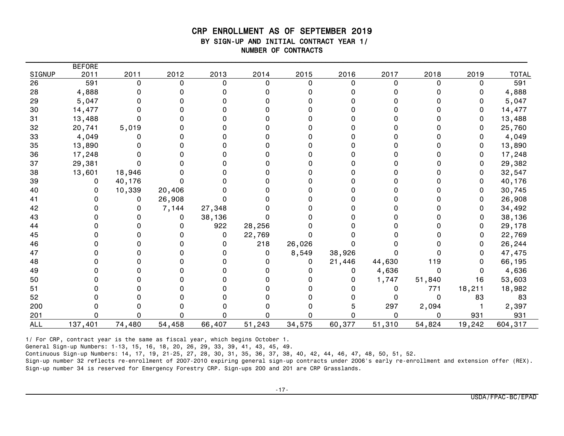#### CRP ENROLLMENT AS OF SEPTEMBER 2019 BY SIGN-UP AND INITIAL CONTRACT YEAR 1/ NUMBER OF CONTRACTS

| SIGNUP     | <b>BEFORE</b><br>2011 | 2011   | 2012     | 2013     | 2014        | 2015     | 2016     | 2017     | 2018     | 2019     | <b>TOTAL</b> |
|------------|-----------------------|--------|----------|----------|-------------|----------|----------|----------|----------|----------|--------------|
| 26         | 591                   | 0      | $\Omega$ | $\Omega$ | $\Omega$    | $\Omega$ | $\Omega$ | $\Omega$ | $\Omega$ | $\Omega$ | 591          |
| 28         | 4,888                 |        |          | O        | n           |          |          |          |          | 0        | 4,888        |
| 29         | 5,047                 |        |          |          |             |          |          |          |          | 0        | 5,047        |
| 30         | 14,477                |        |          |          |             |          |          |          |          | 0        | 14,477       |
| 31         | 13,488                |        |          |          |             |          |          |          |          | 0        | 13,488       |
| 32         | 20,741                | 5,019  |          |          |             |          |          |          |          | 0        | 25,760       |
| 33         | 4,049                 |        |          |          |             |          |          |          |          | 0        | 4,049        |
| 35         | 13,890                |        |          |          |             |          |          |          |          | 0        | 13,890       |
| 36         | 17,248                |        |          |          |             |          |          |          |          | 0        | 17,248       |
| 37         | 29,381                |        |          |          |             |          |          |          |          | 0        | 29,382       |
| 38         | 13,601                | 18,946 |          |          |             |          |          |          |          | 0        | 32,547       |
| 39         | 0                     | 40,176 |          |          |             |          |          |          |          | 0        | 40,176       |
| 40         | 0                     | 10,339 | 20,406   |          |             |          |          |          |          | 0        | 30,745       |
| 41         |                       | 0      | 26,908   | 0        | n           |          |          |          |          | 0        | 26,908       |
| 42         |                       |        | 7,144    | 27,348   |             |          |          |          |          | 0        | 34,492       |
| 43         |                       |        | 0        | 38,136   | 0           |          |          |          |          | 0        | 38,136       |
| 44         |                       |        | ი        | 922      | 28,256      |          |          |          |          | 0        | 29,178       |
| 45         |                       |        |          | 0        | 22,769      |          |          |          |          | 0        | 22,769       |
| 46         |                       |        |          | 0        | 218         | 26,026   |          |          |          | 0        | 26,244       |
| 47         |                       |        |          | 0        | $\mathbf 0$ | 8,549    | 38,926   |          |          | 0        | 47,475       |
| 48         |                       |        |          |          | 0           | 0        | 21,446   | 44,630   | 119      | 0        | 66,195       |
| 49         |                       |        |          |          | ŋ           |          | 0        | 4,636    | 0        | 0        | 4,636        |
| 50         |                       |        |          |          | 0           |          |          | 1,747    | 51,840   | 16       | 53,603       |
| 51         |                       |        |          |          |             |          |          | 0        | 771      | 18,211   | 18,982       |
| 52         |                       |        |          |          |             |          |          |          | 0        | 83       | 83           |
| 200        |                       |        |          |          |             |          |          | 297      | 2,094    |          | 2,397        |
| 201        | 0                     |        |          | n        | ი           |          | n        | 0        | $\Omega$ | 931      | 931          |
| <b>ALL</b> | 137,401               | 74,480 | 54,458   | 66,407   | 51,243      | 34,575   | 60,377   | 51,310   | 54,824   | 19,242   | 604,317      |

1/ For CRP, contract year is the same as fiscal year, which begins October 1.

General Sign-up Numbers: 1-13, 15, 16, 18, 20, 26, 29, 33, 39, 41, 43, 45, 49.

Continuous Sign-up Numbers: 14, 17, 19, 21-25, 27, 28, 30, 31, 35, 36, 37, 38, 40, 42, 44, 46, 47, 48, 50, 51, 52.

Sign-up number 32 reflects re-enrollment of 2007-2010 expiring general sign-up contracts under 2006's early re-enrollment and extension offer (REX). Sign-up number 34 is reserved for Emergency Forestry CRP. Sign-ups 200 and 201 are CRP Grasslands.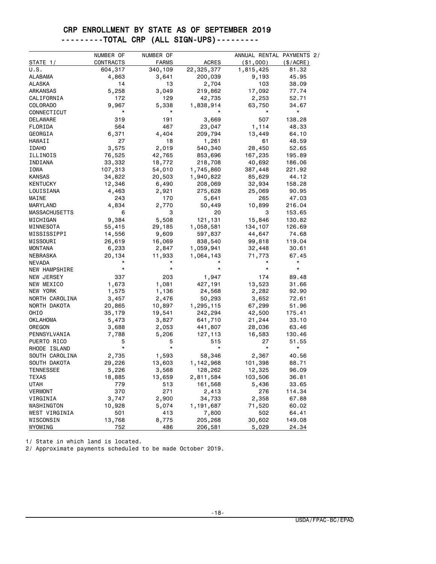#### CRP ENROLLMENT BY STATE AS OF SEPTEMBER 2019 ---------TOTAL CRP (ALL SIGN-UPS)---------

|                      | NUMBER OF | NUMBER OF    |              | ANNUAL RENTAL PAYMENTS 2/ |          |
|----------------------|-----------|--------------|--------------|---------------------------|----------|
| STATE 1/             | CONTRACTS | <b>FARMS</b> | <b>ACRES</b> | ( \$1,000)                | (S/ACRE) |
| U.S.                 | 604,317   | 340,109      | 22,325,377   | 1,815,425                 | 81.32    |
| ALABAMA              | 4,863     | 3,641        | 200,039      | 9,193                     | 45.95    |
| <b>ALASKA</b>        | 14        | 13           | 2,704        | 103                       | 38.09    |
| ARKANSAS             | 5,258     | 3,049        | 219,862      | 17,092                    | 77.74    |
| CALIFORNIA           | 172       | 129          | 42,735       | 2,253                     | 52.71    |
| <b>COLORADO</b>      | 9,967     | 5,338        | 1,838,914    | 63,750                    | 34.67    |
| CONNECTICUT          | $^\star$  | *            |              | $^\star$                  | $^\star$ |
| DELAWARE             | 319       | 191          | 3,669        | 507                       | 138.28   |
| FLORIDA              | 564       | 467          | 23,047       | 1,114                     | 48.33    |
| GEORGIA              | 6,371     | 4,404        | 209,794      | 13,449                    | 64.10    |
| HAWAII               | 27        | 18           | 1,261        | 61                        | 48.59    |
| <b>IDAHO</b>         | 3,575     | 2,019        | 540,340      | 28,450                    | 52.65    |
| ILLINOIS             | 76,525    | 42,765       | 853,696      | 167,235                   | 195.89   |
| INDIANA              | 33,332    | 18,772       | 218,708      | 40,692                    | 186.06   |
| IOWA                 | 107,313   | 54,010       | 1,745,860    | 387,448                   | 221.92   |
| <b>KANSAS</b>        | 34,822    | 20,503       | 1,940,822    | 85,629                    | 44.12    |
| KENTUCKY             | 12,346    | 6,490        | 208,069      | 32,934                    | 158.28   |
| LOUISIANA            | 4,463     | 2,921        | 275,628      | 25,069                    | 90.95    |
| MAINE                | 243       | 170          | 5,641        | 265                       | 47.03    |
| MARYLAND             | 4,834     | 2,770        | 50,449       | 10,899                    | 216.04   |
| <b>MASSACHUSETTS</b> | 6         | 3            | 20           | 3                         | 153.65   |
| MICHIGAN             | 9,384     | 5,508        | 121,131      | 15,846                    | 130.82   |
| MINNESOTA            | 55,415    | 29,185       | 1,058,581    | 134,107                   | 126.69   |
| MISSISSIPPI          | 14,556    | 9,609        | 597,837      | 44,647                    | 74.68    |
| MISSOURI             | 26,619    | 16,069       | 838,540      | 99,818                    | 119.04   |
| <b>MONTANA</b>       | 6,233     | 2,847        | 1,059,941    | 32,448                    | 30.61    |
| NEBRASKA             | 20,134    | 11,933       | 1,064,143    | 71,773                    | 67.45    |
| <b>NEVADA</b>        |           |              |              |                           | $\star$  |
| NEW HAMPSHIRE        | $^\star$  | $^\star$     | $\star$      | $\star$                   | $\star$  |
| NEW JERSEY           | 337       | 203          | 1,947        | 174                       | 89.48    |
| NEW MEXICO           | 1,673     | 1,081        | 427,191      | 13,523                    | 31.66    |
| NEW YORK             | 1,575     | 1,136        | 24,568       | 2,282                     | 92.90    |
| NORTH CAROLINA       | 3,457     | 2,476        | 50,293       | 3,652                     | 72.61    |
| NORTH DAKOTA         | 20,865    | 10,897       | 1,295,115    | 67,299                    | 51.96    |
| OHIO                 | 35,179    | 19,541       | 242,294      | 42,500                    | 175.41   |
| OKLAHOMA             | 5,473     | 3,827        | 641,710      | 21,244                    | 33.10    |
| OREGON               | 3,688     | 2,053        | 441,807      | 28,036                    | 63.46    |
| PENNSYLVANIA         | 7,788     | 5,206        | 127,113      | 16,583                    | 130.46   |
| PUERTO RICO          | 5         | 5            | 515          | 27                        | 51.55    |
| RHODE ISLAND         | $\star$   | $\star$      | $^\star$     | $\star$                   | $\star$  |
| SOUTH CAROLINA       | 2,735     | 1,593        | 58,346       | 2,367                     | 40.56    |
| SOUTH DAKOTA         | 29,226    | 13,603       | 1,142,968    | 101,398                   | 88.71    |
| <b>TENNESSEE</b>     | 5,226     | 3,568        | 128,262      | 12,325                    | 96.09    |
| TEXAS                | 18,885    | 13,659       | 2,811,584    | 103,506                   | 36.81    |
| <b>UTAH</b>          | 779       | 513          | 161,568      | 5,436                     | 33.65    |
| <b>VERMONT</b>       | 370       | 271          | 2,413        | 276                       | 114.34   |
| VIRGINIA             | 3,747     | 2,900        | 34,733       | 2,358                     | 67.88    |
| WASHINGTON           | 10,928    | 5,074        | 1,191,687    | 71,520                    | 60.02    |
| WEST VIRGINIA        | 501       | 413          | 7,800        | 502                       | 64.41    |
| WISCONSIN            | 13,768    | 8,775        | 205,268      | 30,602                    | 149.08   |
| WYOMING              | 752       | 486          | 206,581      | 5,029                     | 24.34    |

1/ State in which land is located.

2/ Approximate payments scheduled to be made October 2019.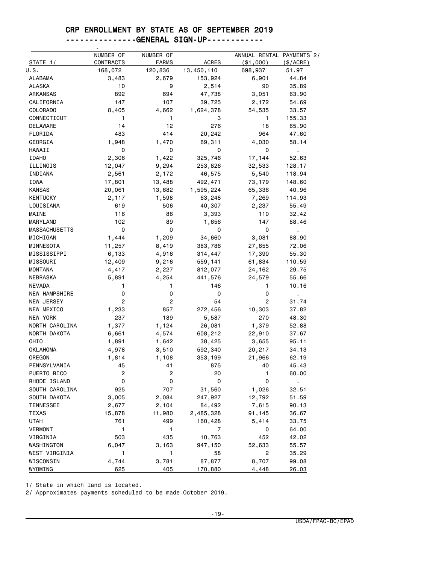#### CRP ENROLLMENT BY STATE AS OF SEPTEMBER 2019

| --------------GENERAL SIGN-UP------------ |  |
|-------------------------------------------|--|
|                                           |  |

|                      | NUMBER OF      | NUMBER OF    |              | ANNUAL RENTAL PAYMENTS 2/ |                |
|----------------------|----------------|--------------|--------------|---------------------------|----------------|
| STATE 1/             | CONTRACTS      | <b>FARMS</b> | <b>ACRES</b> | ( \$1,000)                | (\$/ACRE)      |
| U.S.                 | 168,072        | 120,836      | 13,450,110   | 698,937                   | 51.97          |
| <b>ALABAMA</b>       | 3,483          | 2,679        | 153,924      | 6,901                     | 44.84          |
| ALASKA               | 10             | 9            | 2,514        | 90                        | 35.89          |
| ARKANSAS             | 892            | 694          | 47,738       | 3,051                     | 63.90          |
| CALIFORNIA           | 147            | 107          | 39,725       | 2,172                     | 54.69          |
| COLORADO             | 8,405          | 4,662        | 1,624,378    | 54,535                    | 33.57          |
| CONNECTICUT          | 1              | 1            | 3            | 1                         | 155.33         |
| DELAWARE             | 14             | 12           | 276          | 18                        | 65.90          |
| FLORIDA              | 483            | 414          | 20,242       | 964                       | 47.60          |
| GEORGIA              | 1,948          | 1,470        | 69,311       | 4,030                     | 58.14          |
| HAWAII               | 0              | 0            | 0            | 0                         |                |
| <b>IDAHO</b>         | 2,306          | 1,422        | 325,746      | 17,144                    | 52.63          |
| ILLINOIS             | 12,047         | 9,294        | 253,826      | 32,533                    | 128.17         |
| INDIANA              | 2,561          | 2,172        | 46,575       | 5,540                     | 118.94         |
| IOWA                 | 17,801         | 13,488       | 492,471      | 73,179                    | 148.60         |
| <b>KANSAS</b>        | 20,061         | 13,682       | 1,595,224    | 65,336                    | 40.96          |
| <b>KENTUCKY</b>      | 2,117          | 1,598        | 63,248       | 7,269                     | 114.93         |
| LOUISIANA            | 619            | 506          | 40,307       | 2,237                     | 55.49          |
| MAINE                | 116            | 86           | 3,393        | 110                       | 32.42          |
| MARYLAND             | 102            | 89           | 1,656        | 147                       | 88.46          |
| <b>MASSACHUSETTS</b> | 0              | 0            | 0            | 0                         | ä,             |
| MICHIGAN             | 1,444          | 1,209        | 34,660       | 3,081                     | 88.90          |
| MINNESOTA            | 11,257         | 8,419        | 383,786      | 27,655                    | 72.06          |
| MISSISSIPPI          | 6,133          | 4,916        | 314,447      | 17,390                    | 55.30          |
| MISSOURI             | 12,409         | 9,216        | 559,141      | 61,834                    | 110.59         |
| <b>MONTANA</b>       | 4,417          | 2,227        | 812,077      | 24,162                    | 29.75          |
| NEBRASKA             | 5,891          | 4,254        | 441,576      | 24,579                    | 55.66          |
| <b>NEVADA</b>        | 1              | 1.           | 146          | 1                         | 10.16          |
| NEW HAMPSHIRE        | 0              | 0            | 0            | 0                         | $\mathbf{r}$   |
| NEW JERSEY           | $\overline{c}$ | 2            | 54           | $\overline{c}$            | 31.74          |
| NEW MEXICO           | 1,233          | 857          | 272,456      | 10,303                    | 37.82          |
| NEW YORK             | 237            | 189          | 5,587        | 270                       | 48.30          |
| NORTH CAROLINA       | 1,377          | 1,124        | 26,081       | 1,379                     | 52.88          |
| NORTH DAKOTA         | 6,661          | 4,574        | 608,212      | 22,910                    | 37.67          |
| OHIO                 | 1,891          | 1,642        | 38,425       | 3,655                     | 95.11          |
| <b>OKLAHOMA</b>      | 4,978          | 3,510        | 592,340      | 20,217                    | 34.13          |
| OREGON               | 1,814          | 1,108        | 353,199      | 21,966                    | 62.19          |
| PENNSYLVANIA         | 45             | 41           | 875          | 40                        | 45.43          |
| PUERTO RICO          | 2              | 2            | 20           | 1                         | 60.00          |
| RHODE ISLAND         | 0              | 0            | 0            | 0                         | $\blacksquare$ |
| SOUTH CAROLINA       | 925            | 707          | 31,560       | 1,026                     | 32.51          |
| SOUTH DAKOTA         | 3,005          | 2,084        | 247,927      | 12,792                    | 51.59          |
| TENNESSEE            | 2,677          | 2,104        | 84,492       | 7,615                     | 90.13          |
| TEXAS                | 15,878         | 11,980       | 2,485,328    | 91,145                    | 36.67          |
| <b>UTAH</b>          | 761            | 499          | 160,428      | 5,414                     | 33.75          |
| <b>VERMONT</b>       | 1              | 1            | 7            | 0                         | 64.00          |
| VIRGINIA             | 503            | 435          | 10,763       | 452                       | 42.02          |
| WASHINGTON           | 6,047          | 3,163        | 947,150      | 52,633                    | 55.57          |
| WEST VIRGINIA        | 1              | 1            | 58           | 2                         | 35.29          |
| WISCONSIN            | 4,744          | 3,781        | 87,877       | 8,707                     | 99.08          |
| WYOMING              | 625            | 405          | 170,880      | 4,448                     | 26.03          |

1/ State in which land is located.

2/ Approximates payments scheduled to be made October 2019.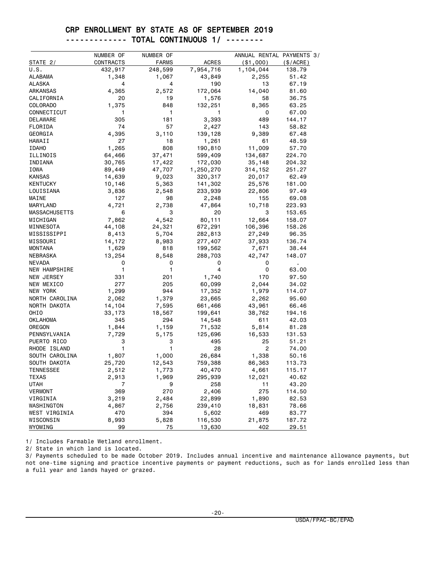#### CRP ENROLLMENT BY STATE AS OF SEPTEMBER 2019 ------------- TOTAL CONTINUOUS 1/ --------

|                      | NUMBER OF | NUMBER OF    |              | ANNUAL RENTAL PAYMENTS 3/ |                |
|----------------------|-----------|--------------|--------------|---------------------------|----------------|
| STATE 2/             | CONTRACTS | <b>FARMS</b> | <b>ACRES</b> | ( \$1,000)                | (\$/ACRE)      |
| U.S.                 | 432,917   | 248,599      | 7,954,716    | 1,104,044                 | 138.79         |
| ALABAMA              | 1,348     | 1,067        | 43,849       | 2,255                     | 51.42          |
| <b>ALASKA</b>        | 4         | 4            | 190          | 13                        | 67.19          |
| <b>ARKANSAS</b>      | 4,365     | 2,572        | 172,064      | 14,040                    | 81.60          |
| CALIFORNIA           | 20        | 19           | 1,576        | 58                        | 36.75          |
| <b>COLORADO</b>      | 1,375     | 848          | 132,251      | 8,365                     | 63.25          |
| CONNECTICUT          | 1         | 1            | 1            | 0                         | 67.00          |
| DELAWARE             | 305       | 181          | 3,393        | 489                       | 144.17         |
| FLORIDA              | 74        | 57           | 2,427        | 143                       | 58.82          |
| GEORGIA              | 4,395     | 3,110        | 139,128      | 9,389                     | 67.48          |
| HAWAII               | 27        | 18           | 1,261        | 61                        | 48.59          |
| <b>IDAHO</b>         | 1,265     | 808          | 190,810      | 11,009                    | 57.70          |
| ILLINOIS             | 64,466    | 37,471       | 599,409      | 134,687                   | 224.70         |
| INDIANA              | 30,765    | 17,422       | 172,030      | 35,148                    | 204.32         |
| IOWA                 | 89,449    | 47,707       | 1,250,270    | 314,152                   | 251.27         |
| <b>KANSAS</b>        | 14,639    | 9,023        | 320,317      | 20,017                    | 62.49          |
| KENTUCKY             | 10,146    | 5,363        | 141,302      | 25,576                    | 181.00         |
| LOUISIANA            | 3,836     | 2,548        | 233,939      | 22,806                    | 97.49          |
| MAINE                | 127       | 98           | 2,248        | 155                       | 69.08          |
| MARYLAND             | 4,721     | 2,738        | 47,864       | 10,718                    | 223.93         |
| <b>MASSACHUSETTS</b> | 6         | 3            | 20           | 3                         | 153.65         |
| MICHIGAN             | 7,862     | 4,542        | 80,111       | 12,664                    | 158.07         |
| MINNESOTA            | 44,108    | 24,321       | 672,291      | 106,396                   | 158.26         |
| MISSISSIPPI          | 8,413     | 5,704        | 282,813      | 27,249                    | 96.35          |
| MISSOURI             | 14,172    | 8,983        | 277,407      | 37,933                    | 136.74         |
| <b>MONTANA</b>       | 1,629     | 818          | 199,562      | 7,671                     | 38.44          |
| NEBRASKA             | 13,254    | 8,548        | 288,703      | 42,747                    | 148.07         |
| <b>NEVADA</b>        | 0         | 0            | 0            | 0                         | $\blacksquare$ |
| NEW HAMPSHIRE        | 1         | 1            | 4            | 0                         | 63.00          |
| NEW JERSEY           | 331       | 201          | 1,740        | 170                       | 97.50          |
| NEW MEXICO           | 277       | 205          | 60,099       | 2,044                     | 34.02          |
| NEW YORK             | 1,299     | 944          | 17,352       | 1,979                     | 114.07         |
| NORTH CAROLINA       | 2,062     | 1,379        | 23,665       | 2,262                     | 95.60          |
| NORTH DAKOTA         | 14,104    | 7,595        | 661,466      | 43,961                    | 66.46          |
| OHIO                 | 33,173    | 18,567       | 199,641      | 38,762                    | 194.16         |
| OKLAHOMA             | 345       | 294          | 14,548       | 611                       | 42.03          |
| OREGON               | 1,844     | 1,159        | 71,532       | 5,814                     | 81.28          |
| PENNSYLVANIA         | 7,729     | 5,175        | 125,696      | 16,533                    | 131.53         |
| PUERTO RICO          | 3         | 3            | 495          | 25                        | 51.21          |
| RHODE ISLAND         | 1         | 1            | 28           | 2                         | 74.00          |
| SOUTH CAROLINA       | 1,807     | 1,000        | 26,684       | 1,338                     | 50.16          |
| SOUTH DAKOTA         | 25,720    | 12,543       | 759,388      | 86,363                    | 113.73         |
| <b>TENNESSEE</b>     | 2,512     | 1,773        | 40,470       | 4,661                     | 115.17         |
| <b>TEXAS</b>         | 2,913     | 1,969        | 295,939      | 12,021                    | 40.62          |
| <b>UTAH</b>          | 7         | 9            | 258          | 11                        | 43.20          |
| <b>VERMONT</b>       | 369       | 270          | 2,406        | 275                       | 114.50         |
| VIRGINIA             | 3,219     | 2,484        | 22,899       | 1,890                     | 82.53          |
| WASHINGTON           | 4,867     | 2,756        | 239,410      | 18,831                    | 78.66          |
| WEST VIRGINIA        | 470       | 394          | 5,602        | 469                       | 83.77          |
| WISCONSIN            | 8,993     | 5,828        | 116,530      | 21,875                    | 187.72         |
| WYOMING              | 99        | 75           | 13,630       | 402                       | 29.51          |

1/ Includes Farmable Wetland enrollment.

2/ State in which land is located.

3/ Payments scheduled to be made October 2019. Includes annual incentive and maintenance allowance payments, but not one-time signing and practice incentive payments or payment reductions, such as for lands enrolled less than a full year and lands hayed or grazed.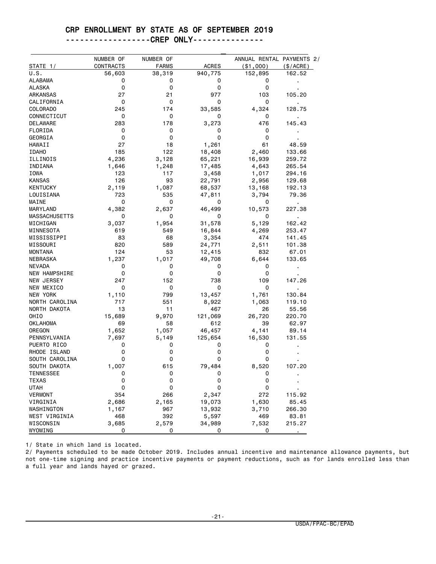#### CRP ENROLLMENT BY STATE AS OF SEPTEMBER 2019

#### ------------------CREP ONLY---------------

|                                  | NUMBER OF  | NUMBER OF    |             |            | ANNUAL RENTAL PAYMENTS 2/ |
|----------------------------------|------------|--------------|-------------|------------|---------------------------|
| STATE 1/                         | CONTRACTS  | <b>FARMS</b> | ACRES       | ( \$1,000) | $(\$/ACRE)$               |
| U.S.                             | 56,603     | 38,319       | 940,775     | 152,895    | 162.52                    |
| ALABAMA                          | 0          | 0            | 0           | 0          |                           |
| ALASKA                           | 0          | 0            | 0           | 0          |                           |
| ARKANSAS                         | 27         | 21           | 977         | 103        | 105.20                    |
| CALIFORNIA                       | 0          | 0            | 0           | 0          |                           |
| COLORADO                         | 245        | 174          | 33,585      | 4,324      | 128.75                    |
| CONNECTICUT                      | 0          | 0            | 0           | 0          |                           |
| DELAWARE                         | 283        | 178          | 3,273       | 476        | 145.43                    |
| FLORIDA                          | 0          | 0            | 0           | 0          |                           |
| GEORGIA                          | 0          | 0            | 0           | 0          |                           |
| HAWAII                           | 27         | 18           | 1,261       | 61         | 48.59                     |
| <b>IDAHO</b>                     | 185        | 122          | 18,408      | 2,460      | 133.66                    |
| ILLINOIS                         | 4,236      | 3,128        | 65,221      | 16,939     | 259.72                    |
| INDIANA                          | 1,646      | 1,248        | 17,485      | 4,643      | 265.54                    |
| IOWA                             | 123        | 117          | 3,458       | 1,017      | 294.16                    |
| <b>KANSAS</b>                    | 126        | 93           | 22,791      | 2,956      | 129.68                    |
| <b>KENTUCKY</b>                  | 2,119      | 1,087        | 68,537      | 13,168     | 192.13                    |
| LOUISIANA                        | 723        | 535          | 47,811      | 3,794      | 79.36                     |
| MAINE                            | 0          | 0            | 0           | 0          | ٠                         |
| MARYLAND                         | 4,382      | 2,637        | 46,499      | 10,573     | 227.38                    |
| <b>MASSACHUSETTS</b>             | 0          | 0            | 0           | 0          | ٠                         |
| MICHIGAN                         | 3,037      | 1,954        | 31,578      | 5,129      | 162.42                    |
| MINNESOTA                        | 619        | 549          | 16,844      | 4,269      | 253.47                    |
| MISSISSIPPI                      | 83         | 68           | 3,354       | 474        | 141.45                    |
| MISSOURI                         | 820        | 589          | 24,771      | 2,511      | 101.38                    |
| MONTANA                          | 124        | 53           | 12,415      | 832        | 67.01                     |
| NEBRASKA                         | 1,237      | 1,017        | 49,708      | 6,644      | 133.65                    |
| NEVADA                           | 0          | 0            | 0           | 0          |                           |
| NEW HAMPSHIRE                    | 0          | 0            | 0           | 0          |                           |
| NEW JERSEY                       | 247        | 152          | 738         | 109        | 147.26                    |
| NEW MEXICO                       | 0          | 0            | 0           | 0          | $\blacksquare$            |
| NEW YORK                         | 1,110      | 799          | 13,457      | 1,761      | 130.84                    |
| NORTH CAROLINA                   | 717        | 551          | 8,922       | 1,063      | 119.10                    |
| NORTH DAKOTA                     | 13         | 11           | 467         | 26         | 55.56                     |
| OHIO                             | 15,689     | 9,970        | 121,069     | 26,720     | 220.70                    |
| <b>OKLAHOMA</b>                  | 69         | 58           | 612         | 39         | 62.97                     |
| OREGON                           | 1,652      | 1,057        | 46,457      | 4,141      | 89.14                     |
| PENNSYLVANIA                     | 7,697      | 5,149        | 125,654     | 16,530     | 131.55                    |
| PUERTO RICO                      | 0          | 0            | 0           | 0          |                           |
| RHODE ISLAND                     | 0          | 0            | 0           | 0          |                           |
| SOUTH CAROLINA                   | 0          | 0            | 0           | 0          |                           |
|                                  |            |              |             | 8,520      |                           |
| SOUTH DAKOTA<br><b>TENNESSEE</b> | 1,007<br>0 | 615<br>0     | 79,484<br>0 |            | 107.20                    |
|                                  | 0          | 0            | 0           | 0<br>0     |                           |
| TEXAS                            |            |              |             |            |                           |
| <b>UTAH</b>                      | 0          | 0            | 0           | 0          |                           |
| <b>VERMONT</b>                   | 354        | 266          | 2,347       | 272        | 115.92                    |
| VIRGINIA                         | 2,686      | 2,165        | 19,073      | 1,630      | 85.45                     |
| WASHINGTON                       | 1,167      | 967          | 13,932      | 3,710      | 266.30                    |
| WEST VIRGINIA                    | 468        | 392          | 5,597       | 469        | 83.81                     |
| WISCONSIN                        | 3,685      | 2,579        | 34,989      | 7,532      | 215.27                    |
| WYOMING                          | 0          | 0            | 0           | 0          |                           |

1/ State in which land is located.

2/ Payments scheduled to be made October 2019. Includes annual incentive and maintenance allowance payments, but not one-time signing and practice incentive payments or payment reductions, such as for lands enrolled less than a full year and lands hayed or grazed.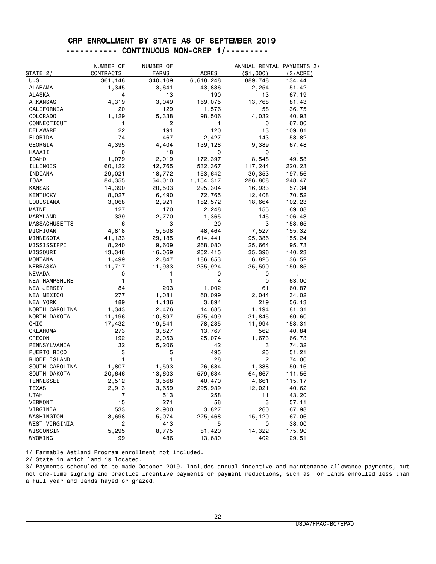#### CRP ENROLLMENT BY STATE AS OF SEPTEMBER 2019 ----------- CONTINUOUS NON-CREP 1/---------

|                      | NUMBER OF | NUMBER OF    |              | ANNUAL RENTAL PAYMENTS 3/ |           |
|----------------------|-----------|--------------|--------------|---------------------------|-----------|
| STATE 2/             | CONTRACTS | <b>FARMS</b> | <b>ACRES</b> | ( \$1,000)                | (\$/ACRE) |
| U.S.                 | 361,148   | 340,109      | 6,618,248    | 889,748                   | 134.44    |
| <b>ALABAMA</b>       | 1,345     | 3,641        | 43,836       | 2,254                     | 51.42     |
| ALASKA               | 4         | 13           | 190          | 13                        | 67.19     |
| ARKANSAS             | 4,319     | 3,049        | 169,075      | 13,768                    | 81.43     |
| CALIFORNIA           | 20        | 129          | 1,576        | 58                        | 36.75     |
| <b>COLORADO</b>      | 1,129     | 5,338        | 98,506       | 4,032                     | 40.93     |
| CONNECTICUT          | 1         | 2            | 1            | 0                         | 67.00     |
| DELAWARE             | 22        | 191          | 120          | 13                        | 109.81    |
| FLORIDA              | 74        | 467          | 2,427        | 143                       | 58.82     |
| GEORGIA              | 4,395     | 4,404        | 139,128      | 9,389                     | 67.48     |
| HAWAII               | 0         | 18           | 0            | 0                         |           |
| <b>IDAHO</b>         | 1,079     | 2,019        | 172,397      | 8,548                     | 49.58     |
| ILLINOIS             | 60,122    | 42,765       | 532,367      | 117,244                   | 220.23    |
| INDIANA              | 29,021    | 18,772       | 153,642      | 30,353                    | 197.56    |
| IOWA                 | 84,355    | 54,010       | 1, 154, 317  | 286,808                   | 248.47    |
| <b>KANSAS</b>        | 14,390    | 20,503       | 295,304      | 16,933                    | 57.34     |
| <b>KENTUCKY</b>      | 8,027     | 6,490        | 72,765       | 12,408                    | 170.52    |
| LOUISIANA            | 3,068     | 2,921        | 182,572      | 18,664                    | 102.23    |
| MAINE                | 127       | 170          | 2,248        | 155                       | 69.08     |
| MARYLAND             | 339       | 2,770        | 1,365        | 145                       | 106.43    |
| <b>MASSACHUSETTS</b> | 6         | 3            | 20           | 3                         | 153.65    |
|                      | 4,818     |              | 48,464       |                           |           |
| MICHIGAN             |           | 5,508        |              | 7,527                     | 155.32    |
| MINNESOTA            | 41,133    | 29,185       | 614,441      | 95,386                    | 155.24    |
| MISSISSIPPI          | 8,240     | 9,609        | 268,080      | 25,664                    | 95.73     |
| MISSOURI             | 13,348    | 16,069       | 252,415      | 35,396                    | 140.23    |
| <b>MONTANA</b>       | 1,499     | 2,847        | 186,853      | 6,825                     | 36.52     |
| NEBRASKA             | 11,717    | 11,933       | 235,924      | 35,590                    | 150.85    |
| <b>NEVADA</b>        | 0         | 1            | 0            | 0                         | ×,        |
| <b>NEW HAMPSHIRE</b> | 1         | 1            | 4            | 0                         | 63.00     |
| NEW JERSEY           | 84        | 203          | 1,002        | 61                        | 60.87     |
| NEW MEXICO           | 277       | 1,081        | 60,099       | 2,044                     | 34.02     |
| NEW YORK             | 189       | 1,136        | 3,894        | 219                       | 56.13     |
| NORTH CAROLINA       | 1,343     | 2,476        | 14,685       | 1,194                     | 81.31     |
| NORTH DAKOTA         | 11,196    | 10,897       | 525,499      | 31,845                    | 60.60     |
| OHIO                 | 17,432    | 19,541       | 78,235       | 11,994                    | 153.31    |
| OKLAHOMA             | 273       | 3,827        | 13,767       | 562                       | 40.84     |
| OREGON               | 192       | 2,053        | 25,074       | 1,673                     | 66.73     |
| PENNSYLVANIA         | 32        | 5,206        | 42           | 3                         | 74.32     |
| PUERTO RICO          | 3         | 5            | 495          | 25                        | 51.21     |
| RHODE ISLAND         | 1         | 1            | 28           | $\overline{2}$            | 74.00     |
| SOUTH CAROLINA       | 1,807     | 1,593        | 26,684       | 1,338                     | 50.16     |
| SOUTH DAKOTA         | 20,646    | 13,603       | 579,634      | 64,667                    | 111.56    |
| <b>TENNESSEE</b>     | 2,512     | 3,568        | 40,470       | 4,661                     | 115.17    |
| TEXAS                | 2,913     | 13,659       | 295,939      | 12,021                    | 40.62     |
| UTAH                 | 7         | 513          | 258          | 11                        | 43.20     |
| <b>VERMONT</b>       | 15        | 271          | 58           | 3                         | 57.11     |
| VIRGINIA             | 533       | 2,900        | 3,827        | 260                       | 67.98     |
| WASHINGTON           | 3,698     | 5,074        | 225,468      | 15,120                    | 67.06     |
| WEST VIRGINIA        | 2         | 413          | 5            | 0                         | 38.00     |
| WISCONSIN            | 5,295     | 8,775        | 81,420       | 14,322                    | 175.90    |
| WYOMING              | 99        | 486          | 13,630       | 402                       | 29.51     |

1/ Farmable Wetland Program enrollment not included.

2/ State in which land is located.

3/ Payments scheduled to be made October 2019. Includes annual incentive and maintenance allowance payments, but not one-time signing and practice incentive payments or payment reductions, such as for lands enrolled less than a full year and lands hayed or grazed.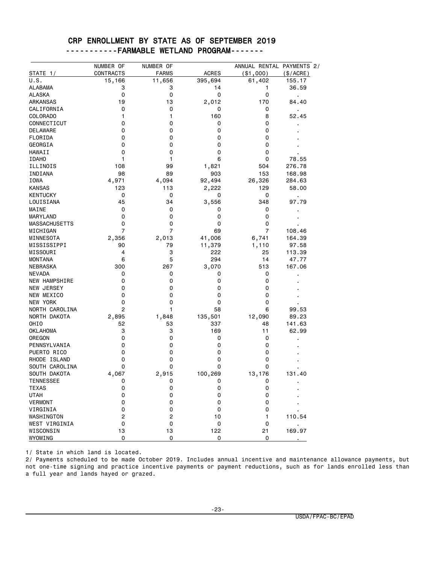|  |  |  | CRP ENROLLMENT BY STATE AS OF SEPTEMBER 2019 |  |
|--|--|--|----------------------------------------------|--|
|  |  |  | ----------FARMABLE WETLAND PROGRAM-------    |  |

|                                  | NUMBER OF      | NUMBER OF      |              | ANNUAL RENTAL PAYMENTS 2/ |                         |
|----------------------------------|----------------|----------------|--------------|---------------------------|-------------------------|
| STATE 1/                         | CONTRACTS      | <b>FARMS</b>   | <b>ACRES</b> | ( \$1,000)                | (\$/ACRE)               |
| U.S.                             | 15,166         | 11,656         | 395,694      | 61,402                    | 155.17                  |
| ALABAMA                          | 3              | 3              | 14           | 1                         | 36.59                   |
| ALASKA                           | 0              | 0              | 0            | 0                         | $\blacksquare$          |
| ARKANSAS                         | 19             | 13             | 2,012        | 170                       | 84.40                   |
| CALIFORNIA                       | 0              | 0              | 0            | 0                         |                         |
| COLORADO                         | 1              | 1              | 160          | 8                         | 52.45                   |
| CONNECTICUT                      | 0              | 0              | 0            | 0                         |                         |
| DELAWARE                         | 0              | 0              | 0            | 0                         |                         |
| FLORIDA                          | 0              | 0              | 0            | 0                         |                         |
| GEORGIA                          | 0              | 0              | 0            | 0                         |                         |
| HAWAII                           | 0              | 0              | 0            | 0                         |                         |
| <b>IDAHO</b>                     | 1              | 1              | 6            | 0                         | 78.55                   |
| ILLINOIS                         | 108            | 99             | 1,821        | 504                       | 276.78                  |
| INDIANA                          | 98             | 89             | 903          | 153                       | 168.98                  |
| IOWA                             | 4,971          | 4,094          | 92,494       | 26,326                    | 284.63                  |
| <b>KANSAS</b>                    | 123            | 113            | 2,222        | 129                       | 58.00                   |
| <b>KENTUCKY</b>                  | 0              | 0              | 0            | 0                         |                         |
| LOUISIANA                        | 45             | 34             | 3,556        | 348                       | $\blacksquare$<br>97.79 |
| MAINE                            | 0              | 0              | 0            | 0                         |                         |
|                                  | 0              | 0              | 0            | 0                         |                         |
| MARYLAND<br><b>MASSACHUSETTS</b> |                |                |              | 0                         |                         |
|                                  | 0              | 0              | 0            |                           |                         |
| MICHIGAN                         | $\overline{7}$ | 7              | 69           | 7                         | 108.46                  |
| MINNESOTA                        | 2,356          | 2,013          | 41,006       | 6,741                     | 164.39                  |
| MISSISSIPPI                      | 90             | 79             | 11,379       | 1,110                     | 97.58                   |
| MISSOURI                         | 4              | 3              | 222          | 25                        | 113.39                  |
| <b>MONTANA</b>                   | 6              | 5              | 294          | 14                        | 47.77                   |
| NEBRASKA                         | 300            | 267            | 3,070        | 513                       | 167.06                  |
| <b>NEVADA</b>                    | 0              | 0              | 0            | 0                         |                         |
| <b>NEW HAMPSHIRE</b>             | 0              | 0              | 0            | 0                         |                         |
| NEW JERSEY                       | 0              | 0              | 0            | 0                         |                         |
| NEW MEXICO                       | 0              | 0              | 0            | 0                         |                         |
| NEW YORK                         | 0              | 0              | 0            | 0                         |                         |
| NORTH CAROLINA                   | 2              | 1              | 58           | 6                         | 99.53                   |
| NORTH DAKOTA                     | 2,895          | 1,848          | 135,501      | 12,090                    | 89.23                   |
| OHIO                             | 52             | 53             | 337          | 48                        | 141.63                  |
| OKLAHOMA                         | 3              | 3              | 169          | 11                        | 62.99                   |
| OREGON                           | $\mathbf 0$    | 0              | 0            | 0                         |                         |
| PENNSYLVANIA                     | 0              | 0              | 0            | 0                         |                         |
| PUERTO RICO                      | 0              | 0              | 0            | 0                         |                         |
| RHODE ISLAND                     | 0              | 0              | 0            | 0                         |                         |
| SOUTH CAROLINA                   | 0              | 0              | 0            | 0                         |                         |
| SOUTH DAKOTA                     | 4,067          | 2,915          | 100,269      | 13,176                    | 131.40                  |
| <b>TENNESSEE</b>                 | 0              | 0              | 0            | 0                         |                         |
| <b>TEXAS</b>                     | 0              | 0              | 0            | 0                         |                         |
| UTAH                             | 0              | 0              | 0            | 0                         |                         |
| <b>VERMONT</b>                   | 0              | 0              | 0            | 0                         |                         |
| VIRGINIA                         | 0              | 0              | 0            | 0                         |                         |
| WASHINGTON                       | 2              | $\overline{2}$ | 10           | 1                         | 110.54                  |
| WEST VIRGINIA                    | 0              | 0              | 0            | 0                         |                         |
| WISCONSIN                        | 13             | 13             | 122          | 21                        | 169.97                  |
| WYOMING                          | 0              | 0              | 0            | 0                         |                         |

1/ State in which land is located.

2/ Payments scheduled to be made October 2019. Includes annual incentive and maintenance allowance payments, but not one-time signing and practice incentive payments or payment reductions, such as for lands enrolled less than a full year and lands hayed or grazed.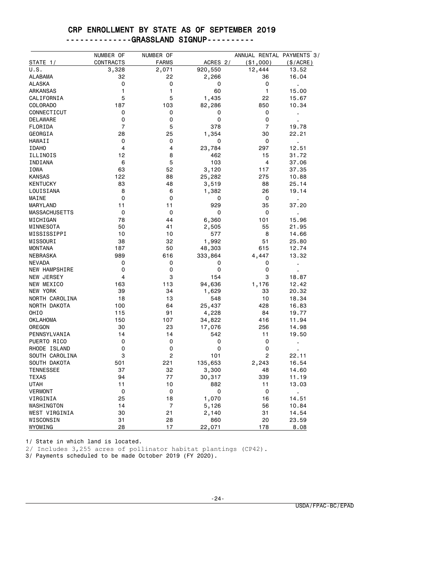#### CRP ENROLLMENT BY STATE AS OF SEPTEMBER 2019 --------------GRASSLAND SIGNUP----------

|                      | NUMBER OF      | NUMBER OF      |          | ANNUAL RENTAL PAYMENTS 3/ |                |
|----------------------|----------------|----------------|----------|---------------------------|----------------|
| STATE 1/             | CONTRACTS      | <b>FARMS</b>   | ACRES 2/ | ( \$1,000)                | $(\$/ACRE)$    |
| U.S.                 | 3,328          | 2,071          | 920,550  | 12,444                    | 13.52          |
| ALABAMA              | 32             | 22             | 2,266    | 36                        | 16.04          |
| ALASKA               | 0              | 0              | 0        | 0                         | $\epsilon$     |
| ARKANSAS             | 1              | 1              | 60       | 1                         | 15.00          |
| CALIFORNIA           | 5              | 5              | 1,435    | 22                        | 15.67          |
| COLORADO             | 187            | 103            | 82,286   | 850                       | 10.34          |
| CONNECTICUT          | 0              | 0              | 0        | 0                         | j,             |
| DELAWARE             | 0              | 0              | 0        | 0                         |                |
| FLORIDA              | $\overline{7}$ | 5              | 378      | $\overline{7}$            | 19.78          |
| GEORGIA              | 28             | 25             | 1,354    | 30                        | 22.21          |
| HAWAII               | 0              | 0              | 0        | 0                         | l,             |
| <b>IDAHO</b>         | 4              | 4              | 23,784   | 297                       | 12.51          |
| ILLINOIS             | 12             | 8              | 462      | 15                        | 31.72          |
| INDIANA              | 6              | 5              | 103      | 4                         | 37.06          |
| IOWA                 | 63             | 52             | 3,120    | 117                       | 37.35          |
| <b>KANSAS</b>        | 122            | 88             | 25,282   | 275                       | 10.88          |
| <b>KENTUCKY</b>      | 83             | 48             | 3,519    | 88                        | 25.14          |
| LOUISIANA            | 8              | 6              | 1,382    | 26                        | 19.14          |
| MAINE                | $\mathbf 0$    | 0              | 0        | 0                         | $\blacksquare$ |
| MARYLAND             | 11             | 11             | 929      | 35                        | 37.20          |
| <b>MASSACHUSETTS</b> | 0              | 0              | 0        | 0                         | $\blacksquare$ |
| MICHIGAN             | 78             | 44             | 6,360    | 101                       | 15.96          |
| MINNESOTA            | 50             | 41             | 2,505    | 55                        | 21.95          |
| MISSISSIPPI          | 10             | 10             | 577      | 8                         | 14.66          |
| MISSOURI             | 38             | 32             | 1,992    | 51                        | 25.80          |
| <b>MONTANA</b>       | 187            | 50             | 48,303   | 615                       | 12.74          |
| NEBRASKA             | 989            | 616            | 333,864  | 4,447                     | 13.32          |
| <b>NEVADA</b>        | 0              | 0              | 0        | 0                         | $\blacksquare$ |
| <b>NEW HAMPSHIRE</b> | 0              | 0              | 0        | 0                         |                |
| NEW JERSEY           | 4              | 3              | 154      | 3                         | 18.87          |
| NEW MEXICO           | 163            | 113            | 94,636   | 1,176                     | 12.42          |
| NEW YORK             | 39             | 34             | 1,629    | 33                        | 20.32          |
| NORTH CAROLINA       | 18             | 13             | 548      | 10                        | 18.34          |
| NORTH DAKOTA         | 100            | 64             | 25,437   | 428                       | 16.83          |
| OHIO                 | 115            | 91             | 4,228    | 84                        | 19.77          |
| OKLAHOMA             | 150            | 107            | 34,822   | 416                       | 11.94          |
| OREGON               | 30             | 23             | 17,076   | 256                       | 14.98          |
| PENNSYLVANIA         | 14             | 14             | 542      | 11                        | 19.50          |
| PUERTO RICO          | 0              | 0              | 0        | 0                         |                |
| RHODE ISLAND         | 0              | 0              | 0        | 0                         |                |
| SOUTH CAROLINA       | 3              | 2              | 101      | 2                         | 22.11          |
| SOUTH DAKOTA         | 501            | 221            | 135,653  | 2,243                     | 16.54          |
| <b>TENNESSEE</b>     | 37             | 32             | 3,300    | 48                        | 14.60          |
| <b>TEXAS</b>         | 94             | 77             | 30,317   | 339                       | 11.19          |
| <b>UTAH</b>          | 11             | 10             | 882      | 11                        | 13.03          |
| VERMONT              | 0              | 0              | 0        | 0                         | ×,             |
| VIRGINIA             | 25             | 18             | 1,070    | 16                        | 14.51          |
| WASHINGTON           | 14             | $\overline{7}$ | 5,126    | 56                        | 10.84          |
| WEST VIRGINIA        | 30             | 21             | 2,140    | 31                        | 14.54          |
| WISCONSIN            | 31             | 28             | 860      | 20                        | 23.59          |
| WYOMING              | 28             | 17             | 22,071   | 178                       | 8.08           |

1/ State in which land is located.

2/ Includes 3,255 acres of pollinator habitat plantings (CP42).

3/ Payments scheduled to be made October 2019 (FY 2020).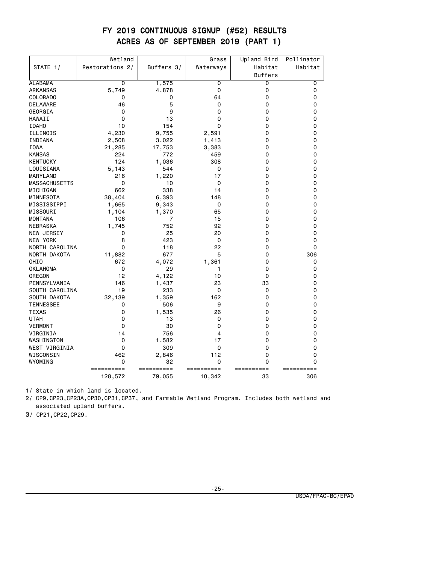#### FY 2019 CONTINUOUS SIGNUP (#52) RESULTS ACRES AS OF SEPTEMBER 2019 (PART 1)

|                      | Wetland         |                | Grass      | Upland Bird    | Pollinator |
|----------------------|-----------------|----------------|------------|----------------|------------|
| STATE 1/             | Restorations 2/ | Buffers 3/     | Waterways  | Habitat        | Habitat    |
|                      |                 |                |            | <b>Buffers</b> |            |
| <b>ALABAMA</b>       | 0               | 1,575          | 0          | 0              | 0          |
| ARKANSAS             | 5,749           | 4,878          | 0          | 0              | 0          |
| COLORADO             | 0               | 0              | 64         | 0              | 0          |
| DELAWARE             | 46              | 5              | 0          | 0              | 0          |
| GEORGIA              | 0               | 9              | 0          | 0              | 0          |
| <b>HAWAII</b>        | 0               | 13             | 0          | 0              | 0          |
| <b>IDAHO</b>         | 10              | 154            | 0          | 0              | 0          |
| ILLINOIS             | 4,230           | 9,755          | 2,591      | 0              | 0          |
| INDIANA              | 2,508           | 3,022          | 1,413      | 0              | 0          |
| <b>IOWA</b>          | 21,285          | 17,753         | 3,383      | 0              | 0          |
| <b>KANSAS</b>        | 224             | 772            | 459        | 0              | 0          |
| <b>KENTUCKY</b>      | 124             | 1,036          | 308        | 0              | 0          |
| LOUISIANA            | 5,143           | 544            | 0          | 0              | 0          |
| MARYLAND             | 216             | 1,220          | 17         | 0              | 0          |
| <b>MASSACHUSETTS</b> | 0               | 10             | 0          | 0              | 0          |
| MICHIGAN             | 662             | 338            | 14         | 0              | 0          |
| MINNESOTA            | 38,404          | 6,393          | 148        | 0              | 0          |
| MISSISSIPPI          | 1,665           | 9,343          | 0          | 0              | 0          |
| MISSOURI             | 1,104           | 1,370          | 65         | 0              | 0          |
| <b>MONTANA</b>       | 106             | $\overline{7}$ | 15         | 0              | 0          |
| <b>NEBRASKA</b>      | 1,745           | 752            | 92         | 0              | 0          |
| NEW JERSEY           | 0               | 25             | 20         | 0              | 0          |
| NEW YORK             | 8               | 423            | 0          | 0              | 0          |
| NORTH CAROLINA       | 0               | 118            | 22         | 0              | 0          |
| NORTH DAKOTA         | 11,882          | 677            | 5          | 0              | 306        |
| OHIO                 | 672             | 4,072          | 1,361      | 0              | 0          |
| <b>OKLAHOMA</b>      | $\mathbf 0$     | 29             | 1          | 0              | 0          |
| OREGON               | 12              | 4,122          | 10         | 0              | 0          |
| PENNSYLVANIA         | 146             | 1,437          | 23         | 33             | 0          |
| SOUTH CAROLINA       | 19              | 233            | 0          | 0              | 0          |
| SOUTH DAKOTA         | 32,139          | 1,359          | 162        | 0              | 0          |
| <b>TENNESSEE</b>     | 0               | 506            | 9          | 0              | 0          |
| <b>TEXAS</b>         | 0               | 1,535          | 26         | 0              | 0          |
| <b>UTAH</b>          | 0               | 13             | 0          | 0              | 0          |
| <b>VERMONT</b>       | 0               | 30             | 0          | 0              | 0          |
| VIRGINIA             | 14              | 756            | 4          | 0              | 0          |
| WASHINGTON           | 0               | 1,582          | 17         | 0              | 0          |
| WEST VIRGINIA        | 0               | 309            | 0          | 0              | 0          |
| WISCONSIN            | 462             | 2,846          | 112        | 0              | 0          |
| WYOMING              | 0               | 32             | 0          | 0              | 0          |
|                      | ==========      | ==========     | ========== | ==========     | ========== |
|                      | 128,572         | 79,055         | 10,342     | 33             | 306        |

1/ State in which land is located.

2/ CP9,CP23,CP23A,CP30,CP31,CP37, and Farmable Wetland Program. Includes both wetland and associated upland buffers.

3/ CP21,CP22,CP29.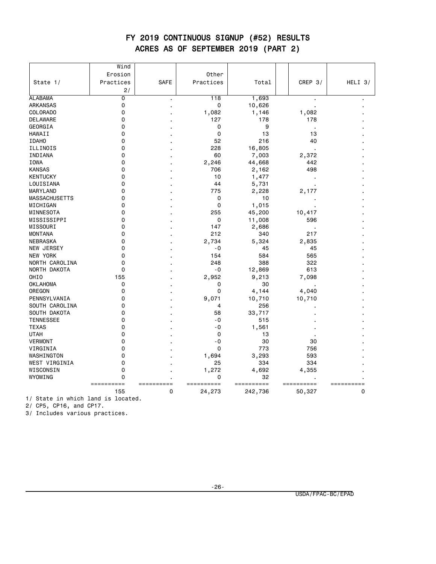#### FY 2019 CONTINUOUS SIGNUP (#52) RESULTS ACRES AS OF SEPTEMBER 2019 (PART 2)

|                      | Wind           |             |           |            |            |           |
|----------------------|----------------|-------------|-----------|------------|------------|-----------|
|                      | Erosion        |             | Other     |            |            |           |
| State 1/             | Practices      | <b>SAFE</b> | Practices | Total      | CREP $3/$  | HELI $3/$ |
|                      | 2/             |             |           |            |            |           |
| <b>ALABAMA</b>       | $\overline{0}$ |             | 118       | 1,693      |            |           |
| <b>ARKANSAS</b>      | $\mathbf 0$    |             | 0         | 10,626     |            |           |
| COLORADO             | $\mathbf 0$    |             | 1,082     | 1,146      | 1,082      |           |
| DELAWARE             | $\mathbf 0$    |             | 127       | 178        | 178        |           |
| GEORGIA              | $\Omega$       |             | 0         | 9          |            |           |
| HAWAII               | 0              |             | 0         | 13         | 13         |           |
| <b>IDAHO</b>         | $\Omega$       |             | 52        | 216        | 40         |           |
| ILLINOIS             | $\mathbf 0$    |             | 228       | 16,805     |            |           |
| INDIANA              | 0              |             | 60        | 7,003      | 2,372      |           |
| IOWA                 | $\Omega$       |             | 2,246     | 44,668     | 442        |           |
| <b>KANSAS</b>        | 0              |             | 706       | 2,162      | 498        |           |
| <b>KENTUCKY</b>      | $\mathbf 0$    |             | 10        | 1,477      |            |           |
| LOUISIANA            | 0              |             | 44        | 5,731      |            |           |
| MARYLAND             | 0              |             | 775       | 2,228      | 2,177      |           |
| <b>MASSACHUSETTS</b> | 0              |             | 0         | 10         |            |           |
| MICHIGAN             | $\mathbf 0$    |             | 0         | 1,015      |            |           |
| MINNESOTA            | $\mathbf 0$    |             | 255       | 45,200     | 10,417     |           |
| MISSISSIPPI          | $\mathbf 0$    |             | 0         | 11,008     | 596        |           |
| MISSOURI             | $\mathbf 0$    |             | 147       | 2,686      |            |           |
| <b>MONTANA</b>       | 0              |             | 212       | 340        | 217        |           |
| <b>NEBRASKA</b>      | $\mathbf 0$    |             | 2,734     | 5,324      | 2,835      |           |
| NEW JERSEY           | 0              |             | - 0       | 45         | 45         |           |
| NEW YORK             | 0              |             | 154       | 584        | 565        |           |
| NORTH CAROLINA       | $\mathbf 0$    |             | 248       | 388        | 322        |           |
| NORTH DAKOTA         | $\mathbf 0$    |             | $-0$      | 12,869     | 613        |           |
| OHIO                 | 155            |             | 2,952     | 9,213      | 7,098      |           |
| <b>OKLAHOMA</b>      | 0              |             | 0         | 30         |            |           |
| OREGON               | $\Omega$       |             | 0         | 4,144      | 4,040      |           |
| PENNSYLVANIA         | 0              |             | 9,071     | 10,710     | 10,710     |           |
| SOUTH CAROLINA       | $\mathbf 0$    |             | 4         | 256        |            |           |
| SOUTH DAKOTA         | $\mathbf 0$    |             | 58        | 33,717     |            |           |
| <b>TENNESSEE</b>     | 0              |             | $-0$      | 515        |            |           |
| <b>TEXAS</b>         | $\mathbf 0$    |             | $-0$      | 1,561      |            |           |
| <b>UTAH</b>          | 0              |             | 0         | 13         |            |           |
| <b>VERMONT</b>       | $\mathbf 0$    |             | $-0$      | 30         | 30         |           |
| VIRGINIA             | $\mathbf 0$    |             | 0         | 773        | 756        |           |
| WASHINGTON           | $\mathbf 0$    |             | 1,694     | 3,293      | 593        |           |
| WEST VIRGINIA        | $\mathbf 0$    |             | 25        | 334        | 334        |           |
| WISCONSIN            | 0              |             | 1,272     | 4,692      | 4,355      |           |
| WYOMING              | $\mathbf 0$    |             | 0         | 32         |            |           |
|                      | ==========     | ==========  | ======    | ========== | ========== | ========  |
|                      | 155            | 0           | 24,273    | 242,736    | 50,327     | 0         |

1/ State in which land is located.

2/ CP5, CP16, and CP17.

3/ Includes various practices.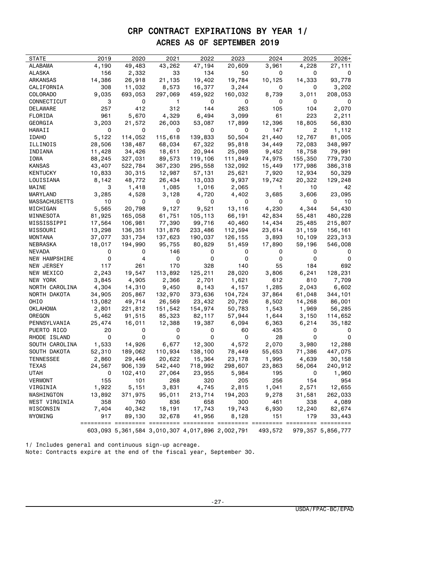#### CRP CONTRACT EXPIRATIONS BY YEAR 1/ ACRES AS OF SEPTEMBER 2019

| <b>STATE</b>         | 2019   | 2020                                            | 2021    | 2022    | 2023                 | 2024    | 2025    | $2026+$                     |
|----------------------|--------|-------------------------------------------------|---------|---------|----------------------|---------|---------|-----------------------------|
| ALABAMA              | 4,190  | 49,483                                          | 43,262  | 47,194  | 20,609               | 3,961   | 4,228   | 27,111                      |
| ALASKA               | 156    | 2,332                                           | 33      | 134     | 50                   | 0       | 0       | 0                           |
| ARKANSAS             | 14,386 | 26,918                                          | 21,135  | 19,402  | 19,784               | 10,125  | 14,333  | 93,778                      |
| CALIFORNIA           | 308    | 11,032                                          | 8,573   | 16,377  | 3,244                | 0       | 0       | 3,202                       |
| COLORADO             | 9,035  | 693,053                                         | 297,069 | 459,922 | 160,032              | 8,739   | 3,011   | 208,053                     |
| CONNECTICUT          | 3      | 0                                               | 1       | 0       | 0                    | 0       | 0       | 0                           |
| DELAWARE             | 257    | 412                                             | 312     | 144     | 263                  | 105     | 104     | 2,070                       |
| FLORIDA              | 961    | 5,670                                           | 4,329   | 6,494   | 3,099                | 61      | 223     | 2,211                       |
| GEORGIA              | 3,203  | 21,572                                          | 26,003  | 53,087  | 17,899               | 12,396  | 18,805  | 56,830                      |
| HAWAII               | 0      | 0                                               | 0       | 0       | 0                    | 147     | 2       | 1,112                       |
| <b>IDAHO</b>         | 5,122  | 114,052                                         | 115,618 | 139,833 | 50,504               | 21,440  | 12,767  | 81,005                      |
| ILLINOIS             | 28,506 | 138,487                                         | 68,034  | 67,322  | 95,818               | 34,449  | 72,083  | 348,997                     |
| INDIANA              | 11,428 | 34,426                                          | 18,611  | 20,944  | 25,098               | 9,452   | 18,758  | 79,991                      |
| IOWA                 | 88,245 | 327,031                                         | 89,573  | 119,106 | 111,849              | 74,975  | 155,350 | 779,730                     |
| KANSAS               | 43,407 | 522,784                                         | 367,230 | 295,558 | 132,092              | 15,449  | 177,986 | 386,318                     |
| KENTUCKY             | 10,833 | 30,315                                          | 12,987  | 57,131  | 25,621               | 7,920   | 12,934  | 50,329                      |
| LOUISIANA            | 8,142  | 48,772                                          | 26,434  | 13,033  | 9,937                | 19,742  | 20,322  | 129,248                     |
| MAINE                | 3      | 1,418                                           | 1,085   | 1,016   | 2,065                | -1      | 10      | 42                          |
| MARYLAND             | 3,285  | 4,528                                           | 3,128   | 4,720   | 4,402                | 3,685   | 3,606   | 23,095                      |
| MASSACHUSETTS        | 10     | 0                                               | 0       | 0       | 0                    | 0       | 0       | 10                          |
| MICHIGAN             | 5,565  | 20,798                                          | 9,127   | 9,521   | 13,116               | 4,230   | 4,344   | 54,430                      |
| MINNESOTA            | 81,925 | 165,058                                         | 61,751  | 105,113 | 66,191               | 42,834  | 55,481  | 480,228                     |
| MISSISSIPPI          | 17,564 | 106,981                                         | 77,390  | 99,716  | 40,460               | 14,434  | 25,485  | 215,807                     |
| MISSOURI             | 13,298 | 136,351                                         | 131,876 | 233,486 | 112,594              | 23,614  | 31,159  | 156,161                     |
| MONTANA              | 37,077 | 331,734                                         | 137,623 | 190,037 | 126,155              | 3,893   | 10,109  | 223,313                     |
| NEBRASKA             | 18,017 | 194,990                                         | 95,755  | 80,829  | 51,459               | 17,890  | 59,196  | 546,008                     |
| NEVADA               | 0      | 0                                               | 146     | 0       | 0                    | 0       | 0       | 0                           |
| NEW HAMPSHIRE        | 0      | 4                                               | 0       | 0       | 0                    | 0       | 0       | 0                           |
| NEW JERSEY           | 117    | 261                                             | 170     | 328     | 140                  | 55      | 184     | 692                         |
| NEW MEXICO           | 2,243  | 19,547                                          | 113,892 | 125,211 | 28,020               | 3,806   | 6,241   | 128,231                     |
| NEW YORK             | 3,845  | 4,905                                           | 2,366   | 2,701   | 1,621                | 612     | 810     | 7,709                       |
| NORTH CAROLINA       |        |                                                 |         |         |                      | 1,285   |         |                             |
|                      | 4,304  | 14,310                                          | 9,450   | 8,143   | 4,157                |         | 2,043   | 6,602                       |
| NORTH DAKOTA<br>OHIO | 34,905 | 205,867                                         | 132,970 | 373,636 | 104,724              | 37,864  | 61,048  | 344,101                     |
|                      | 13,082 | 49,714                                          | 26,569  | 23,432  | 20,726               | 8,502   | 14,268  | 86,001                      |
| OKLAHOMA             | 2,801  | 221,812                                         | 151,542 | 154,974 | 50,783               | 1,543   | 1,969   | 56,285                      |
| OREGON               | 5,462  | 91,515                                          | 85,323  | 82,117  | 57,944               | 1,644   | 3,150   | 114,652                     |
| PENNSYLVANIA         | 25,474 | 16,011                                          | 12,388  | 19,387  | 6,094                | 6,363   | 6,214   | 35,182                      |
| PUERTO RICO          | 20     | 0                                               | 0       | 0       | 60                   | 435     | 0       |                             |
| RHODE ISLAND         | 0      | 0                                               | 0       | 0       | 0                    | 28      | 0       | 0                           |
| SOUTH CAROLINA       | 1,533  | 14,926                                          | 6,677   | 12,300  | 4,572                | 2,070   | 3,980   | 12,288                      |
| SOUTH DAKOTA         | 52,310 | 189,062                                         | 110,934 | 138,100 | 78,449               | 55,653  | 71,386  | 447,075                     |
| TENNESSEE            | 2,860  | 29,446                                          | 20,622  | 15,364  | 23,178               | 1,995   | 4,639   | 30,158                      |
| TEXAS                | 24,567 | 906,139                                         | 542,440 | 718,992 | 298,607              | 23,863  | 56,064  | 240,912                     |
| UTAH                 | 0      | 102,410                                         | 27,064  | 23,955  | 5,984                | 195     | 0       | 1,960                       |
| <b>VERMONT</b>       | 155    | 101                                             | 268     | 320     | 205                  | 256     | 154     | 954                         |
| VIRGINIA             | 1,922  | 5,151                                           | 3,831   | 4,745   | 2,815                | 1,041   | 2,571   | 12,655                      |
| WASHINGTON           | 13,892 | 371,975                                         | 95,011  | 213,714 | 194,203              | 9,278   | 31,581  | 262,033                     |
| WEST VIRGINIA        | 358    | 760                                             | 836     | 658     | 300                  | 461     | 338     | 4,089                       |
| WISCONSIN            | 7,404  | 40,342                                          | 18,191  | 17,743  | 19,743               | 6,930   | 12,240  | 82,674                      |
| WYOMING              | 917    | 89,130                                          | 32,678  | 41,956  | 8,128                | 151     | 179     | 33,443                      |
|                      |        |                                                 |         |         | ========== ========= |         |         | $=$ ========= $=$ ========= |
|                      |        | 603,093 5,361,584 3,010,307 4,017,896 2,002,791 |         |         |                      | 493,572 |         | 979, 357 5, 856, 777        |

1/ Includes general and continuous sign-up acreage. Note: Contracts expire at the end of the fiscal year, September 30.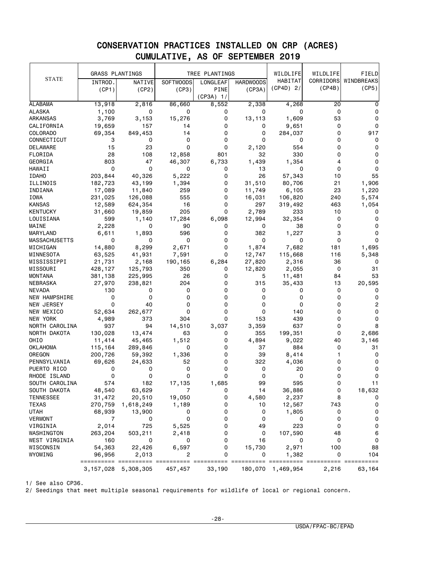|                      | <b>GRASS PLANTINGS</b> |           |                  | TREE PLANTINGS |                  | WILDLIFE    | WILDLIFE | FIELD                |
|----------------------|------------------------|-----------|------------------|----------------|------------------|-------------|----------|----------------------|
| <b>STATE</b>         | INTROD.                | NATIVE    | <b>SOFTWOODS</b> | LONGLEAF       | <b>HARDWOODS</b> | HABITAT     |          | CORRIDORS WINDBREAKS |
|                      | (CP1)                  | (CP2)     | (CP3)            | <b>PINE</b>    | (CP3A)           | $(CP4D)$ 2/ | (CP4B)   | (CP5)                |
|                      |                        |           |                  | $(CP3A)$ 1/    |                  |             |          |                      |
|                      |                        |           |                  |                |                  |             |          |                      |
| <b>ALABAMA</b>       | 13,918                 | 2,816     | 86,660           | 8,552          | 2,338            | 4,268       | 20       | 0                    |
| <b>ALASKA</b>        | 1,100                  | 0         | 0                | 0              | 0                | 0           | 0        | 0                    |
| ARKANSAS             | 3,769                  | 3,153     | 15,276           | 0              | 13,113           | 1,609       | 53       | 0                    |
| CALIFORNIA           | 19,659                 | 157       | 14               | 0              | 0                | 9,651       | 0        | 0                    |
| COLORADO             | 69,354                 | 849,453   | 14               | 0              | 0                | 284,037     | 0        | 917                  |
| CONNECTICUT          | 3                      | 0         | 0                | 0              | 0                | 0           | 0        | 0                    |
| DELAWARE             | 15                     | 23        | 0                | 0              | 2,120            | 554         | 0        | 0                    |
| FLORIDA              | 28                     | 108       | 12,858           | 801            | 32               | 330         | 0        | 0                    |
| GEORGIA              | 803                    | 47        | 46,307           | 6,733          | 1,439            | 1,354       | 4        | 0                    |
| HAWAII               | 0                      | 0         | 0                | 0              | 13               | 0           | 0        | 0                    |
| <b>IDAHO</b>         | 203,844                | 40,326    | 5,222            | 0              | 26               | 57,343      | 10       | 55                   |
| ILLINOIS             | 182,723                | 43,199    | 1,394            | 0              | 31,510           | 80,706      | 21       | 1,906                |
| INDIANA              | 17,089                 | 11,840    | 259              | 0              | 11,749           | 6,105       | 23       | 1,220                |
|                      |                        |           |                  |                |                  |             |          |                      |
| <b>IOWA</b>          | 231,025                | 126,088   | 555              | 0              | 16,031           | 106,820     | 240      | 5,574                |
| <b>KANSAS</b>        | 12,589                 | 624,354   | 16               | 0              | 297              | 319,492     | 463      | 1,054                |
| <b>KENTUCKY</b>      | 31,660                 | 19,859    | 205              | 0              | 2,789            | 233         | 10       | 0                    |
| LOUISIANA            | 599                    | 1,140     | 17,284           | 6,098          | 12,994           | 32,354      | 0        | 0                    |
| MAINE                | 2,228                  | 0         | 90               | 0              | 0                | 38          | 0        | 0                    |
| MARYLAND             | 6,611                  | 1,893     | 596              | 0              | 382              | 1,227       | 3        | 0                    |
| <b>MASSACHUSETTS</b> | 0                      | 0         | 0                | 0              | 0                | 0           | 0        | 0                    |
| MICHIGAN             | 14,880                 | 8,299     | 2,671            | 0              | 1,874            | 7,682       | 181      | 1,695                |
| MINNESOTA            | 63,525                 | 41,931    | 7,591            | 0              | 12,747           | 115,668     | 116      | 5,348                |
| MISSISSIPPI          | 21,731                 | 2,168     | 190,165          | 6,284          | 27,820           | 2,316       | 36       | 0                    |
| MISSOURI             | 428,127                | 125,793   | 350              | 0              | 12,820           | 2,055       | 0        | 31                   |
| MONTANA              | 381,138                | 225,995   | 26               | 0              | 5                | 11,481      | 84       | 53                   |
| NEBRASKA             | 27,970                 | 238,821   | 204              | 0              | 315              | 35,433      | 13       | 20,595               |
| <b>NEVADA</b>        | 130                    | 0         | 0                | 0              | 0                | 0           | 0        | 0                    |
|                      | 0                      | 0         | 0                | 0              | 0                | 0           | 0        | 0                    |
| <b>NEW HAMPSHIRE</b> |                        |           |                  |                |                  |             |          |                      |
| NEW JERSEY           | 0                      | 40        | 0                | 0              | 0                | 0           | 0        | 2                    |
| NEW MEXICO           | 52,634                 | 262,677   | 0                | 0              | 0                | 140         | 0        | 0                    |
| NEW YORK             | 4,989                  | 373       | 304              | 0              | 153              | 439         | 0        | 0                    |
| NORTH CAROLINA       | 937                    | 94        | 14,510           | 3,037          | 3,359            | 637         | 0        | 8                    |
| NORTH DAKOTA         | 130,028                | 13,474    | 63               | 0              | 355              | 199,351     | 0        | 2,686                |
| OHIO                 | 11,414                 | 45,465    | 1,512            | 0              | 4,894            | 9,022       | 40       | 3,146                |
| OKLAHOMA             | 115,164                | 289,846   | 0                | 0              | 37               | 884         | 0        | 31                   |
| OREGON               | 200,726                | 59,392    | 1,336            | 0              | 39               | 8,414       | 1        | 0                    |
| PENNSYLVANIA         | 69,626                 | 24,633    | 52               | 0              | 322              | 4,036       | 0        | 0                    |
| PUERTO RICO          | 0                      | 0         | 0                | 0              | 0                | 20          | 0        | 0                    |
| RHODE ISLAND         | 0                      | 0         | 0                | 0              | 0                | 0           | 0        | 0                    |
| SOUTH CAROLINA       | 574                    | 182       | 17,135           | 1,685          | 99               | 595         | O        | 11                   |
| SOUTH DAKOTA         | 48,540                 | 63,629    | 7                | 0              | 14               | 36,886      | 0        | 18,632               |
| <b>TENNESSEE</b>     | 31,472                 | 20,510    | 19,050           | 0              | 4,580            | 2,237       | 8        | 0                    |
| <b>TEXAS</b>         | 270,759                | 1,618,249 |                  | 0              |                  | 12,567      | 743      | 0                    |
|                      |                        |           | 1,189            |                | 10               |             |          |                      |
| <b>UTAH</b>          | 68,939                 | 13,900    | 0                | 0              | 0                | 1,805       | 0        | 0                    |
| <b>VERMONT</b>       | 7                      | 0         | 0                | 0              | 0                | 0           | 0        | $\mathsf 0$          |
| VIRGINIA             | 2,014                  | 725       | 5,525            | 0              | 49               | 223         | 0        | 0                    |
| WASHINGTON           | 263,204                | 503,211   | 2,418            | 0              | 0                | 107,590     | 48       | 6                    |
| WEST VIRGINIA        | 160                    | 0         | 0                | 0              | 16               | 0           | 0        | 0                    |
| WISCONSIN            | 54,363                 | 22,426    | 6,597            | 0              | 15,730           | 2,971       | 100      | 88                   |
| WYOMING              | 96,956                 | 2,013     | 2                | 0              | 0                | 1,382       | 0        | 104                  |
|                      | =================      | $=$ $=$   | =======          |                |                  |             |          |                      |
|                      | 3,157,028              | 5,308,305 | 457,457          | 33,190         | 180,070          | 1,469,954   | 2,216    | 63,164               |

1/ See also CP36.

2/ Seedings that meet multiple seasonal requirements for wildlife of local or regional concern.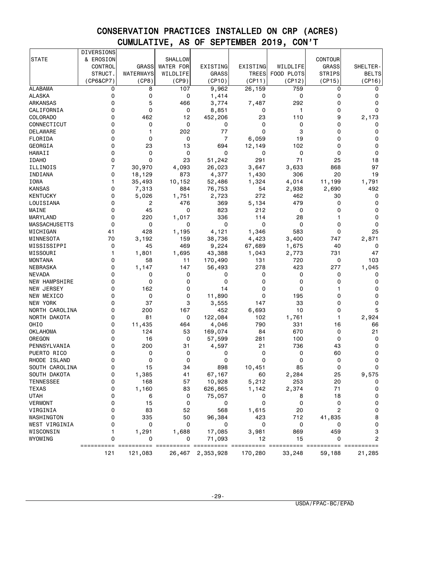|                                  | <b>DIVERSIONS</b> |              |                  |                |              |              |               |              |
|----------------------------------|-------------------|--------------|------------------|----------------|--------------|--------------|---------------|--------------|
| <b>STATE</b>                     | & EROSION         |              | <b>SHALLOW</b>   |                |              |              | CONTOUR       |              |
|                                  | <b>CONTROL</b>    | <b>GRASS</b> | <b>WATER FOR</b> | EXISTING       | EXISTING     | WILDLIFE     | <b>GRASS</b>  | SHELTER-     |
|                                  | STRUCT.           | WATERWAYS    | WILDLIFE         | <b>GRASS</b>   | <b>TREES</b> | FOOD PLOTS   | <b>STRIPS</b> | <b>BELTS</b> |
|                                  | (CP6&CP7)         | (CP8)        | (CP9)            | (CP10)         | (CP11)       | (CP12)       | (CP15)        | (CP16)       |
| <b>ALABAMA</b>                   | 0                 | 8            | 107              | 9,962          | 26,159       | 759          | 0             | 0            |
| <b>ALASKA</b>                    | 0                 | 0            | 0                | 1,414          | 0            | 0            | 0             | 0            |
| ARKANSAS                         | 0                 | 5            | 466              | 3,774          | 7,487        | 292          | 0             | 0            |
| CALIFORNIA                       | 0                 | 0            | 0                | 8,851          | 0            | 1            | 0             | 0            |
| COLORADO                         | 0                 | 462          | 12               | 452,206        | 23           | 110          | 9             | 2,173        |
| CONNECTICUT                      | 0                 | 0            | 0                | 0              | 0            | 0            | 0             | 0            |
| <b>DELAWARE</b>                  | 0                 | 1            | 202              | 77             | 0            | 3            | 0             | 0            |
| FLORIDA                          | 0                 | 0            | 0                | $\overline{7}$ | 6,059        | 19           | 0             | 0            |
| GEORGIA                          | 0                 | 23           | 13               | 694            | 12,149       | 102          | 0             | 0            |
| HAWAII                           | 0                 | 0            | 0                | 0              | 0            | $\mathbf 0$  | 0             | 0            |
| <b>IDAHO</b>                     | 0                 | 0            | 23               | 51,242         | 291          | 71           | 25            | 18           |
| ILLINOIS                         | $\overline{7}$    | 30,970       | 4,093            | 26,023         | 3,647        | 3,633        | 868           | 97           |
| INDIANA                          | 0                 | 18,129       | 873              | 4,377          | 1,430        | 306          | 20            | 19           |
| IOWA                             | 1                 | 35,493       | 10,152           | 52,486         | 1,324        | 4,014        | 11,199        | 1,791        |
| <b>KANSAS</b>                    | 0                 | 7,313        | 884              | 76,753         | 54           | 2,938        | 2,690         | 492          |
| KENTUCKY                         | 0                 | 5,026        | 1,751            | 2,723          | 272          | 462          | 30            | 0            |
| LOUISIANA                        | 0                 | 2            | 476              | 369            | 5,134        | 479          | 0             | 0            |
| MAINE                            | 0                 | 45           | 0                | 823            | 212          | 0            | 0             | 0            |
| MARYLAND                         | 0                 | 220          | 1,017            | 336            | 114          | 28           | 1             | 0            |
|                                  | 0                 | 0            | 0                | 0              | 0            | 0            | 0             | 0            |
| MASSACHUSETTS                    |                   | 428          |                  | 4,121          | 1,346        | 583          | 0             |              |
| MICHIGAN                         | 41                |              | 1,195            |                |              | 3,400        |               | 25           |
| MINNESOTA<br>MISSISSIPPI         | 70                | 3,192        | 159<br>469       | 38,736         | 4,423        |              | 747<br>40     | 2,871        |
| MISSOURI                         | 0                 | 45           |                  | 9,224          | 67,689       | 1,675        |               | 0            |
|                                  | 1<br>0            | 1,801        | 1,695            | 43,388         | 1,043        | 2,773        | 731           | 47           |
| <b>MONTANA</b>                   | 0                 | 58           | 11               | 170,490        | 131          | 720          | 0             | 103<br>1,045 |
| NEBRASKA                         | 0                 | 1,147        | 147              | 56,493         | 278          | 423<br>0     | 277           |              |
| <b>NEVADA</b><br>NEW HAMPSHIRE   | 0                 | 0<br>0       | 0<br>0           | 0<br>0         | 0<br>0       | 0            | 0<br>0        | 0<br>0       |
|                                  | 0                 | 162          | 0                | 14             | 0            | 0            | 1             |              |
| NEW JERSEY                       | 0                 | 0            |                  |                | 0            |              | 0             | 0<br>0       |
| NEW MEXICO                       | 0                 | 37           | 0<br>3           | 11,890         |              | 195<br>33    | 0             | 0            |
| NEW YORK<br>NORTH CAROLINA       | 0                 | 200          | 167              | 3,555<br>452   | 147<br>6,693 | 10           | 0             | 5            |
|                                  | 0                 | 81           | 0                |                | 102          |              | 1             |              |
| NORTH DAKOTA<br>OHIO             | 0                 |              |                  | 122,084        | 790          | 1,761        |               | 2,924        |
|                                  |                   | 11,435       | 464              | 4,046          |              | 331          | 16<br>0       | 66           |
| OKLAHOMA                         | 0<br>0            | 124          | 53               | 169,074        | 84           | 670          | 0             | 21           |
| OREGON<br>PENNSYLVANIA           | 0                 | 16<br>200    | 0                | 57,599         | 281          | 100          |               | 0<br>0       |
|                                  |                   |              | 31               | 4,597          | 21           | 736          | 43            |              |
| PUERTO RICO                      | 0                 | 0            | 0                | 0<br>0         | 0<br>0       | 0<br>0       | 60            | 0            |
| RHODE ISLAND                     | 0<br>0            | 0            | 0                |                |              | 85           | 0<br>0        | 0<br>0       |
| SOUTH CAROLINA                   | 0                 | 15           | 34<br>41         | 898            | 10,451       |              |               |              |
| SOUTH DAKOTA<br><b>TENNESSEE</b> | 0                 | 1,385<br>168 | 57               | 67,167         | 60           | 2,284<br>253 | 25<br>20      | 9,575        |
| <b>TEXAS</b>                     |                   | 1,160        | 83               | 10,928         | 5,212        | 2,374        |               |              |
|                                  | 0                 |              |                  | 626,865        | 1,142        |              | 71            | 0            |
| <b>UTAH</b>                      | 0<br>0            | 6<br>15      | 0                | 75,057         | 0<br>0       | 8<br>0       | 18<br>0       | 0            |
| <b>VERMONT</b>                   |                   |              | 0                | 0              |              |              |               | 0            |
| VIRGINIA                         | 0                 | 83           | 52               | 568            | 1,615        | 20           | 2             | 0            |
| WASHINGTON                       | 0                 | 335          | 50               | 96,384         | 423          | 712          | 41,835        | 8            |
| WEST VIRGINIA                    | 0                 | 0            | 0                | 0              | 0            | 0            | 0             | 0            |
| WISCONSIN                        | 1                 | 1,291        | 1,688            | 17,085         | 3,981        | 869          | 459           | 3            |
| WYOMING                          | 0                 | 0            | 0                | 71,093         | 12           | 15           | 0             | 2            |
|                                  |                   | =====        |                  |                |              |              |               |              |
|                                  | 121               | 121,083      | 26,467           | 2,353,928      | 170,280      | 33,248       | 59,188        | 21,285       |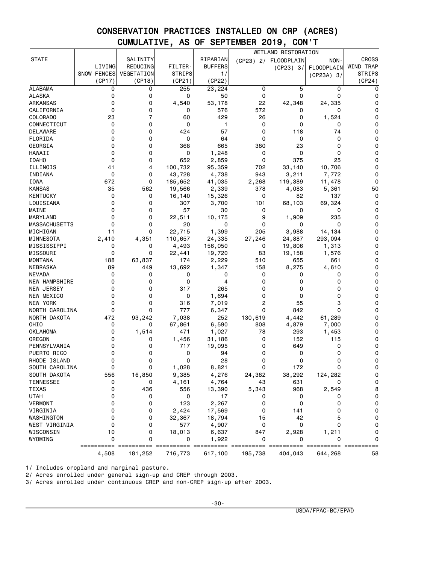|                      |                    |                                 |                       |                |             | WETLAND RESTORATION                         |                                  |                     |
|----------------------|--------------------|---------------------------------|-----------------------|----------------|-------------|---------------------------------------------|----------------------------------|---------------------|
| <b>STATE</b>         |                    | SALINITY                        |                       | RIPARIAN       | $(CP23)$ 2/ | <b>FLOODPLAIN</b>                           | NON-                             | <b>CROSS</b>        |
|                      | LIVING             | REDUCING                        | FILTER-               | <b>BUFFERS</b> |             | (CP23) 3/                                   | <b>FLOODPLAIN</b>                | WIND TRAP           |
|                      | <b>SNOW FENCES</b> | VEGETATION                      | <b>STRIPS</b>         | 1/             |             |                                             | $(CP23A)$ 3/                     | <b>STRIPS</b>       |
|                      | (CP17)             | (CP18)                          | (CP21)                | (CP22)         |             |                                             |                                  | (CP24)              |
| ALABAMA              | 0                  | 0                               | 255                   | 23,224         | 0           | 5                                           | 0                                | 0                   |
| <b>ALASKA</b>        | 0                  | 0                               | 0                     | 50             | 0           | 0                                           | $\mathbf 0$                      | 0                   |
| ARKANSAS             | 0                  | 0                               | 4,540                 | 53,178         | 22          | 42,348                                      | 24,335                           | 0                   |
| CALIFORNIA           | 0                  | 0                               | 0                     | 576            | 572         | 0                                           | 0                                | 0                   |
| COLORADO             | 23                 | 7                               | 60                    | 429            | 26          | 0                                           | 1,524                            | 0                   |
| CONNECTICUT          | 0                  | 0                               | 0                     | 1              | 0           | 0                                           | 0                                | 0                   |
| DELAWARE             | 0                  | 0                               | 424                   | 57             | 0           | 118                                         | 74                               | 0                   |
| FLORIDA              | 0                  | 0                               | 0                     | 64             | 0           | 0                                           | 0                                | 0                   |
| GEORGIA              | 0                  | 0                               | 368                   | 665            | 380         | 23                                          | 0                                | 0                   |
| <b>HAWAII</b>        | 0                  | 0                               | 0                     | 1,248          | 0           | 0                                           | 0                                | 0                   |
| <b>IDAHO</b>         | 0                  | 0                               | 652                   | 2,859          | 0           | 375                                         | 25                               | 0                   |
| ILLINOIS             | 41                 | 4                               | 100,732               | 95,359         | 702         | 33,140                                      | 10,706                           | 0                   |
| INDIANA              | 0                  | 0                               | 43,728                | 4,738          | 943         | 3,211                                       | 7,772                            | 0                   |
| IOWA                 | 672                | 0                               |                       |                |             |                                             |                                  | 0                   |
|                      |                    |                                 | 185,652               | 41,035         | 2,268       | 119,389                                     | 11,478                           |                     |
| <b>KANSAS</b>        | 35                 | 562                             | 19,566                | 2,339          | 378         | 4,083                                       | 5,361                            | 50                  |
| <b>KENTUCKY</b>      | 0                  | 0                               | 16,140                | 15,326         | 0           | 82                                          | 137                              | 0                   |
| LOUISIANA            | 0                  | 0                               | 307                   | 3,700          | 101         | 68,103                                      | 69,324                           | 0                   |
| MAINE                | 0                  | 0                               | 57                    | 30             | 0           | 0                                           | 0                                | 0                   |
| MARYLAND             | 0                  | 0                               | 22,511                | 10,175         | 9           | 1,909                                       | 235                              | 0                   |
| <b>MASSACHUSETTS</b> | 0                  | 0                               | 20                    | 0              | 0           | 0                                           | 0                                | 0                   |
| MICHIGAN             | 11                 | 0                               | 22,715                | 1,399          | 205         | 3,988                                       | 14,134                           | 0                   |
| MINNESOTA            | 2,410              | 4,351                           | 110,657               | 24,335         | 27,246      | 24,887                                      | 293,094                          | 0                   |
| MISSISSIPPI          | 0                  | 0                               | 4,493                 | 156,050        | 0           | 19,806                                      | 1,313                            | 0                   |
| MISSOURI             | 0                  | 0                               | 22,441                | 19,720         | 83          | 19,158                                      | 1,576                            | 0                   |
| MONTANA              | 188                | 63,837                          | 174                   | 2,229          | 510         | 655                                         | 661                              | 0                   |
| NEBRASKA             | 89                 | 449                             | 13,692                | 1,347          | 158         | 8,275                                       | 4,610                            | 0                   |
| <b>NEVADA</b>        | 0                  | 0                               | 0                     | 0              | 0           | 0                                           | 0                                | 0                   |
| <b>NEW HAMPSHIRE</b> | 0                  | 0                               | 0                     | 4              | 0           | 0                                           | 0                                | 0                   |
| NEW JERSEY           | 0                  | 0                               | 317                   | 265            | 0           | 0                                           | 0                                | 0                   |
| NEW MEXICO           | 0                  | 0                               | 0                     | 1,694          | 0           | 0                                           | 0                                | 0                   |
| NEW YORK             | 0                  | 0                               | 316                   | 7,019          | 2           | 55                                          | 3                                | 0                   |
| NORTH CAROLINA       | 0                  | 0                               | 777                   | 6,347          | 0           | 842                                         | 0                                | 0                   |
| NORTH DAKOTA         | 472                | 93,242                          | 7,038                 | 252            | 130,619     | 4,442                                       | 61,289                           | 0                   |
| OHIO                 | 0                  | 0                               | 67,861                | 6,590          | 808         | 4,879                                       | 7,000                            | 0                   |
| OKLAHOMA             | 0                  | 1,514                           | 471                   | 1,027          | 78          | 293                                         | 1,453                            | 0                   |
| OREGON               | 0                  | 0                               | 1,456                 | 31,186         | 0           | 152                                         | 115                              | 0                   |
| PENNSYLVANIA         | 0                  | 0                               | 717                   | 19,095         | 0           | 649                                         | 0                                | 0                   |
| PUERTO RICO          | 0                  | 0                               | 0                     | 94             | 0           | 0                                           | 0                                | 0                   |
| RHODE ISLAND         | 0                  | 0                               | 0                     | 28             | 0           | 0                                           | 0                                | 0                   |
| SOUTH CAROLINA       | 0                  | 0                               | 1,028                 | 8,821          | 0           | 172                                         | ŋ                                | 0                   |
| SOUTH DAKOTA         | 556                | 16,850                          | 9,385                 | 4,276          | 24,382      | 38,292                                      | 124,282                          | $\mathbf 0$         |
| <b>TENNESSEE</b>     | 0                  | 0                               | 4,161                 | 4,764          | 43          | 631                                         | 0                                | $\mathbf 0$         |
| <b>TEXAS</b>         | 0                  | 436                             | 556                   | 13,390         | 5,343       | 968                                         | 2,549                            | 8                   |
| UTAH                 | 0                  | 0                               | 0                     | 17             | 0           | 0                                           | 0                                | 0                   |
| <b>VERMONT</b>       | 0                  | 0                               | 123                   | 2,267          | 0           | 0                                           | 0                                | 0                   |
| VIRGINIA             | 0                  | 0                               |                       | 17,569         | 0           |                                             | 0                                | $\mathsf 0$         |
| WASHINGTON           | 0                  | 0                               | 2,424                 | 18,794         |             | 141                                         |                                  | 0                   |
|                      |                    |                                 | 32,367                |                | 15          | 42                                          | 5<br>0                           |                     |
| WEST VIRGINIA        | 0                  | 0                               | 577                   | 4,907          | 0           | 0                                           |                                  | 0                   |
| WISCONSIN            | 10                 | 0                               | 18,013                | 6,637          | 847         | 2,928                                       | 1,211                            | 0                   |
| WYOMING              | 0                  | 0                               | 0                     | 1,922          | 0           | 0                                           | 0                                | 0                   |
|                      | 4,508              | ====================<br>181,252 | ==========<br>716,773 | 617,100        | 195,738     | ---------- ---------- ----------<br>404,043 | $=$ = = = = = = = = =<br>644,268 | $=$ =========<br>58 |

1/ Includes cropland and marginal pasture.

2/ Acres enrolled under general sign-up and CREP through 2003.

3/ Acres enrolled under continuous CREP and non-CREP sign-up after 2003.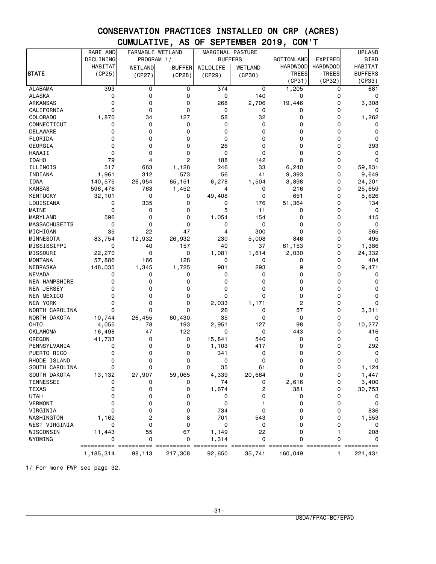|                  | RARE AND       | FARMABLE WETLAND |                |          | MARGINAL PASTURE |                   |                 | <b>UPLAND</b>  |
|------------------|----------------|------------------|----------------|----------|------------------|-------------------|-----------------|----------------|
|                  | DECLINING      | PROGRAM 1/       |                |          | <b>BUFFERS</b>   | <b>BOTTOMLAND</b> | EXPIRED         | <b>BIRD</b>    |
|                  | <b>HABITAT</b> | <b>WETLAND</b>   | <b>BUFFER</b>  | WILDLIFE | WETLAND          | <b>HARDWOOD</b>   | <b>HARDWOOD</b> | <b>HABITAT</b> |
| <b>STATE</b>     | (CP25)         | (CP27)           | (CP28)         | (CP29)   | (CP30)           | <b>TREES</b>      | <b>TREES</b>    | <b>BUFFERS</b> |
|                  |                |                  |                |          |                  | (CP31)            | (CP32)          | (CP33)         |
| <b>ALABAMA</b>   | 393            | 0                | 0              | 374      | 0                | 1,205             | 0               | 681            |
| <b>ALASKA</b>    | 0              | 0                | 0              | 0        | 140              | 0                 | 0               | 0              |
| ARKANSAS         | 0              | 0                | 0              | 268      | 2,706            | 19,446            | $\mathbf 0$     | 3,308          |
| CALIFORNIA       | 0              | 0                | 0              | 0        | 0                | 0                 | $\mathbf 0$     | 0              |
| COLORADO         | 1,870          | 34               | 127            | 58       | 32               | 0                 | 0               | 1,262          |
| CONNECTICUT      | 0              | 0                | 0              | 0        | 0                | 0                 | 0               | 0              |
| DELAWARE         | 0              | 0                | 0              | 0        | 0                | 0                 | $\mathbf 0$     | 0              |
| FLORIDA          | 0              | 0                | 0              | 0        | 0                | 0                 | 0               | 0              |
| GEORGIA          | 0              | 0                | 0              | 26       | 0                | 0                 | 0               | 393            |
| <b>HAWAII</b>    | 0              | 0                | 0              | 0        | 0                | 0                 | $\mathbf 0$     | 0              |
| <b>IDAHO</b>     | 79             | 4                | $\overline{c}$ | 188      | 142              | 0                 | 0               | 0              |
| ILLINOIS         | 517            | 663              | 1,128          | 246      | 33               | 6,240             | 0               | 59,831         |
| INDIANA          | 1,961          | 312              | 573            | 56       | 41               | 9,393             | 0               | 9,649          |
| IOWA             | 140,575        | 26,954           | 65,151         | 6,278    | 1,504            | 3,898             | 0               | 24,201         |
| <b>KANSAS</b>    | 596,476        | 763              | 1,452          | 4        | 0                | 216               | 0               | 25,659         |
| KENTUCKY         | 32,101         | 0                | 0              | 49,408   | 0                | 651               | $\mathbf 0$     | 5,626          |
| LOUISIANA        | 0              | 335              | 0              | 0        | 176              | 51,364            | 0               | 134            |
| MAINE            | 0              | 0                | 0              | 5        | 11               | 0                 | 0               | 0              |
| <b>MARYLAND</b>  | 596            | 0                | 0              | 1,054    | 154              | 0                 | $\Omega$        | 415            |
| MASSACHUSETTS    | 0              | 0                | 0              | 0        | 0                | 0                 | 0               | 0              |
| MICHIGAN         | 35             | 22               | 47             | 4        | 300              | 0                 | 0               | 565            |
| MINNESOTA        | 83,754         | 12,932           | 26,932         | 230      | 5,008            | 846               | $\Omega$        | 495            |
| MISSISSIPPI      | 0              | 40               | 157            | 40       | 37               | 61,153            | 0               | 1,386          |
| MISSOURI         | 22,270         | 0                | 0              | 1,081    | 1,614            | 2,030             | 0               | 24,332         |
| MONTANA          | 57,886         | 166              | 128            | 0        | 0                | 0                 | 0               | 404            |
| NEBRASKA         | 148,035        | 1,345            | 1,725          | 981      | 293              | 9                 | 0               | 9,471          |
| <b>NEVADA</b>    | 0              | 0                | 0              | 0        | 0                | 0                 | 0               | 0              |
| NEW HAMPSHIRE    | 0              | 0                | 0              | 0        | 0                | 0                 | 0               | 0              |
| NEW JERSEY       | 0              | 0                | 0              | 0        | 0                | 0                 | 0               | 0              |
| NEW MEXICO       | 0              | 0                | 0              | 0        | 0                | 0                 | 0               | 0              |
| <b>NEW YORK</b>  | 0              | 0                | 0              | 2,033    | 1,171            | 2                 | 0               | 0              |
| NORTH CAROLINA   | 0              | 0                | 0              | 26       | 0                | 57                | 0               | 3,311          |
| NORTH DAKOTA     | 10,744         | 26,455           | 60,430         | 35       | 0                | 0                 | 0               | 0              |
| OHIO             | 4,055          | 78               | 193            | 2,951    | 127              | 98                | $\mathbf 0$     | 10,277         |
| <b>OKLAHOMA</b>  | 16,498         | 47               | 122            | 0        | 0                | 443               | 0               | 416            |
| OREGON           | 41,733         | 0                | 0              | 15,841   | 540              | 0                 | 0               | 0              |
| PENNSYLVANIA     | 0              | 0                | 0              | 1,103    | 417              | 0                 | 0               | 292            |
| PUERTO RICO      | 0              | 0                | 0              | 341      | 0                | 0                 | 0               | 0              |
| RHODE ISLAND     | 0              | 0                | 0              | 0        | 0                | 0                 | 0               | 0              |
| SOUTH CAROLINA   | 0              | 0                | O              | 35       | 61               | U                 | $\Omega$        | 1,124          |
| SOUTH DAKOTA     | 13,132         | 27,907           | 59,065         | 4,339    | 20,664           | 0                 | 0               | 1,447          |
| <b>TENNESSEE</b> | 0              | 0                | 0              | 74       | 0                | 2,616             | 0               | 3,400          |
| <b>TEXAS</b>     | 0              | 0                | 0              | 1,674    | 2                | 381               | 0               | 30,753         |
| <b>UTAH</b>      | 0              | 0                | 0              | 0        | 0                | 0                 | 0               | 0              |
| <b>VERMONT</b>   | 0              | 0                | 0              | 0        |                  | 0                 | 0               | 0              |
| VIRGINIA         | 0              | 0                | 0              | 734      | 0                | 0                 | 0               | 836            |
| WASHINGTON       | 1,162          | 2                | 8              | 701      | 543              | 0                 | 0               | 1,553          |
| WEST VIRGINIA    | 0              | 0                | 0              | 0        | 0                | 0                 | 0               | 0              |
| WISCONSIN        | 11,443         | 55               | 67             | 1,149    | 22               | 0                 | 1               | 208            |
| WYOMING          | 0              | 0                | 0              | 1,314    | 0                | 0                 | 0               | 0              |
|                  | ==========     |                  |                |          |                  |                   |                 |                |
|                  | 1,185,314      | 98,113           | 217,308        | 92,650   | 35,741           | 160,049           | 1               | 221,431        |

1/ For more FWP see page 32.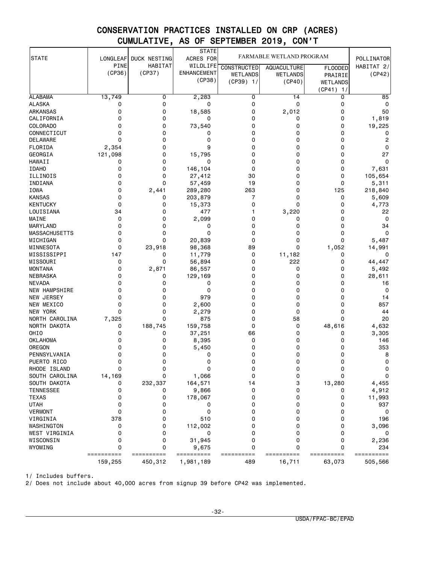|                         |                       |                       | <b>STATE</b>        |                    |                          |                      |                          |
|-------------------------|-----------------------|-----------------------|---------------------|--------------------|--------------------------|----------------------|--------------------------|
| <b>STATE</b>            | LONGLEAF              | DUCK NESTING          | ACRES FOR           |                    | FARMABLE WETLAND PROGRAM |                      | POLLINATOR               |
|                         | PINE                  | HABITAT               | WILDLIFE            | <b>CONSTRUCTED</b> | <b>AQUACULTURE</b>       | <b>FLOODED</b>       | HABITAT $2/$             |
|                         | (CP36)                | (CP37)                | <b>ENHANCEMENT</b>  | <b>WETLANDS</b>    | <b>WETLANDS</b>          | PRAIRIE              | (CP42)                   |
|                         |                       |                       | (CP38)              | $(CP39)$ 1/        | (CP40)                   | <b>WETLANDS</b>      |                          |
|                         |                       |                       |                     |                    |                          | (CP41)<br>1/         |                          |
| <b>ALABAMA</b>          | 13,749                | 0                     | 2,283               | 0                  | 14                       | 0                    | 85                       |
| ALASKA                  | 0                     | 0                     | 0                   | 0                  | 0                        | 0                    | 0                        |
| ARKANSAS                | 0                     | 0                     | 18,585              | 0                  | 2,012                    | 0                    | 50                       |
| CALIFORNIA              | 0                     | 0                     | 0                   | 0                  | 0                        | 0                    | 1,819                    |
| <b>COLORADO</b>         | 0                     | 0                     | 73,540              | 0                  | 0                        | 0                    | 19,225                   |
| CONNECTICUT             | 0                     | 0                     | 0                   | 0                  | 0                        | 0                    | 0                        |
| <b>DELAWARE</b>         | $\Omega$              | 0                     | 0                   | 0                  | 0                        | 0                    | $\overline{c}$           |
| FLORIDA                 | 2,354                 | 0                     | 9                   | 0                  | 0                        | 0                    | 0                        |
| GEORGIA                 | 121,098               | 0                     | 15,795              | 0                  | 0                        | 0                    | 27                       |
| <b>HAWAII</b>           | 0                     | 0                     | 0                   | 0                  | 0                        | 0                    | $\mathbf 0$              |
| <b>IDAHO</b>            | 0                     | 0                     | 146,104             | 0                  | 0                        | 0                    | 7,631                    |
| ILLINOIS                | 0                     | 0                     | 27,412              | 30                 | 0                        | 0                    | 105,654                  |
| INDIANA                 | 0                     | 0                     | 57,459              | 19                 | 0                        | 0                    | 5,311                    |
| IOWA                    | 0                     | 2,441                 | 289,280             | 263                | 0                        | 125                  | 218,840                  |
| <b>KANSAS</b>           | 0                     | 0                     | 203,879             | 7                  | 0                        | 0                    | 5,609                    |
| <b>KENTUCKY</b>         | 0                     | 0                     | 15,373              | 0                  | 0                        | 0                    | 4,773                    |
| LOUISIANA               | 34                    | 0                     | 477                 | 1                  | 3,220                    | 0                    | 22                       |
| MAINE                   | 0                     | 0                     | 2,099               | 0                  | 0                        | 0                    | 0                        |
| <b>MARYLAND</b>         | 0                     | 0                     | 0                   | 0                  | 0                        | 0                    | 34                       |
| <b>MASSACHUSETTS</b>    | 0                     | 0                     | 0                   | 0                  | 0                        | 0                    | $\Omega$                 |
| MICHIGAN                | 0                     | 0                     | 20,839              | 0                  | 0                        | 0                    | 5,487                    |
| MINNESOTA               | 0                     | 23,918                | 98,368              | 89                 | 0                        | 1,052                | 14,991                   |
| MISSISSIPPI<br>MISSOURI | 147<br>0              | 0<br>0                | 11,779<br>56,894    | 0<br>0             | 11,182<br>222            | 0<br>0               | 0<br>44,447              |
| <b>MONTANA</b>          | 0                     | 2,871                 | 86,557              | 0                  | 0                        | 0                    | 5,492                    |
| NEBRASKA                | 0                     | 0                     | 129,169             | 0                  | 0                        | 0                    | 28,611                   |
| <b>NEVADA</b>           | 0                     | 0                     | 0                   | 0                  | 0                        | 0                    | 16                       |
| NEW HAMPSHIRE           | 0                     | 0                     | 0                   | 0                  | 0                        | 0                    | 0                        |
| <b>NEW JERSEY</b>       | $\Omega$              | 0                     | 979                 | 0                  | 0                        | 0                    | 14                       |
| NEW MEXICO              | 0                     | 0                     | 2,600               | 0                  | 0                        | 0                    | 857                      |
| <b>NEW YORK</b>         | 0                     | 0                     | 2,279               | 0                  | 0                        | 0                    | 44                       |
| NORTH CAROLINA          | 7,325                 | 0                     | 875                 | 0                  | 58                       | 0                    | 20                       |
| NORTH DAKOTA            | 0                     | 188,745               | 159,758             | 0                  | 0                        | 48,616               | 4,632                    |
| OHIO                    | 0                     | 0                     | 37,251              | 66                 | 0                        | 0                    | 3,305                    |
| <b>OKLAHOMA</b>         | 0                     | 0                     | 8,395               | 0                  | 0                        | 0                    | 146                      |
| OREGON                  | 0                     | 0                     | 5,450               | 0                  | 0                        | 0                    | 353                      |
| PENNSYLVANIA            | 0                     | 0                     | 0                   | 0                  | 0                        | 0                    | 8                        |
| PUERTO RICO             | 0                     | 0                     | 0                   | 0                  | 0                        | 0                    | 0                        |
| RHODE ISLAND            | 0                     | 0                     | 0                   | 0                  | 0                        | 0                    | 0                        |
| SOUTH CAROLINA          | 14,169                | 0                     | 1,066               | 0                  | 0                        | 0                    | $\mathbf 0$              |
| SOUTH DAKOTA            | 0                     | 232,337               | 164,571             | 14                 | 3                        | 13,280               | 4,455                    |
| <b>TENNESSEE</b>        | 0                     | 0                     | 9,866               | 0                  | 0                        | 0                    | 4,912                    |
| <b>TEXAS</b>            | 0                     | 0                     | 178,067             | 0                  | 0                        | 0                    | 11,993                   |
| <b>UTAH</b>             | 0                     | 0                     | 0                   | 0                  | 0                        | 0                    | 937                      |
| <b>VERMONT</b>          | 0                     | 0                     | 0                   | 0                  | 0                        | 0                    | 0                        |
| VIRGINIA                | 378                   | 0                     | 510                 | 0                  | 0                        | 0                    | 196                      |
| WASHINGTON              | 0                     | 0                     | 112,002             | 0                  | 0                        | 0                    | 3,096                    |
| WEST VIRGINIA           | 0                     | 0                     | 0                   | 0                  | 0                        | 0                    | 0                        |
| WISCONSIN               | 0                     | 0                     | 31,945              | 0                  | 0                        | 0                    | 2,236                    |
| WYOMING                 | $\mathbf 0$           | 0                     | 9,675<br>========== | 0                  | 0                        | 0                    | 234                      |
|                         | ==========<br>159,255 | ==========<br>450,312 | 1,981,189           | ==========<br>489  | ==========<br>16,711     | ==========<br>63,073 | $=$ =========<br>505,566 |

1/ Includes buffers.

2/ Does not include about 40,000 acres from signup 39 before CP42 was implemented.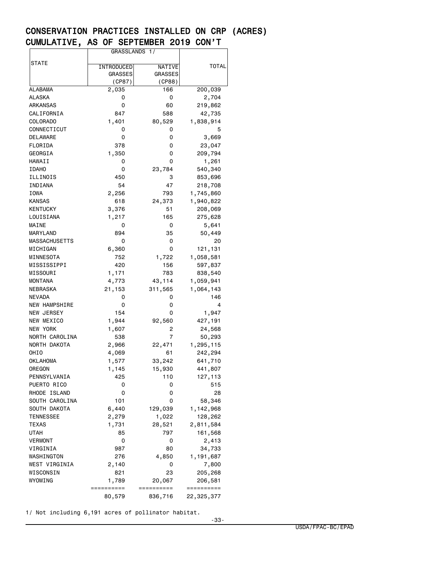|                      | GRASSLANDS 1/  |                |            |
|----------------------|----------------|----------------|------------|
|                      |                |                |            |
| STATE                | INTRODUCED     | <b>NATIVE</b>  | TOTAL      |
|                      | <b>GRASSES</b> | <b>GRASSES</b> |            |
|                      | (CP87)         | (CP88)         |            |
| ALABAMA              | 2,035          | 166            | 200,039    |
| ALASKA               | 0              | 0              | 2,704      |
| ARKANSAS             | 0              | 60             | 219,862    |
| CALIFORNIA           | 847            | 588            | 42,735     |
| COLORADO             | 1,401          | 80,529         | 1,838,914  |
| CONNECTICUT          | 0              | 0              | 5          |
| <b>DELAWARE</b>      | 0              | 0              | 3,669      |
| FLORIDA              | 378            | 0              | 23,047     |
| GEORGIA              | 1,350          | 0              | 209,794    |
| HAWAII               | 0              | 0              | 1,261      |
| <b>IDAHO</b>         | 0              | 23,784         | 540,340    |
| ILLINOIS             | 450            | 3              | 853,696    |
|                      | 54             | 47             |            |
| INDIANA              |                |                | 218,708    |
| IOWA                 | 2,256          | 793            | 1,745,860  |
| <b>KANSAS</b>        | 618            | 24,373         | 1,940,822  |
| KENTUCKY             | 3,376          | 51             | 208,069    |
| LOUISIANA            | 1,217          | 165            | 275,628    |
| MAINE                | 0              | 0              | 5,641      |
| MARYLAND             | 894            | 35             | 50,449     |
| MASSACHUSETTS        | 0              | 0              | 20         |
| MICHIGAN             | 6,360          | 0              | 121,131    |
| MINNESOTA            | 752            | 1,722          | 1,058,581  |
| MISSISSIPPI          | 420            | 156            | 597,837    |
| MISSOURI             | 1,171          | 783            | 838,540    |
| MONTANA              | 4,773          | 43,114         | 1,059,941  |
| NEBRASKA             | 21,153         | 311,565        | 1,064,143  |
| NEVADA               | 0              | 0              | 146        |
| <b>NEW HAMPSHIRE</b> | 0              | 0              | 4          |
| NEW JERSEY           | 154            | 0              | 1,947      |
| NEW MEXICO           | 1,944          | 92,560         | 427,191    |
| NEW YORK             | 1,607          | 2              | 24,568     |
| NORTH CAROLINA       | 538            | 7              | 50,293     |
| NORTH DAKOTA         | 2,966          | 22,471         | 1,295,115  |
| OHIO                 | 4,069          | 61             | 242,294    |
| OKLAHOMA             | 1,577          | 33,242         | 641,710    |
| OREGON               | 1,145          | 15,930         | 441,807    |
| PENNSYLVANIA         | 425            | 110            | 127,113    |
| PUERTO RICO          | 0              | 0              | 515        |
| RHODE ISLAND         | 0              | 0              | 28         |
| SOUTH CAROLINA       | 101            | 0              | 58,346     |
| SOUTH DAKOTA         | 6,440          | 129,039        | 1,142,968  |
| TENNESSEE            | 2,279          | 1,022          | 128,262    |
| TEXAS                | 1,731          | 28,521         | 2,811,584  |
| <b>UTAH</b>          |                |                | 161,568    |
|                      | 85             | 797            |            |
| VERMONT              | 0              | 0              | 2,413      |
| VIRGINIA             | 987            | 80             | 34,733     |
| WASHINGTON           | 276            | 4,850          | 1,191,687  |
| WEST VIRGINIA        | 2,140          | 0              | 7,800      |
| WISCONSIN            | 821            | 23             | 205,268    |
| WYOMING              | 1,789          | 20,067         | 206,581    |
|                      | ==========     | =========      | ========== |
|                      | 80,579         | 836,716        | 22,325,377 |

1/ Not including 6,191 acres of pollinator habitat.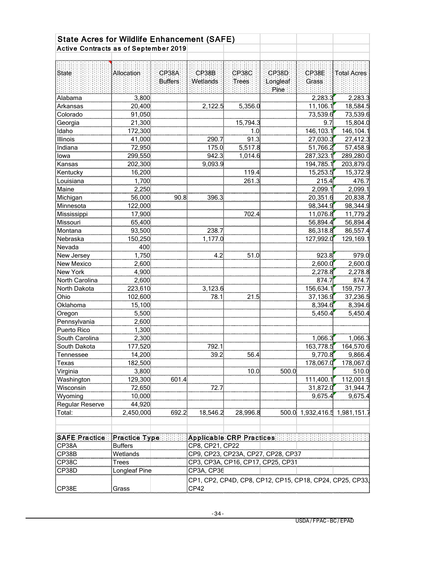| Allocation: | CP38A                                                                                                                                                                                                                                                                                                                                                     | CP38B          | CP38C                                                                                                                       | CP38D                                                                                                                  | CP38E                                    | <b>Total Acres</b>                                                                                                                                                                                                                                                                                                                                                                                                                                                                                                             |
|-------------|-----------------------------------------------------------------------------------------------------------------------------------------------------------------------------------------------------------------------------------------------------------------------------------------------------------------------------------------------------------|----------------|-----------------------------------------------------------------------------------------------------------------------------|------------------------------------------------------------------------------------------------------------------------|------------------------------------------|--------------------------------------------------------------------------------------------------------------------------------------------------------------------------------------------------------------------------------------------------------------------------------------------------------------------------------------------------------------------------------------------------------------------------------------------------------------------------------------------------------------------------------|
|             | Buffers                                                                                                                                                                                                                                                                                                                                                   | Wetlands       | Trees                                                                                                                       | Longleaf                                                                                                               | Grass                                    |                                                                                                                                                                                                                                                                                                                                                                                                                                                                                                                                |
|             |                                                                                                                                                                                                                                                                                                                                                           |                |                                                                                                                             |                                                                                                                        |                                          | 2,283.3                                                                                                                                                                                                                                                                                                                                                                                                                                                                                                                        |
|             |                                                                                                                                                                                                                                                                                                                                                           |                |                                                                                                                             |                                                                                                                        |                                          | 18,584.5                                                                                                                                                                                                                                                                                                                                                                                                                                                                                                                       |
|             |                                                                                                                                                                                                                                                                                                                                                           |                |                                                                                                                             |                                                                                                                        |                                          | 73,539.6                                                                                                                                                                                                                                                                                                                                                                                                                                                                                                                       |
|             |                                                                                                                                                                                                                                                                                                                                                           |                |                                                                                                                             |                                                                                                                        |                                          | 15,804.0                                                                                                                                                                                                                                                                                                                                                                                                                                                                                                                       |
|             |                                                                                                                                                                                                                                                                                                                                                           |                |                                                                                                                             |                                                                                                                        |                                          | 146,104.1                                                                                                                                                                                                                                                                                                                                                                                                                                                                                                                      |
|             |                                                                                                                                                                                                                                                                                                                                                           |                |                                                                                                                             |                                                                                                                        |                                          | 27,412.3                                                                                                                                                                                                                                                                                                                                                                                                                                                                                                                       |
|             |                                                                                                                                                                                                                                                                                                                                                           |                |                                                                                                                             |                                                                                                                        |                                          | 57,458.9                                                                                                                                                                                                                                                                                                                                                                                                                                                                                                                       |
|             |                                                                                                                                                                                                                                                                                                                                                           |                |                                                                                                                             |                                                                                                                        |                                          | 289,280.0                                                                                                                                                                                                                                                                                                                                                                                                                                                                                                                      |
|             |                                                                                                                                                                                                                                                                                                                                                           |                |                                                                                                                             |                                                                                                                        |                                          | 203,879.0                                                                                                                                                                                                                                                                                                                                                                                                                                                                                                                      |
|             |                                                                                                                                                                                                                                                                                                                                                           |                |                                                                                                                             |                                                                                                                        |                                          | 15,372.9                                                                                                                                                                                                                                                                                                                                                                                                                                                                                                                       |
|             |                                                                                                                                                                                                                                                                                                                                                           |                |                                                                                                                             |                                                                                                                        |                                          | 476.7                                                                                                                                                                                                                                                                                                                                                                                                                                                                                                                          |
|             |                                                                                                                                                                                                                                                                                                                                                           |                |                                                                                                                             |                                                                                                                        |                                          | 2,099.1                                                                                                                                                                                                                                                                                                                                                                                                                                                                                                                        |
|             | 90.8                                                                                                                                                                                                                                                                                                                                                      | 396.3          |                                                                                                                             |                                                                                                                        |                                          | 20,838.7                                                                                                                                                                                                                                                                                                                                                                                                                                                                                                                       |
|             |                                                                                                                                                                                                                                                                                                                                                           |                |                                                                                                                             |                                                                                                                        |                                          | 98,344.9                                                                                                                                                                                                                                                                                                                                                                                                                                                                                                                       |
|             |                                                                                                                                                                                                                                                                                                                                                           |                |                                                                                                                             |                                                                                                                        |                                          | 11,779.2                                                                                                                                                                                                                                                                                                                                                                                                                                                                                                                       |
|             |                                                                                                                                                                                                                                                                                                                                                           |                |                                                                                                                             |                                                                                                                        |                                          | 56,894.4                                                                                                                                                                                                                                                                                                                                                                                                                                                                                                                       |
|             |                                                                                                                                                                                                                                                                                                                                                           |                |                                                                                                                             |                                                                                                                        |                                          | 86,557.4                                                                                                                                                                                                                                                                                                                                                                                                                                                                                                                       |
|             |                                                                                                                                                                                                                                                                                                                                                           |                |                                                                                                                             |                                                                                                                        |                                          | 129,169.1                                                                                                                                                                                                                                                                                                                                                                                                                                                                                                                      |
|             |                                                                                                                                                                                                                                                                                                                                                           |                |                                                                                                                             |                                                                                                                        |                                          |                                                                                                                                                                                                                                                                                                                                                                                                                                                                                                                                |
|             |                                                                                                                                                                                                                                                                                                                                                           |                |                                                                                                                             |                                                                                                                        |                                          | 979.0                                                                                                                                                                                                                                                                                                                                                                                                                                                                                                                          |
|             |                                                                                                                                                                                                                                                                                                                                                           |                |                                                                                                                             |                                                                                                                        |                                          | 2,600.0                                                                                                                                                                                                                                                                                                                                                                                                                                                                                                                        |
|             |                                                                                                                                                                                                                                                                                                                                                           |                |                                                                                                                             |                                                                                                                        |                                          | 2,278.8                                                                                                                                                                                                                                                                                                                                                                                                                                                                                                                        |
|             |                                                                                                                                                                                                                                                                                                                                                           |                |                                                                                                                             |                                                                                                                        |                                          | 874.7                                                                                                                                                                                                                                                                                                                                                                                                                                                                                                                          |
|             |                                                                                                                                                                                                                                                                                                                                                           |                |                                                                                                                             |                                                                                                                        |                                          | 159,757.7                                                                                                                                                                                                                                                                                                                                                                                                                                                                                                                      |
|             |                                                                                                                                                                                                                                                                                                                                                           |                |                                                                                                                             |                                                                                                                        |                                          | 37,236.5                                                                                                                                                                                                                                                                                                                                                                                                                                                                                                                       |
|             |                                                                                                                                                                                                                                                                                                                                                           |                |                                                                                                                             |                                                                                                                        |                                          | 8,394.6                                                                                                                                                                                                                                                                                                                                                                                                                                                                                                                        |
|             |                                                                                                                                                                                                                                                                                                                                                           |                |                                                                                                                             |                                                                                                                        | 5,450.4                                  | 5,450.4                                                                                                                                                                                                                                                                                                                                                                                                                                                                                                                        |
|             |                                                                                                                                                                                                                                                                                                                                                           |                |                                                                                                                             |                                                                                                                        |                                          |                                                                                                                                                                                                                                                                                                                                                                                                                                                                                                                                |
|             |                                                                                                                                                                                                                                                                                                                                                           |                |                                                                                                                             |                                                                                                                        |                                          |                                                                                                                                                                                                                                                                                                                                                                                                                                                                                                                                |
|             |                                                                                                                                                                                                                                                                                                                                                           |                |                                                                                                                             |                                                                                                                        |                                          | 1,066.3                                                                                                                                                                                                                                                                                                                                                                                                                                                                                                                        |
| 177,520     |                                                                                                                                                                                                                                                                                                                                                           | 792.1          |                                                                                                                             |                                                                                                                        | 163,778.5                                | 164,570.6                                                                                                                                                                                                                                                                                                                                                                                                                                                                                                                      |
| 14,200      |                                                                                                                                                                                                                                                                                                                                                           | 39.2           | 56.4                                                                                                                        |                                                                                                                        |                                          | 9,866.4                                                                                                                                                                                                                                                                                                                                                                                                                                                                                                                        |
| 182,500     |                                                                                                                                                                                                                                                                                                                                                           |                |                                                                                                                             |                                                                                                                        |                                          | 178,067.0                                                                                                                                                                                                                                                                                                                                                                                                                                                                                                                      |
| 3,800       |                                                                                                                                                                                                                                                                                                                                                           |                | 10.0                                                                                                                        | 500.0                                                                                                                  |                                          | 510.0                                                                                                                                                                                                                                                                                                                                                                                                                                                                                                                          |
| 129,300     |                                                                                                                                                                                                                                                                                                                                                           |                |                                                                                                                             |                                                                                                                        |                                          | 112,001.5                                                                                                                                                                                                                                                                                                                                                                                                                                                                                                                      |
| 72,650      |                                                                                                                                                                                                                                                                                                                                                           | 72.7           |                                                                                                                             |                                                                                                                        |                                          | 31,944.7                                                                                                                                                                                                                                                                                                                                                                                                                                                                                                                       |
| 10,000      |                                                                                                                                                                                                                                                                                                                                                           |                |                                                                                                                             |                                                                                                                        | 9,675.4                                  | 9,675.4                                                                                                                                                                                                                                                                                                                                                                                                                                                                                                                        |
| 44,920      |                                                                                                                                                                                                                                                                                                                                                           |                |                                                                                                                             |                                                                                                                        |                                          |                                                                                                                                                                                                                                                                                                                                                                                                                                                                                                                                |
| 2,450,000   |                                                                                                                                                                                                                                                                                                                                                           | 18,546.2       | 28,996.8                                                                                                                    |                                                                                                                        |                                          |                                                                                                                                                                                                                                                                                                                                                                                                                                                                                                                                |
|             |                                                                                                                                                                                                                                                                                                                                                           |                |                                                                                                                             |                                                                                                                        |                                          |                                                                                                                                                                                                                                                                                                                                                                                                                                                                                                                                |
|             |                                                                                                                                                                                                                                                                                                                                                           |                |                                                                                                                             |                                                                                                                        |                                          |                                                                                                                                                                                                                                                                                                                                                                                                                                                                                                                                |
|             |                                                                                                                                                                                                                                                                                                                                                           |                |                                                                                                                             |                                                                                                                        |                                          |                                                                                                                                                                                                                                                                                                                                                                                                                                                                                                                                |
|             |                                                                                                                                                                                                                                                                                                                                                           |                |                                                                                                                             |                                                                                                                        |                                          |                                                                                                                                                                                                                                                                                                                                                                                                                                                                                                                                |
|             |                                                                                                                                                                                                                                                                                                                                                           |                |                                                                                                                             |                                                                                                                        |                                          |                                                                                                                                                                                                                                                                                                                                                                                                                                                                                                                                |
|             | 3,800<br>20,400<br>91,050<br>21,300<br>172,300<br>41,000<br>72,950<br>299,550<br>202,300<br>16,200<br>1,700<br>2,250<br>56,000<br>122,000<br>17,900<br>65,400<br>93,500<br>150,250<br>400<br>1,750<br>2,600<br>4,900<br>2,600<br>223,610<br>102,600<br>15,100<br>5,500<br>2,600<br>1,300<br>2,300<br><b>Buffers</b><br>Wetlands<br>Trees<br>Longleaf Pine | Practice Type: | 2,122.5<br>290.7<br>175.0<br>942.3<br>9,093.9<br>238.7<br>1,177.0<br>4.2<br>3,123.6<br>78.1<br>601.4<br>692.2<br>CP3A, CP36 | 5,356.0<br>15,794.3<br>1.0<br>91.3<br>5,517.8<br>1,014.6<br>119.4<br>261.3<br>702.4<br>51.0<br>21.5<br>CP8, CP21, CP22 | Pine:<br><b>Applicable CRP Practices</b> | 2,283.3<br>11,106.1<br>73,539.6<br>9.7<br>146,103.1<br>27,030.3<br>51,766.2<br>287,323.1<br>194,785.1<br>15,253.5<br>215.4<br>2,099.1<br>20,351.6<br>98,344.9<br>11,076.8<br>56,894.4<br>86,318.8<br>127,992.0<br>923.8<br>2,600.0<br>2,278.8<br>874.7<br>156,634.1<br>37,136.9<br>8,394.6<br>1,066.3<br>9,770.8<br>178,067.0<br>111,400.1<br>31,872.0<br>500.0 1,932,416.5 1,981,151.7<br>CP9, CP23, CP23A, CP27, CP28, CP37<br>CP3, CP3A, CP16, CP17, CP25, CP31<br>CP1, CP2, CP4D, CP8, CP12, CP15, CP18, CP24, CP25, CP33, |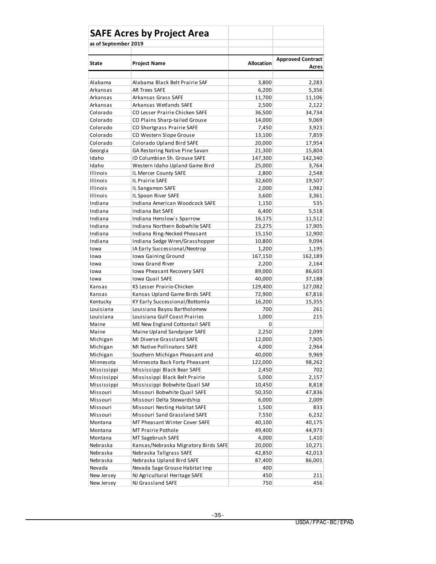|                      | <b>SAFE Acres by Project Area</b>    |                   |                          |
|----------------------|--------------------------------------|-------------------|--------------------------|
| as of September 2019 |                                      |                   |                          |
|                      |                                      |                   |                          |
| State                | <b>Project Name</b>                  | <b>Allocation</b> | <b>Approved Contract</b> |
|                      |                                      |                   | Acres                    |
| Alabama              | Alabama Black Belt Prairie SAF       | 3,800             | 2,283                    |
| Arkansas             | <b>AR Trees SAFE</b>                 | 6,200             | 5,356                    |
| Arkansas             | Arkansas Grass SAFE                  | 11,700            | 11,106                   |
| Arkansas             | Arkansas Wetlands SAFE               | 2,500             | 2,122                    |
| Colorado             | CO Lesser Prairie Chicken SAFE       | 36,500            | 34,734                   |
| Colorado             | CO Plains Sharp-tailed Grouse        | 14,000            | 9,069                    |
| Colorado             | CO Shortgrass Prairie SAFE           | 7,450             | 3,923                    |
| Colorado             | CO Western Slope Grouse              | 13,100            | 7,859                    |
| Colorado             | Colorado Upland Bird SAFE            | 20,000            | 17,954                   |
| Georgia              | GA Restoring Native Pine Savan       | 21,300            | 15,804                   |
| Idaho                | ID Columbian Sh. Grouse SAFE         | 147,300           | 142,340                  |
| Idaho                | Western Idaho Upland Game Bird       | 25,000            | 3,764                    |
| Illinois             | IL Mercer County SAFE                | 2,800             | 2,548                    |
| Illinois             | IL Prairie SAFE                      | 32,600            | 19,507                   |
| <b>Illinois</b>      | IL Sangamon SAFE                     | 2,000             | 1,982                    |
| Illinois             | IL Spoon River SAFE                  | 3,600             | 3,361                    |
| Indiana              | Indiana American Woodcock SAFE       | 1,150             | 535                      |
| Indiana              | Indiana Bat SAFE                     | 6,400             | 5,518                    |
| Indiana              | Indiana Henslow's Sparrow            | 16,175            | 11,512                   |
| Indiana              | Indiana Northern Bobwhite SAFE       | 23,275            | 17,905                   |
| Indiana              | Indiana Ring-Necked Pheasant         | 15,150            | 12,900                   |
| Indiana              | Indiana Sedge Wren/Grasshopper       | 10,800            | 9,094                    |
| Iowa                 | IA Early Successional/Neotrop        | 1,200             | 1,195                    |
| Iowa                 | Iowa Gaining Ground                  | 167,150           | 162,189                  |
| Iowa                 | <b>Iowa Grand River</b>              | 2,200             | 2,164                    |
| Iowa                 | Iowa Pheasant Recovery SAFE          | 89,000            | 86,603                   |
| Iowa                 | <b>Iowa Quail SAFE</b>               | 40,000            | 37,188                   |
| Kansas               | KS Lesser Prairie-Chicken            | 129,400           | 127,082                  |
| Kansas               | Kansas Upland Game Birds SAFE        | 72,900            | 67,816                   |
| Kentucky             | KY Early Successional/Bottomla       | 16,200            | 15,355                   |
| Louisiana            | Louisiana Bayou Bartholomew          | 700               | 261                      |
| Louisiana            | Louisiana Gulf Coast Prairies        | 1,000             | 215                      |
| Maine                | ME New England Cottontail SAFE       | 0                 |                          |
| Maine                | Maine Upland Sandpiper SAFE          | 2,250             | 2,099                    |
| Michigan             | MI Diverse Grassland SAFE            | 12,000            | 7,905                    |
| Michigan             | MI Native Pollinators SAFE           | 4,000             | 2,964                    |
| Michigan             | Southern Michigan Pheasant and       | 40,000            | 9,969                    |
| Minnesota            | Minnesota Back Forty Pheasant        | 122,000           | 98,262                   |
| Mississippi          | Mississippi Black Bear SAFE          | 2,450             | 702                      |
| Mississippi          | Mississippi Black Belt Prairie       | 5,000             | 2,157                    |
| Mississippi          | Mississippi Bobwhite Quail SAF       | 10,450            | 8,818                    |
| Missouri             | Missouri Bobwhite Quail SAFE         | 50,350            | 47,836                   |
| Missouri             | Missouri Delta Stewardship           | 6,000             | 2,009                    |
| Missouri             | Missouri Nesting Habitat SAFE        | 1,500             | 833                      |
| Missouri             | Missouri Sand Grassland SAFE         | 7,550             | 6,232                    |
| Montana              | MT Pheasant Winter Cover SAFE        | 40,100            | 40,175                   |
| Montana              | MT Prairie Pothole                   | 49,400            | 44,973                   |
| Montana              | MT Sagebrush SAFE                    | 4,000             | 1,410                    |
| Nebraska             | Kansas/Nebraska Migratory Birds SAFE | 20,000            | 10,271                   |
|                      |                                      |                   |                          |
| Nebraska             | Nebraska Tallgrass SAFE              | 42,850            | 42,013                   |
| Nebraska             | Nebraska Upland Bird SAFE            | 87,400            | 86,001                   |
| Nevada               | Nevada Sage Grouse Habitat Imp       | 400               |                          |
| New Jersey           | NJ Agricultural Heritage SAFE        | 450               | 211                      |
| New Jersey           | NJ Grassland SAFE                    | 750               | 456                      |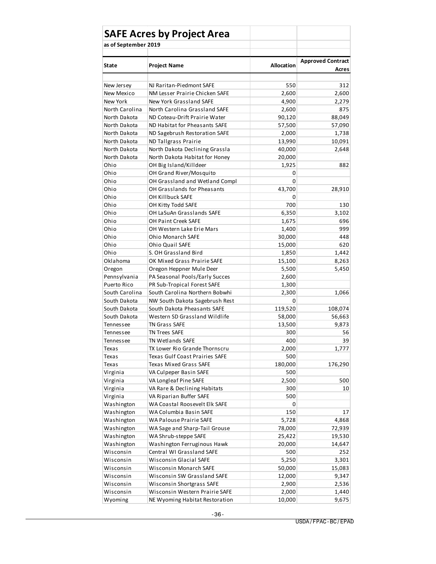|                              | <b>SAFE Acres by Project Area</b>                     |                   |                          |
|------------------------------|-------------------------------------------------------|-------------------|--------------------------|
| as of September 2019         |                                                       |                   |                          |
|                              |                                                       |                   |                          |
| State                        | <b>Project Name</b>                                   | <b>Allocation</b> | <b>Approved Contract</b> |
|                              |                                                       |                   | Acres                    |
|                              |                                                       |                   |                          |
| New Jersey                   | NJ Raritan-Piedmont SAFE                              | 550               | 312                      |
| New Mexico                   | NM Lesser Prairie Chicken SAFE                        | 2,600             | 2,600                    |
| New York                     | New York Grassland SAFE                               | 4,900             | 2,279                    |
| North Carolina               | North Carolina Grassland SAFE                         | 2,600             | 875                      |
| North Dakota                 | ND Coteau-Drift Prairie Water                         | 90,120            | 88,049                   |
| North Dakota<br>North Dakota | ND Habitat for Pheasants SAFE                         | 57,500            | 57,090                   |
| North Dakota                 | ND Sagebrush Restoration SAFE<br>ND Tallgrass Prairie | 2,000<br>13,990   | 1,738<br>10,091          |
| North Dakota                 | North Dakota Declining Grassla                        | 40,000            | 2,648                    |
| North Dakota                 | North Dakota Habitat for Honey                        | 20,000            |                          |
| Ohio                         | OH Big Island/Killdeer                                | 1,925             | 882                      |
| Ohio                         | OH Grand River/Mosquito                               | 0                 |                          |
| Ohio                         | OH Grassland and Wetland Compl                        | 0                 |                          |
| Ohio                         | OH Grasslands for Pheasants                           | 43,700            | 28,910                   |
| Ohio                         | OH Killbuck SAFE                                      | 0                 |                          |
| Ohio                         | OH Kitty Todd SAFE                                    | 700               | 130                      |
| Ohio                         | OH LaSuAn Grasslands SAFE                             | 6,350             | 3,102                    |
| Ohio                         | <b>OH Paint Creek SAFE</b>                            | 1,675             | 696                      |
| Ohio                         | OH Western Lake Erie Mars                             | 1,400             | 999                      |
| Ohio                         | Ohio Monarch SAFE                                     | 30,000            | 448                      |
| Ohio                         | Ohio Quail SAFE                                       | 15,000            | 620                      |
| Ohio                         | S. OH Grassland Bird                                  | 1,850             | 1,442                    |
| Oklahoma                     | OK Mixed Grass Prairie SAFE                           | 15,100            | 8,263                    |
| Oregon                       | Oregon Heppner Mule Deer                              | 5,500             | 5,450                    |
| Pennsylvania                 | PA Seasonal Pools/Early Succes                        | 2,600             |                          |
| Puerto Rico                  | PR Sub-Tropical Forest SAFE                           | 1,300             |                          |
| South Carolina               | South Carolina Northern Bobwhi                        | 2,300             | 1,066                    |
| South Dakota                 | NW South Dakota Sagebrush Rest                        | 0                 |                          |
| South Dakota                 | South Dakota Pheasants SAFE                           | 119,520           | 108,074                  |
| South Dakota                 | Western SD Grassland Wildlife                         | 58,000            | 56,663                   |
| Tennessee                    | <b>TN Grass SAFE</b>                                  | 13,500            | 9,873                    |
| Tennessee                    | <b>TN Trees SAFE</b>                                  | 300               | 56                       |
| Tennessee                    | TN Wetlands SAFE                                      | 400               | 39                       |
| Texas                        | TX Lower Rio Grande Thornscru                         | 2,000             | 1,777                    |
| Texas                        | Texas Gulf Coast Prairies SAFE                        | 500               |                          |
| Texas                        | Texas Mixed Grass SAFE                                | 180,000           | 176,290                  |
| Virginia                     | VA Culpeper Basin SAFE                                | 500               |                          |
| Virginia                     | VA Longleaf Pine SAFE                                 | 2,500             | 500                      |
| Virginia                     | VA Rare & Declining Habitats                          | 300               | 10                       |
| Virginia                     | VA Riparian Buffer SAFE                               | 500               |                          |
| Washington                   | WA Coastal Roosevelt Elk SAFE                         | 0                 |                          |
| Washington                   | WA Columbia Basin SAFE                                | 150               | 17                       |
| Washington                   | WA Palouse Prairie SAFE                               | 5,728             | 4,868                    |
| Washington                   | WA Sage and Sharp-Tail Grouse                         | 78,000            | 72,939                   |
| Washington                   | WA Shrub-steppe SAFE                                  | 25,422            | 19,530                   |
| Washington                   | Washington Ferruginous Hawk                           | 20,000            | 14,647                   |
| Wisconsin                    | Central WI Grassland SAFE                             | 500               | 252                      |
| Wisconsin                    | Wisconsin Glacial SAFE                                | 5,250             | 3,301                    |
| Wisconsin                    | Wisconsin Monarch SAFE                                | 50,000            | 15,083                   |
| Wisconsin                    | Wisconsin SW Grassland SAFE                           | 12,000            | 9,347                    |
| Wisconsin                    | Wisconsin Shortgrass SAFE                             | 2,900             | 2,536                    |
| Wisconsin                    | Wisconsin Western Prairie SAFE                        | 2,000             | 1,440                    |
| Wyoming                      | NE Wyoming Habitat Restoration                        | 10,000            | 9,675                    |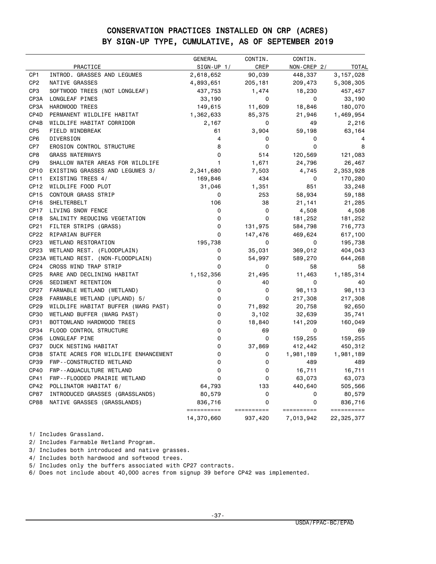#### CONSERVATION PRACTICES INSTALLED ON CRP (ACRES) BY SIGN-UP TYPE, CUMULATIVE, AS OF SEPTEMBER 2019

|                  |                                      | GENERAL               | CONTIN.         | CONTIN.     |              |
|------------------|--------------------------------------|-----------------------|-----------------|-------------|--------------|
|                  | PRACTICE                             | $SIGN-UP 1/$          | CREP            | NON-CREP 2/ | <b>TOTAL</b> |
| CP <sub>1</sub>  | INTROD. GRASSES AND LEGUMES          | 2,618,652             | 90,039          | 448,337     | 3, 157, 028  |
| CP <sub>2</sub>  | NATIVE GRASSES                       | 4,893,651             | 205,181         | 209,473     | 5,308,305    |
| CP <sub>3</sub>  | SOFTWOOD TREES (NOT LONGLEAF)        | 437,753               | 1,474           | 18,230      | 457,457      |
| CP3A             | LONGLEAF PINES                       | 33,190                | 0               | 0           | 33,190       |
| CP3A             | HARDWOOD TREES                       | 149,615               | 11,609          | 18,846      | 180,070      |
| CP4D             | PERMANENT WILDLIFE HABITAT           | 1,362,633             | 85,375          | 21,946      | 1,469,954    |
| CP4B             | WILDLIFE HABITAT CORRIDOR            | 2,167                 | 0               | 49          | 2,216        |
| CP <sub>5</sub>  | FIELD WINDBREAK                      | 61                    | 3,904           | 59,198      | 63,164       |
| CP <sub>6</sub>  | DIVERSION                            | 4                     | 0               | 0           |              |
| CP7              | EROSION CONTROL STRUCTURE            | 8                     | 0               | 0           | 8            |
| CP8              | <b>GRASS WATERWAYS</b>               | 0                     | 514             | 120,569     | 121,083      |
| CP <sub>9</sub>  | SHALLOW WATER AREAS FOR WILDLIFE     | 1                     | 1,671           | 24,796      | 26,467       |
| CP <sub>10</sub> | EXISTING GRASSES AND LEGUMES 3/      | 2,341,680             | 7,503           | 4,745       | 2,353,928    |
| CP <sub>11</sub> | EXISTING TREES 4/                    | 169,846               | 434             | 0           | 170,280      |
| CP <sub>12</sub> | WILDLIFE FOOD PLOT                   | 31,046                | 1,351           | 851         | 33,248       |
| CP <sub>15</sub> | CONTOUR GRASS STRIP                  | 0                     | 253             | 58,934      | 59,188       |
| CP <sub>16</sub> | SHELTERBELT                          | 106                   | 38              | 21,141      | 21,285       |
| CP17             | LIVING SNOW FENCE                    | 0                     | 0               | 4,508       | 4,508        |
| CP <sub>18</sub> | SALINITY REDUCING VEGETATION         | 0                     | 0               | 181,252     | 181,252      |
| CP21             | FILTER STRIPS (GRASS)                | 0                     | 131,975         | 584,798     | 716,773      |
| CP22             | RIPARIAN BUFFER                      | 0                     | 147,476         | 469,624     | 617,100      |
| CP <sub>23</sub> | WETLAND RESTORATION                  | 195,738               | 0               | 0           | 195,738      |
| CP <sub>23</sub> | WETLAND REST. (FLOODPLAIN)           | 0                     | 35,031          | 369,012     | 404,043      |
|                  | CP23A WETLAND REST. (NON-FLOODPLAIN) | 0                     | 54,997          | 589,270     | 644,268      |
| CP <sub>24</sub> | CROSS WIND TRAP STRIP                | 0                     | 0               | 58          | 58           |
| CP25             | RARE AND DECLINING HABITAT           | 1,152,356             | 21,495          | 11,463      | 1,185,314    |
| CP <sub>26</sub> | SEDIMENT RETENTION                   | 0                     | 40              | 0           | 40           |
| CP27             | FARMABLE WETLAND (WETLAND)           | 0                     | 0               | 98,113      | 98,113       |
| <b>CP28</b>      | FARMABLE WETLAND (UPLAND) 5/         | 0                     | 0               | 217,308     | 217,308      |
| CP29             | WILDLIFE HABITAT BUFFER (MARG PAST)  | 0                     | 71,892          | 20,758      | 92,650       |
| <b>CP30</b>      | WETLAND BUFFER (MARG PAST)           | 0                     | 3,102           | 32,639      | 35,741       |
| CP31             | BOTTOMLAND HARDWOOD TREES            | 0                     | 18,840          | 141,209     | 160,049      |
| CP34             | FLOOD CONTROL STRUCTURE              | 0                     | 69              | 0           | 69           |
| CP36             | LONGLEAF PINE                        | 0                     | 0               | 159,255     | 159,255      |
| <b>CP37</b>      | DUCK NESTING HABITAT                 | 0                     | 37,869          | 412,442     | 450,312      |
| <b>CP38</b>      | STATE ACRES FOR WILDLIFE ENHANCEMENT | 0                     | 0               | 1,981,189   | 1,981,189    |
| CP39             | FWP--CONSTRUCTED WETLAND             | 0                     | 0               | 489         | 489          |
| <b>CP40</b>      | FWP--AQUACULTURE WETLAND             | 0                     | 0               | 16,711      | 16,711       |
| CP41             | FWP--FLOODED PRAIRIE WETLAND         | 0                     | 0               | 63,073      | 63,073       |
| CP42             | POLLINATOR HABITAT 6/                | 64,793                | 133             | 440,640     | 505,566      |
| CP87             | INTRODUCED GRASSES (GRASSLANDS)      | 80,579                | 0               | 0           | 80,579       |
| <b>CP88</b>      | NATIVE GRASSES (GRASSLANDS)          | 836,716<br>========== | 0<br>========== | 0           | 836,716      |
|                  |                                      |                       |                 | ==========  | ==========   |
|                  |                                      | 14,370,660            | 937,420         | 7,013,942   | 22,325,377   |

1/ Includes Grassland.

2/ Includes Farmable Wetland Program.

3/ Includes both introduced and native grasses.

4/ Includes both hardwood and softwood trees.

5/ Includes only the buffers associated with CP27 contracts.

6/ Does not include about 40,000 acres from signup 39 before CP42 was implemented.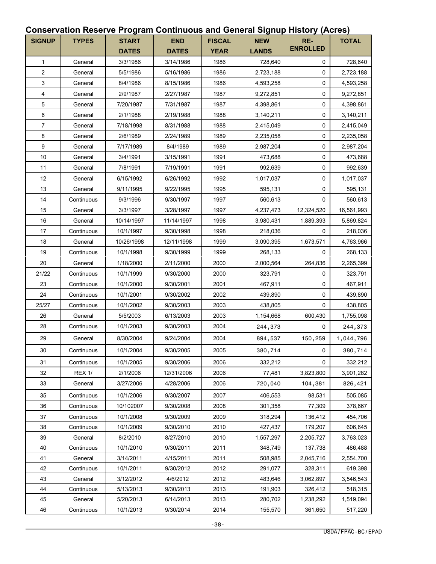#### **Conservation Reserve Program Continuous and General Signup History (Acres)**

| <b>SIGNUP</b>    | <b>TYPES</b>  | <b>START</b> | <b>END</b>   | <b>FISCAL</b> | <b>NEW</b>   | RE-<br><b>ENROLLED</b> | <b>TOTAL</b> |
|------------------|---------------|--------------|--------------|---------------|--------------|------------------------|--------------|
|                  |               | <b>DATES</b> | <b>DATES</b> | <b>YEAR</b>   | <b>LANDS</b> |                        |              |
| $\mathbf{1}$     | General       | 3/3/1986     | 3/14/1986    | 1986          | 728,640      | 0                      | 728,640      |
| $\sqrt{2}$       | General       | 5/5/1986     | 5/16/1986    | 1986          | 2,723,188    | 0                      | 2,723,188    |
| 3                | General       | 8/4/1986     | 8/15/1986    | 1986          | 4,593,258    | 0                      | 4,593,258    |
| 4                | General       | 2/9/1987     | 2/27/1987    | 1987          | 9,272,851    | $\mathbf 0$            | 9,272,851    |
| 5                | General       | 7/20/1987    | 7/31/1987    | 1987          | 4,398,861    | 0                      | 4,398,861    |
| 6                | General       | 2/1/1988     | 2/19/1988    | 1988          | 3,140,211    | 0                      | 3,140,211    |
| $\boldsymbol{7}$ | General       | 7/18/1998    | 8/31/1988    | 1988          | 2,415,049    | 0                      | 2,415,049    |
| 8                | General       | 2/6/1989     | 2/24/1989    | 1989          | 2,235,058    | $\mathbf 0$            | 2,235,058    |
| 9                | General       | 7/17/1989    | 8/4/1989     | 1989          | 2,987,204    | $\mathbf 0$            | 2,987,204    |
| 10               | General       | 3/4/1991     | 3/15/1991    | 1991          | 473,688      | 0                      | 473,688      |
| 11               | General       | 7/8/1991     | 7/19/1991    | 1991          | 992,639      | 0                      | 992,639      |
| 12               | General       | 6/15/1992    | 6/26/1992    | 1992          | 1,017,037    | 0                      | 1,017,037    |
| 13               | General       | 9/11/1995    | 9/22/1995    | 1995          | 595,131      | 0                      | 595,131      |
| 14               | Continuous    | 9/3/1996     | 9/30/1997    | 1997          | 560,613      | 0                      | 560,613      |
| 15               | General       | 3/3/1997     | 3/28/1997    | 1997          | 4,237,473    | 12,324,520             | 16,561,993   |
| 16               | General       | 10/14/1997   | 11/14/1997   | 1998          | 3,980,431    | 1,889,393              | 5,869,824    |
| 17               | Continuous    | 10/1/1997    | 9/30/1998    | 1998          | 218,036      | 0                      | 218,036      |
| 18               | General       | 10/26/1998   | 12/11/1998   | 1999          | 3,090,395    | 1,673,571              | 4,763,966    |
| 19               | Continuous    | 10/1/1998    | 9/30/1999    | 1999          | 268,133      | 0                      | 268,133      |
| 20               | General       | 1/18/2000    | 2/11/2000    | 2000          | 2,000,564    | 264,836                | 2,265,399    |
| 21/22            | Continuous    | 10/1/1999    | 9/30/2000    | 2000          | 323,791      | 0                      | 323,791      |
| 23               | Continuous    | 10/1/2000    | 9/30/2001    | 2001          | 467,911      | 0                      | 467,911      |
| 24               | Continuous    | 10/1/2001    | 9/30/2002    | 2002          | 439,890      | 0                      | 439,890      |
| 25/27            | Continuous    | 10/1/2002    | 9/30/2003    | 2003          | 438,805      | 0                      | 438,805      |
| 26               | General       | 5/5/2003     | 6/13/2003    | 2003          | 1,154,668    | 600,430                | 1,755,098    |
| 28               | Continuous    | 10/1/2003    | 9/30/2003    | 2004          | 244,373      | 0                      | 244,373      |
| 29               | General       | 8/30/2004    | 9/24/2004    | 2004          | 894,537      | 150,259                | 1,044,796    |
| $30\,$           | Continuous    | 10/1/2004    | 9/30/2005    | 2005          | 380,714      | 0                      | 380,714      |
| 31               | Continuous    | 10/1/2005    | 9/30/2006    | 2006          | 332,212      | 0                      | 332,212      |
| 32               | <b>REX 1/</b> | 2/1/2006     | 12/31/2006   | 2006          | 77,481       | 3,823,800              | 3,901,282    |
| 33               | General       | 3/27/2006    | 4/28/2006    | 2006          | 720,040      | 104,381                | 826,421      |
| 35               | Continuous    | 10/1/2006    | 9/30/2007    | 2007          | 406,553      | 98,531                 | 505,085      |
| 36               | Continuous    | 10/102007    | 9/30/2008    | 2008          | 301,358      | 77,309                 | 378,667      |
| 37               | Continuous    | 10/1/2008    | 9/30/2009    | 2009          | 318,294      | 136,412                | 454,706      |
| 38               | Continuous    | 10/1/2009    | 9/30/2010    | 2010          | 427,437      | 179,207                | 606,645      |
| 39               | General       | 8/2/2010     | 8/27/2010    | 2010          | 1,557,297    | 2,205,727              | 3,763,023    |
| 40               | Continuous    | 10/1/2010    | 9/30/2011    | 2011          | 348,749      | 137,738                | 486,488      |
| 41               | General       | 3/14/2011    | 4/15/2011    | 2011          | 508,985      | 2,045,716              | 2,554,700    |
| 42               | Continuous    | 10/1/2011    | 9/30/2012    | 2012          | 291,077      | 328,311                | 619,398      |
| 43               | General       | 3/12/2012    | 4/6/2012     | 2012          | 483,646      | 3,062,897              | 3,546,543    |
| 44               | Continuous    | 5/13/2013    | 9/30/2013    | 2013          | 191,903      | 326,412                | 518,315      |
| 45               | General       | 5/20/2013    | 6/14/2013    | 2013          | 280,702      | 1,238,292              | 1,519,094    |
| 46               | Continuous    | 10/1/2013    | 9/30/2014    | 2014          | 155,570      | 361,650                | 517,220      |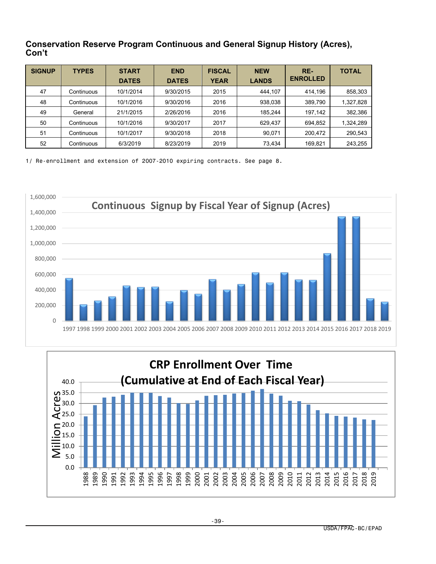#### **Conservation Reserve Program Continuous and General Signup History (Acres), Con't**

| <b>SIGNUP</b> | <b>TYPES</b> | <b>START</b><br><b>DATES</b> | <b>END</b><br><b>DATES</b> | <b>FISCAL</b><br><b>YEAR</b> | <b>NEW</b><br><b>LANDS</b> | RE-<br><b>ENROLLED</b> | <b>TOTAL</b> |
|---------------|--------------|------------------------------|----------------------------|------------------------------|----------------------------|------------------------|--------------|
| 47            | Continuous   | 10/1/2014                    | 9/30/2015                  | 2015                         | 444,107                    | 414.196                | 858,303      |
| 48            | Continuous   | 10/1/2016                    | 9/30/2016                  | 2016                         | 938,038                    | 389.790                | 1,327,828    |
| 49            | General      | 21/1/2015                    | 2/26/2016                  | 2016                         | 185.244                    | 197.142                | 382,386      |
| 50            | Continuous   | 10/1/2016                    | 9/30/2017                  | 2017                         | 629,437                    | 694,852                | 1,324,289    |
| 51            | Continuous   | 10/1/2017                    | 9/30/2018                  | 2018                         | 90,071                     | 200.472                | 290,543      |
| 52            | Continuous   | 6/3/2019                     | 8/23/2019                  | 2019                         | 73,434                     | 169,821                | 243,255      |

1/ Re-enrollment and extension of 2007-2010 expiring contracts. See page 8.